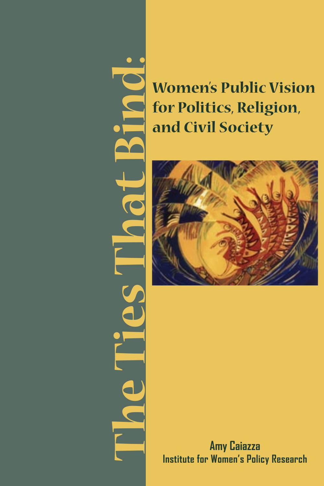**The Ties That Bind:** 1

**Women's Public Vision for Politics, Religion, and Civil Society**



**Amy Caiazza Institute for Women's Policy Research**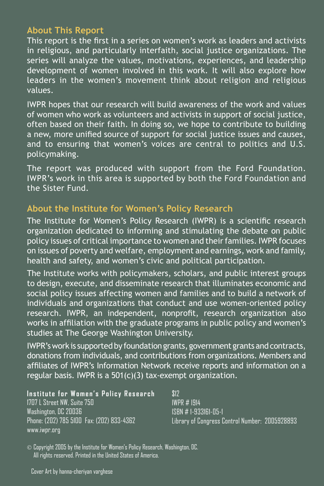#### **About This Report**

This report is the first in a series on women's work as leaders and activists in religious, and particularly interfaith, social justice organizations. The series will analyze the values, motivations, experiences, and leadership development of women involved in this work. It will also explore how leaders in the women's movement think about religion and religious values.

IWPR hopes that our research will build awareness of the work and values of women who work as volunteers and activists in support of social justice, often based on their faith. In doing so, we hope to contribute to building a new, more unified source of support for social justice issues and causes, and to ensuring that women's voices are central to politics and U.S. policymaking.

The report was produced with support from the Ford Foundation. IWPR's work in this area is supported by both the Ford Foundation and the Sister Fund.

#### **About the Institute for Women's Policy Research**

The Institute for Women's Policy Research (IWPR) is a scientific research organization dedicated to informing and stimulating the debate on public policy issues of critical importance to women and their families. IWPR focuses on issues of poverty and welfare, employment and earnings, work and family, health and safety, and women's civic and political participation.

The Institute works with policymakers, scholars, and public interest groups to design, execute, and disseminate research that illuminates economic and social policy issues affecting women and families and to build a network of individuals and organizations that conduct and use women-oriented policy research. IWPR, an independent, nonprofit, research organization also works in affiliation with the graduate programs in public policy and women's studies at The George Washington University.

IWPR's work is supported by foundation grants, government grants and contracts, donations from individuals, and contributions from organizations. Members and affiliates of IWPR's Information Network receive reports and information on a regular basis. IWPR is a 501(c)(3) tax-exempt organization.

#### **Institute for Women's Policy Research**

1707 L Street NW, Suite 750 Washington, DC 20036 Phone: (202) 785 5100 Fax: (202) 833-4362 www.iwpr.org

\$12 IWPR # I914 ISBN # 1-933161-05-1 Library of Congress Control Number: 2005928893

 $\odot$  Copyright 2005 by the Institute for Women's Policy Research, Washington, DC. All rights reserved. Printed in the United States of America.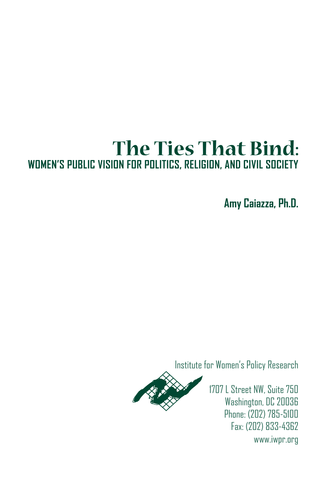# **The Ties That Bind: WOMEN'S PUBLIC VISION FOR POLITICS, RELIGION, AND CIVIL SOCIETY**

**Amy Caiazza, Ph.D.**

Institute for Women's Policy Research



1707 L Street NW, Suite 750 Washington, DC 20036 Phone: (202) 785-5100 Fax: (202) 833-4362 www.iwpr.org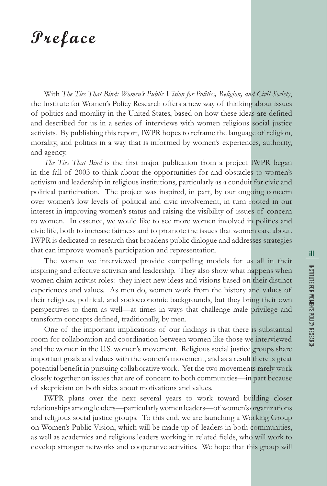## **Preface**

With *The Ties That Bind: Women's Public Vision for Politics, Religion, and Civil Society*, the Institute for Women's Policy Research offers a new way of thinking about issues of politics and morality in the United States, based on how these ideas are defined and described for us in a series of interviews with women religious social justice activists. By publishing this report, IWPR hopes to reframe the language of religion, morality, and politics in a way that is informed by women's experiences, authority, and agency.

*The Ties That Bind* is the first major publication from a project IWPR began in the fall of 2003 to think about the opportunities for and obstacles to women's activism and leadership in religious institutions, particularly as a conduit for civic and political participation. The project was inspired, in part, by our ongoing concern over women's low levels of political and civic involvement, in turn rooted in our interest in improving women's status and raising the visibility of issues of concern to women. In essence, we would like to see more women involved in politics and civic life, both to increase fairness and to promote the issues that women care about. IWPR is dedicated to research that broadens public dialogue and addresses strategies that can improve women's participation and representation.

The women we interviewed provide compelling models for us all in their inspiring and effective activism and leadership. They also show what happens when women claim activist roles: they inject new ideas and visions based on their distinct experiences and values. As men do, women work from the history and values of their religious, political, and socioeconomic backgrounds, but they bring their own perspectives to them as well—at times in ways that challenge male privilege and transform concepts defined, traditionally, by men.

One of the important implications of our findings is that there is substantial room for collaboration and coordination between women like those we interviewed and the women in the U.S. women's movement. Religious social justice groups share important goals and values with the women's movement, and as a result there is great potential benefit in pursuing collaborative work. Yet the two movements rarely work closely together on issues that are of concern to both communities—in part because of skepticism on both sides about motivations and values.

IWPR plans over the next several years to work toward building closer relationships among leaders—particularly women leaders—of women's organizations and religious social justice groups. To this end, we are launching a Working Group on Women's Public Vision, which will be made up of leaders in both communities, as well as academics and religious leaders working in related fields, who will work to develop stronger networks and cooperative activities. We hope that this group will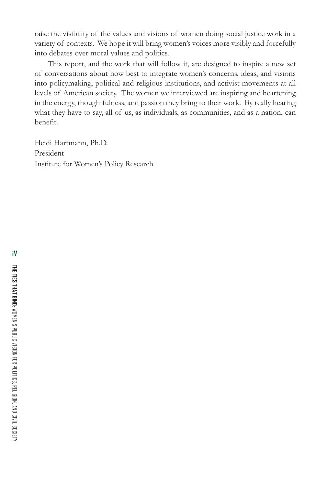raise the visibility of the values and visions of women doing social justice work in a variety of contexts. We hope it will bring women's voices more visibly and forcefully into debates over moral values and politics.

This report, and the work that will follow it, are designed to inspire a new set of conversations about how best to integrate women's concerns, ideas, and visions into policymaking, political and religious institutions, and activist movements at all levels of American society. The women we interviewed are inspiring and heartening in the energy, thoughtfulness, and passion they bring to their work. By really hearing what they have to say, all of us, as individuals, as communities, and as a nation, can benefit.

Heidi Hartmann, Ph.D. President Institute for Women's Policy Research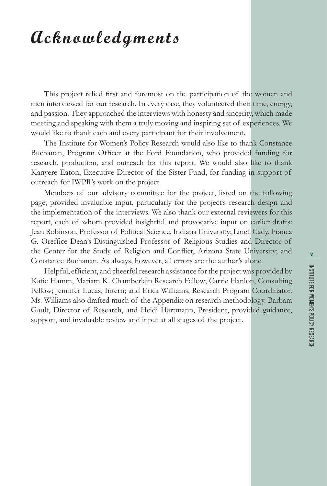## **Acknowledgments**

This project relied first and foremost on the participation of the women and men interviewed for our research. In every case, they volunteered their time, energy, and passion. They approached the interviews with honesty and sincerity, which made meeting and speaking with them a truly moving and inspiring set of experiences. We would like to thank each and every participant for their involvement.

The Institute for Women's Policy Research would also like to thank Constance Buchanan, Program Officer at the Ford Foundation, who provided funding for research, production, and outreach for this report. We would also like to thank Kanyere Eaton, Executive Director of the Sister Fund, for funding in support of outreach for IWPR's work on the project.

Members of our advisory committee for the project, listed on the following page, provided invaluable input, particularly for the project's research design and the implementation of the interviews. We also thank our external reviewers for this report, each of whom provided insightful and provocative input on earlier drafts: Jean Robinson, Professor of Political Science, Indiana University; Linell Cady, Franca G. Oreffice Dean's Distinguished Professor of Religious Studies and Director of the Center for the Study of Religion and Conflict, Arizona State University; and Constance Buchanan. As always, however, all errors are the author's alone.

Helpful, efficient, and cheerful research assistance for the project was provided by Katie Hamm, Mariam K. Chamberlain Research Fellow; Carrie Hanlon, Consulting Fellow; Jennifer Lucas, Intern; and Erica Williams, Research Program Coordinator. Ms. Williams also drafted much of the Appendix on research methodology. Barbara Gault, Director of Research, and Heidi Hartmann, President, provided guidance, support, and invaluable review and input at all stages of the project.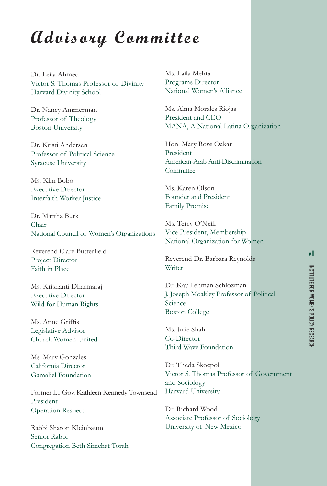## **Advisory Committee**

Dr. Leila Ahmed Victor S. Thomas Professor of Divinity Harvard Divinity School

Dr. Nancy Ammerman Professor of Theology Boston University

Dr. Kristi Andersen Professor of Political Science Syracuse University

Ms. Kim Bobo Executive Director Interfaith Worker Justice

Dr. Martha Burk Chair National Council of Women's Organizations

Reverend Clare Butterfield Project Director Faith in Place

Ms. Krishanti Dharmaraj Executive Director Wild for Human Rights

Ms. Anne Griffis Legislative Advisor Church Women United

Ms. Mary Gonzales California Director Gamaliel Foundation

Former Lt. Gov. Kathleen Kennedy Townsend President Operation Respect

Rabbi Sharon Kleinbaum Senior Rabbi Congregation Beth Simchat Torah Ms. Laila Mehta Programs Director National Women's Alliance

Ms. Alma Morales Riojas President and CEO MANA, A National Latina Organization

Hon. Mary Rose Oakar President American-Arab Anti-Discrimination **Committee** 

Ms. Karen Olson Founder and President Family Promise

Ms. Terry O'Neill Vice President, Membership National Organization for Women

Reverend Dr. Barbara Reynolds Writer

Dr. Kay Lehman Schlozman J. Joseph Moakley Professor of Political **Science** Boston College

Ms. Julie Shah Co-Director Third Wave Foundation

Dr. Theda Skocpol Victor S. Thomas Professor of Government and Sociology Harvard University

Dr. Richard Wood Associate Professor of Sociology University of New Mexico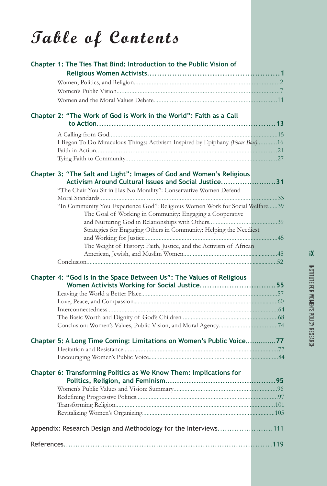# **Table of Contents**

| Chapter 1: The Ties That Bind: Introduction to the Public Vision of                                                          |  |
|------------------------------------------------------------------------------------------------------------------------------|--|
|                                                                                                                              |  |
|                                                                                                                              |  |
|                                                                                                                              |  |
| Chapter 2: "The Work of God is Work in the World": Faith as a Call                                                           |  |
|                                                                                                                              |  |
| I Began To Do Miraculous Things: Activism Inspired by Epiphany (Focus Box)16                                                 |  |
|                                                                                                                              |  |
|                                                                                                                              |  |
| Chapter 3: "The Salt and Light": Images of God and Women's Religious<br>Activism Around Cultural Issues and Social Justice31 |  |
| "The Chair You Sit in Has No Morality": Conservative Women Defend                                                            |  |
|                                                                                                                              |  |
| "In Community You Experience God": Religious Women Work for Social Welfare39                                                 |  |
| The Goal of Working in Community: Engaging a Cooperative                                                                     |  |
|                                                                                                                              |  |
| Strategies for Engaging Others in Community: Helping the Neediest                                                            |  |
| The Weight of History: Faith, Justice, and the Activism of African                                                           |  |
|                                                                                                                              |  |
|                                                                                                                              |  |
| Chapter 4: "God Is in the Space Between Us": The Values of Religious<br>Women Activists Working for Social Justice55         |  |
|                                                                                                                              |  |
|                                                                                                                              |  |
|                                                                                                                              |  |
|                                                                                                                              |  |
|                                                                                                                              |  |
| Chapter 5: A Long Time Coming: Limitations on Women's Public Voice77                                                         |  |
|                                                                                                                              |  |
|                                                                                                                              |  |
| Chapter 6: Transforming Politics as We Know Them: Implications for                                                           |  |
|                                                                                                                              |  |
|                                                                                                                              |  |
|                                                                                                                              |  |
|                                                                                                                              |  |
| Appendix: Research Design and Methodology for the Interviews111                                                              |  |
|                                                                                                                              |  |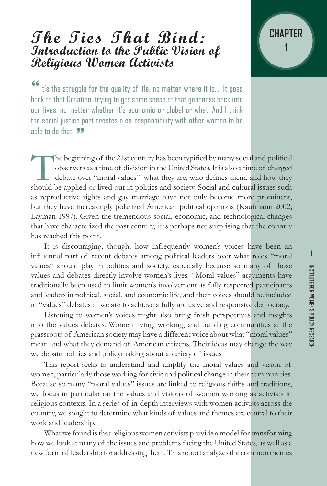## **The Ties That Bind: Introduction to the Public Vision of Religious Women Activists**



It's the struggle for the quality of life, no matter where it is.... It goes back to that Creation, trying to get some sense of that goodness back into our lives, no matter whether it's economic or global or what. And I think the social justice part creates a co-responsibility with other women to be ahle to do that. 99

The beginning of the 21st century has been typified by many social and political observers as a time of division in the United States. It is also a time of charged debate over "moral values": what they are, who defines the observers as a time of division in the United States. It is also a time of charged debate over "moral values": what they are, who defines them, and how they as reproductive rights and gay marriage have not only become more prominent, but they have increasingly polarized American political opinions (Kaufmann 2002; Layman 1997). Given the tremendous social, economic, and technological changes that have characterized the past century, it is perhaps not surprising that the country has reached this point.

It is discouraging, though, how infrequently women's voices have been an influential part of recent debates among political leaders over what roles "moral values" should play in politics and society, especially because so many of those values and debates directly involve women's lives. "Moral values" arguments have traditionally been used to limit women's involvement as fully respected participants and leaders in political, social, and economic life, and their voices should be included in "values" debates if we are to achieve a fully inclusive and responsive democracy.

Listening to women's voices might also bring fresh perspectives and insights into the values debates. Women living, working, and building communities at the grassroots of American society may have a different voice about what "moral values" mean and what they demand of American citizens. Their ideas may change the way we debate politics and policymaking about a variety of issues.

This report seeks to understand and amplify the moral values and vision of women, particularly those working for civic and political change in their communities. Because so many "moral values" issues are linked to religious faiths and traditions, we focus in particular on the values and visions of women working as activists in religious contexts. In a series of in-depth interviews with women activists across the country, we sought to determine what kinds of values and themes are central to their work and leadership.

What we found is that religious women activists provide a model for transforming how we look at many of the issues and problems facing the United States, as well as a new form of leadership for addressing them. This report analyzes the common themes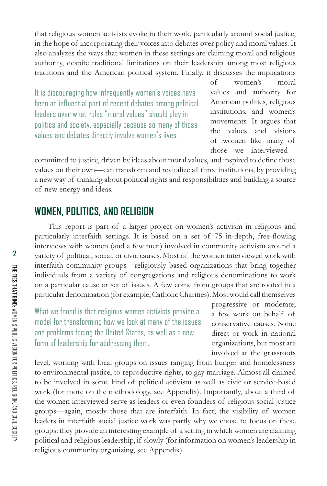that religious women activists evoke in their work, particularly around social justice, in the hope of incorporating their voices into debates over policy and moral values. It also analyzes the ways that women in these settings are claiming moral and religious authority, despite traditional limitations on their leadership among most religious traditions and the American political system. Finally, it discusses the implications

It is discouraging how infrequently women's voices have been an influential part of recent debates among political leaders over what roles "moral values" should play in politics and society, especially because so many of those values and debates directly involve women's lives.

of women's moral values and authority for American politics, religious institutions, and women's movements. It argues that the values and visions of women like many of those we interviewed—

committed to justice, driven by ideas about moral values, and inspired to define those values on their own—can transform and revitalize all three institutions, by providing a new way of thinking about political rights and responsibilities and building a source of new energy and ideas.

#### **WOMEN, POLITICS, AND RELIGION**

This report is part of a larger project on women's activism in religious and particularly interfaith settings. It is based on a set of 75 in-depth, free-flowing interviews with women (and a few men) involved in community activism around a variety of political, social, or civic causes. Most of the women interviewed work with interfaith community groups—religiously based organizations that bring together individuals from a variety of congregations and religious denominations to work on a particular cause or set of issues. A few come from groups that are rooted in a particular denomination (for example, Catholic Charities). Most would call themselves

What we found is that religious women activists provide a model for transforming how we look at many of the issues and problems facing the United States, as well as a new form of leadership for addressing them.

progressive or moderate; a few work on behalf of conservative causes. Some direct or work in national organizations, but most are involved at the grassroots

level, working with local groups on issues ranging from hunger and homelessness to environmental justice, to reproductive rights, to gay marriage. Almost all claimed to be involved in some kind of political activism as well as civic or service-based work (for more on the methodology, see Appendix). Importantly, about a third of the women interviewed serve as leaders or even founders of religious social justice groups—again, mostly those that are interfaith. In fact, the visibility of women leaders in interfaith social justice work was partly why we chose to focus on these groups: they provide an interesting example of a setting in which women are claiming political and religious leadership, if slowly (for information on women's leadership in religious community organizing, see Appendix).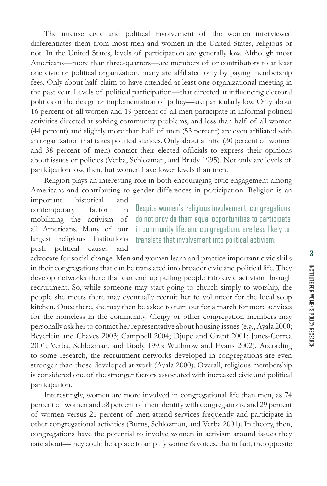The intense civic and political involvement of the women interviewed differentiates them from most men and women in the United States, religious or not. In the United States, levels of participation are generally low. Although most Americans—more than three-quarters—are members of or contributors to at least one civic or political organization, many are affiliated only by paying membership fees. Only about half claim to have attended at least one organizational meeting in the past year. Levels of political participation—that directed at influencing electoral politics or the design or implementation of policy—are particularly low. Only about 16 percent of all women and 19 percent of all men participate in informal political activities directed at solving community problems, and less than half of all women (44 percent) and slightly more than half of men (53 percent) are even affiliated with an organization that takes political stances. Only about a third (30 percent of women and 38 percent of men) contact their elected officials to express their opinions about issues or policies (Verba, Schlozman, and Brady 1995). Not only are levels of participation low, then, but women have lower levels than men.

Religion plays an interesting role in both encouraging civic engagement among Americans and contributing to gender differences in participation. Religion is an important historical and

contemporary factor in mobilizing the activism of all Americans. Many of our largest religious institutions push political causes and

Despite women's religious involvement, congregations do not provide them equal opportunities to participate in community life, and congregations are less likely to translate that involvement into political activism.

advocate for social change. Men and women learn and practice important civic skills in their congregations that can be translated into broader civic and political life. They develop networks there that can end up pulling people into civic activism through recruitment. So, while someone may start going to church simply to worship, the people she meets there may eventually recruit her to volunteer for the local soup kitchen. Once there, she may then be asked to turn out for a march for more services for the homeless in the community. Clergy or other congregation members may personally ask her to contact her representative about housing issues (e.g., Ayala 2000; Beyerlein and Chaves 2003; Campbell 2004; Djupe and Grant 2001; Jones-Correa 2001; Verba, Schlozman, and Brady 1995; Wuthnow and Evans 2002). According to some research, the recruitment networks developed in congregations are even stronger than those developed at work (Ayala 2000). Overall, religious membership is considered one of the stronger factors associated with increased civic and political participation.

Interestingly, women are more involved in congregational life than men, as 74 percent of women and 58 percent of men identify with congregations, and 29 percent of women versus 21 percent of men attend services frequently and participate in other congregational activities (Burns, Schlozman, and Verba 2001). In theory, then, congregations have the potential to involve women in activism around issues they care about—they could be a place to amplify women's voices. But in fact, the opposite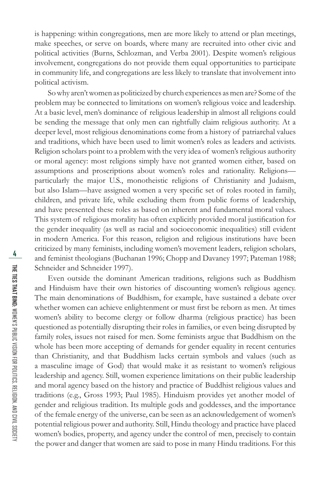is happening: within congregations, men are more likely to attend or plan meetings, make speeches, or serve on boards, where many are recruited into other civic and political activities (Burns, Schlozman, and Verba 2001). Despite women's religious involvement, congregations do not provide them equal opportunities to participate in community life, and congregations are less likely to translate that involvement into political activism.

So why aren't women as politicized by church experiences as men are? Some of the problem may be connected to limitations on women's religious voice and leadership. At a basic level, men's dominance of religious leadership in almost all religions could be sending the message that only men can rightfully claim religious authority. At a deeper level, most religious denominations come from a history of patriarchal values and traditions, which have been used to limit women's roles as leaders and activists. Religion scholars point to a problem with the very idea of women's religious authority or moral agency: most religions simply have not granted women either, based on assumptions and proscriptions about women's roles and rationality. Religions particularly the major U.S., monotheistic religions of Christianity and Judaism, but also Islam—have assigned women a very specific set of roles rooted in family, children, and private life, while excluding them from public forms of leadership, and have presented these roles as based on inherent and fundamental moral values. This system of religious morality has often explicitly provided moral justification for the gender inequality (as well as racial and socioeconomic inequalities) still evident in modern America. For this reason, religion and religious institutions have been criticized by many feminists, including women's movement leaders, religion scholars, and feminist theologians (Buchanan 1996; Chopp and Davaney 1997; Pateman 1988; Schneider and Schneider 1997).

Even outside the dominant American traditions, religions such as Buddhism and Hinduism have their own histories of discounting women's religious agency. The main denominations of Buddhism, for example, have sustained a debate over whether women can achieve enlightenment or must first be reborn as men. At times women's ability to become clergy or follow dharma (religious practice) has been questioned as potentially disrupting their roles in families, or even being disrupted by family roles, issues not raised for men. Some feminists argue that Buddhism on the whole has been more accepting of demands for gender equality in recent centuries than Christianity, and that Buddhism lacks certain symbols and values (such as a masculine image of God) that would make it as resistant to women's religious leadership and agency. Still, women experience limitations on their public leadership and moral agency based on the history and practice of Buddhist religious values and traditions (e.g., Gross 1993; Paul 1985). Hinduism provides yet another model of gender and religious tradition. Its multiple gods and goddesses, and the importance of the female energy of the universe, can be seen as an acknowledgement of women's potential religious power and authority. Still, Hindu theology and practice have placed women's bodies, property, and agency under the control of men, precisely to contain the power and danger that women are said to pose in many Hindu traditions. For this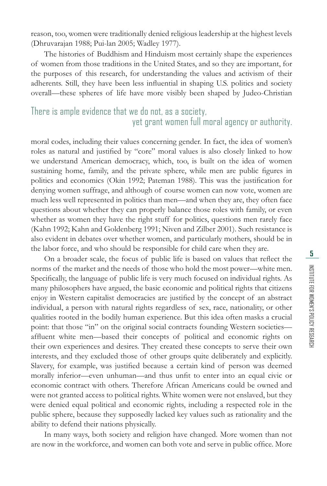reason, too, women were traditionally denied religious leadership at the highest levels (Dhruvarajan 1988; Pui-lan 2005; Wadley 1977).

The histories of Buddhism and Hinduism most certainly shape the experiences of women from those traditions in the United States, and so they are important, for the purposes of this research, for understanding the values and activism of their adherents. Still, they have been less influential in shaping U.S. politics and society overall—these spheres of life have more visibly been shaped by Judeo-Christian

#### There is ample evidence that we do not, as a society, yet grant women full moral agency or authority.

moral codes, including their values concerning gender. In fact, the idea of women's roles as natural and justified by "core" moral values is also closely linked to how we understand American democracy, which, too, is built on the idea of women sustaining home, family, and the private sphere, while men are public figures in politics and economics (Okin 1992; Pateman 1988). This was the justification for denying women suffrage, and although of course women can now vote, women are much less well represented in politics than men—and when they are, they often face questions about whether they can properly balance those roles with family, or even whether as women they have the right stuff for politics, questions men rarely face (Kahn 1992; Kahn and Goldenberg 1991; Niven and Zilber 2001). Such resistance is also evident in debates over whether women, and particularly mothers, should be in the labor force, and who should be responsible for child care when they are.

On a broader scale, the focus of public life is based on values that reflect the norms of the market and the needs of those who hold the most power—white men. Specifically, the language of public life is very much focused on individual rights. As many philosophers have argued, the basic economic and political rights that citizens enjoy in Western capitalist democracies are justified by the concept of an abstract individual, a person with natural rights regardless of sex, race, nationality, or other qualities rooted in the bodily human experience. But this idea often masks a crucial point: that those "in" on the original social contracts founding Western societies affluent white men—based their concepts of political and economic rights on their own experiences and desires. They created these concepts to serve their own interests, and they excluded those of other groups quite deliberately and explicitly. Slavery, for example, was justified because a certain kind of person was deemed morally inferior—even unhuman—and thus unfit to enter into an equal civic or economic contract with others. Therefore African Americans could be owned and were not granted access to political rights. White women were not enslaved, but they were denied equal political and economic rights, including a respected role in the public sphere, because they supposedly lacked key values such as rationality and the ability to defend their nations physically.

In many ways, both society and religion have changed. More women than not are now in the workforce, and women can both vote and serve in public office. More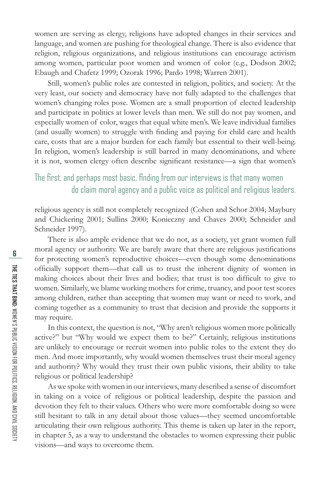women are serving as clergy, religions have adopted changes in their services and language, and women are pushing for theological change. There is also evidence that religion, religious organizations, and religious institutions can encourage activism among women, particular poor women and women of color (e.g., Dodson 2002; Ebaugh and Chafetz 1999; Ozorak 1996; Pardo 1998; Warren 2001).

Still, women's public roles are contested in religion, politics, and society. At the very least, our society and democracy have not fully adapted to the challenges that women's changing roles pose. Women are a small proportion of elected leadership and participate in politics at lower levels than men. We still do not pay women, and especially women of color, wages that equal white men's. We leave individual families (and usually women) to struggle with finding and paying for child care and health care, costs that are a major burden for each family but essential to their well-being. In religion, women's leadership is still barred in many denominations, and where it is not, women clergy often describe significant resistance—a sign that women's

### The first, and perhaps most basic, finding from our interviews is that many women do claim moral agency and a public voice as political and religious leaders.

religious agency is still not completely recognized (Cohen and Schor 2004; Maybury and Chickering 2001; Sullins 2000; Konieczny and Chaves 2000; Schneider and Schneider 1997).

There is also ample evidence that we do not, as a society, yet grant women full moral agency or authority. We are barely aware that there are religious justifications for protecting women's reproductive choices—even though some denominations officially support them—that call us to trust the inherent dignity of women in making choices about their lives and bodies; that trust is too difficult to give to women. Similarly, we blame working mothers for crime, truancy, and poor test scores among children, rather than accepting that women may want or need to work, and coming together as a community to trust that decision and provide the supports it may require.

In this context, the question is not, "Why aren't religious women more politically active?" but "Why would we expect them to be?" Certainly, religious institutions are unlikely to encourage or recruit women into public roles to the extent they do men. And more importantly, why would women themselves trust their moral agency and authority? Why would they trust their own public visions, their ability to take religious or political leadership?

As we spoke with women in our interviews, many described a sense of discomfort in taking on a voice of religious or political leadership, despite the passion and devotion they felt to their values. Others who were more comfortable doing so were still hesitant to talk in any detail about those values—they seemed uncomfortable articulating their own religious authority. This theme is taken up later in the report, in chapter 5, as a way to understand the obstacles to women expressing their public visions—and ways to overcome them.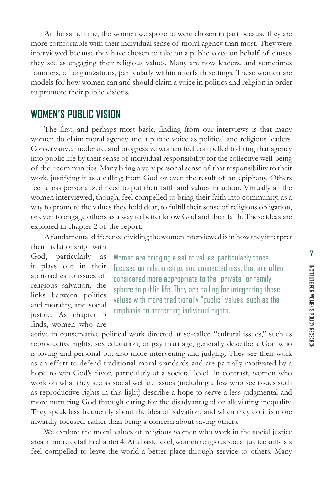At the same time, the women we spoke to were chosen in part because they are more comfortable with their individual sense of moral agency than most. They were interviewed because they have chosen to take on a public voice on behalf of causes they see as engaging their religious values. Many are now leaders, and sometimes founders, of organizations, particularly within interfaith settings. These women are models for how women can and should claim a voice in politics and religion in order to promote their public visions.

#### **WOMEN'S PUBLIC VISION**

The first, and perhaps most basic, finding from our interviews is that many women do claim moral agency and a public voice as political and religious leaders. Conservative, moderate, and progressive women feel compelled to bring that agency into public life by their sense of individual responsibility for the collective well-being of their communities. Many bring a very personal sense of that responsibility to their work, justifying it as a calling from God or even the result of an epiphany. Others feel a less personalized need to put their faith and values in action. Virtually all the women interviewed, though, feel compelled to bring their faith into community, as a way to promote the values they hold dear, to fulfill their sense of religious obligation, or even to engage others as a way to better know God and their faith. These ideas are explored in chapter 2 of the report.

A fundamental difference dividing the women interviewed is in how they interpret their relationship with

God, particularly as it plays out in their approaches to issues of religious salvation, the links between politics and morality, and social justice. As chapter 3 finds, women who are

Women are bringing a set of values, particularly those focused on relationships and connectedness, that are often considered more appropriate to the "private" or family sphere to public life. They are calling for integrating these values with more traditionally "public" values, such as the emphasis on protecting individual rights.

active in conservative political work directed at so-called "cultural issues," such as reproductive rights, sex education, or gay marriage, generally describe a God who is loving and personal but also more intervening and judging. They see their work as an effort to defend traditional moral standards and are partially motivated by a hope to win God's favor, particularly at a societal level. In contrast, women who work on what they see as social welfare issues (including a few who see issues such as reproductive rights in this light) describe a hope to serve a less judgmental and more nurturing God through caring for the disadvantaged or alleviating inequality. They speak less frequently about the idea of salvation, and when they do it is more inwardly focused, rather than being a concern about saving others.

We explore the moral values of religious women who work in the social justice area in more detail in chapter 4. At a basic level, women religious social justice activists feel compelled to leave the world a better place through service to others. Many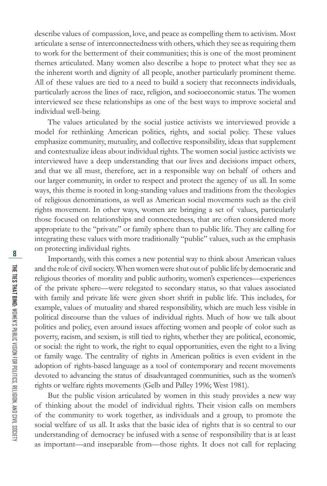describe values of compassion, love, and peace as compelling them to activism. Most articulate a sense of interconnectedness with others, which they see as requiring them to work for the betterment of their communities; this is one of the most prominent themes articulated. Many women also describe a hope to protect what they see as the inherent worth and dignity of all people, another particularly prominent theme. All of these values are tied to a need to build a society that reconnects individuals, particularly across the lines of race, religion, and socioeconomic status. The women interviewed see these relationships as one of the best ways to improve societal and individual well-being.

The values articulated by the social justice activists we interviewed provide a model for rethinking American politics, rights, and social policy. These values emphasize community, mutuality, and collective responsibility, ideas that supplement and contextualize ideas about individual rights. The women social justice activists we interviewed have a deep understanding that our lives and decisions impact others, and that we all must, therefore, act in a responsible way on behalf of others and our larger community, in order to respect and protect the agency of us all. In some ways, this theme is rooted in long-standing values and traditions from the theologies of religious denominations, as well as American social movements such as the civil rights movement. In other ways, women are bringing a set of values, particularly those focused on relationships and connectedness, that are often considered more appropriate to the "private" or family sphere than to public life. They are calling for integrating these values with more traditionally "public" values, such as the emphasis on protecting individual rights.

Importantly, with this comes a new potential way to think about American values and the role of civil society. When women were shut out of public life by democratic and religious theories of morality and public authority, women's experiences—experiences of the private sphere—were relegated to secondary status, so that values associated with family and private life were given short shrift in public life. This includes, for example, values of mutuality and shared responsibility, which are much less visible in political discourse than the values of individual rights. Much of how we talk about politics and policy, even around issues affecting women and people of color such as poverty, racism, and sexism, is still tied to rights, whether they are political, economic, or social: the right to work, the right to equal opportunities, even the right to a living or family wage. The centrality of rights in American politics is even evident in the adoption of rights-based language as a tool of contemporary and recent movements devoted to advancing the status of disadvantaged communities, such as the women's rights or welfare rights movements (Gelb and Palley 1996; West 1981).

But the public vision articulated by women in this study provides a new way of thinking about the model of individual rights. Their vision calls on members of the community to work together, as individuals and a group, to promote the social welfare of us all. It asks that the basic idea of rights that is so central to our understanding of democracy be infused with a sense of responsibility that is at least as important—and inseparable from—those rights. It does not call for replacing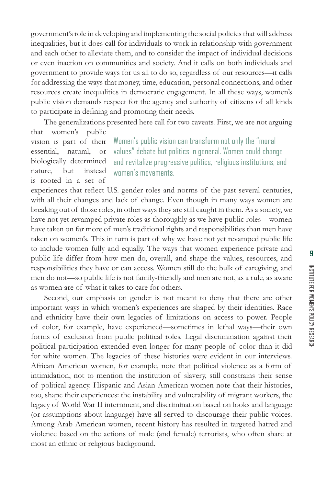government's role in developing and implementing the social policies that will address inequalities, but it does call for individuals to work in relationship with government and each other to alleviate them, and to consider the impact of individual decisions or even inaction on communities and society. And it calls on both individuals and government to provide ways for us all to do so, regardless of our resources—it calls for addressing the ways that money, time, education, personal connections, and other resources create inequalities in democratic engagement. In all these ways, women's public vision demands respect for the agency and authority of citizens of all kinds to participate in defining and promoting their needs.

The generalizations presented here call for two caveats. First, we are not arguing that women's public

vision is part of their essential, natural, or biologically determined nature, but instead is rooted in a set of

Women's public vision can transform not only the "moral values" debate but politics in general. Women could change and revitalize progressive politics, religious institutions, and women's movements.

experiences that reflect U.S. gender roles and norms of the past several centuries, with all their changes and lack of change. Even though in many ways women are breaking out of those roles, in other ways they are still caught in them. As a society, we have not yet revamped private roles as thoroughly as we have public roles—women have taken on far more of men's traditional rights and responsibilities than men have taken on women's. This in turn is part of why we have not yet revamped public life to include women fully and equally. The ways that women experience private and public life differ from how men do, overall, and shape the values, resources, and responsibilities they have or can access. Women still do the bulk of caregiving, and men do not—so public life is not family-friendly and men are not, as a rule, as aware as women are of what it takes to care for others.

Second, our emphasis on gender is not meant to deny that there are other important ways in which women's experiences are shaped by their identities. Race and ethnicity have their own legacies of limitations on access to power. People of color, for example, have experienced—sometimes in lethal ways—their own forms of exclusion from public political roles. Legal discrimination against their political participation extended even longer for many people of color than it did for white women. The legacies of these histories were evident in our interviews. African American women, for example, note that political violence as a form of intimidation, not to mention the institution of slavery, still constrains their sense of political agency. Hispanic and Asian American women note that their histories, too, shape their experiences: the instability and vulnerability of migrant workers, the legacy of World War II internment, and discrimination based on looks and language (or assumptions about language) have all served to discourage their public voices. Among Arab American women, recent history has resulted in targeted hatred and violence based on the actions of male (and female) terrorists, who often share at most an ethnic or religious background.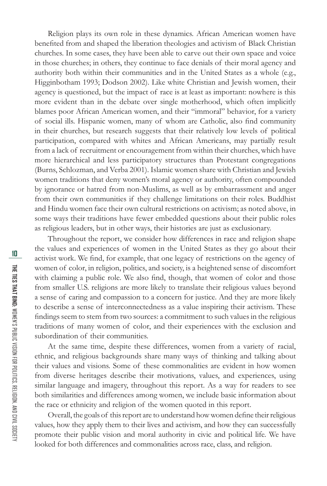Religion plays its own role in these dynamics. African American women have benefited from and shaped the liberation theologies and activism of Black Christian churches. In some cases, they have been able to carve out their own space and voice in those churches; in others, they continue to face denials of their moral agency and authority both within their communities and in the United States as a whole (e.g., Higginbotham 1993; Dodson 2002). Like white Christian and Jewish women, their agency is questioned, but the impact of race is at least as important: nowhere is this more evident than in the debate over single motherhood, which often implicitly blames poor African American women, and their "immoral" behavior, for a variety of social ills. Hispanic women, many of whom are Catholic, also find community in their churches, but research suggests that their relatively low levels of political participation, compared with whites and African Americans, may partially result from a lack of recruitment or encouragement from within their churches, which have more hierarchical and less participatory structures than Protestant congregations (Burns, Schlozman, and Verba 2001). Islamic women share with Christian and Jewish women traditions that deny women's moral agency or authority, often compounded by ignorance or hatred from non-Muslims, as well as by embarrassment and anger from their own communities if they challenge limitations on their roles. Buddhist and Hindu women face their own cultural restrictions on activism; as noted above, in some ways their traditions have fewer embedded questions about their public roles as religious leaders, but in other ways, their histories are just as exclusionary.

Throughout the report, we consider how differences in race and religion shape the values and experiences of women in the United States as they go about their activist work. We find, for example, that one legacy of restrictions on the agency of women of color, in religion, politics, and society, is a heightened sense of discomfort with claiming a public role. We also find, though, that women of color and those from smaller U.S. religions are more likely to translate their religious values beyond a sense of caring and compassion to a concern for justice. And they are more likely to describe a sense of interconnectedness as a value inspiring their activism. These findings seem to stem from two sources: a commitment to such values in the religious traditions of many women of color, and their experiences with the exclusion and subordination of their communities.

At the same time, despite these differences, women from a variety of racial, ethnic, and religious backgrounds share many ways of thinking and talking about their values and visions. Some of these commonalities are evident in how women from diverse heritages describe their motivations, values, and experiences, using similar language and imagery, throughout this report. As a way for readers to see both similarities and differences among women, we include basic information about the race or ethnicity and religion of the women quoted in this report.

Overall, the goals of this report are to understand how women define their religious values, how they apply them to their lives and activism, and how they can successfully promote their public vision and moral authority in civic and political life. We have looked for both differences and commonalities across race, class, and religion.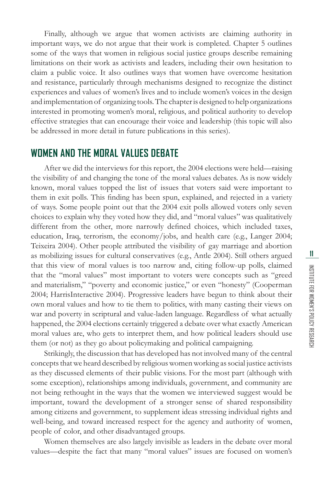Finally, although we argue that women activists are claiming authority in important ways, we do not argue that their work is completed. Chapter 5 outlines some of the ways that women in religious social justice groups describe remaining limitations on their work as activists and leaders, including their own hesitation to claim a public voice. It also outlines ways that women have overcome hesitation and resistance, particularly through mechanisms designed to recognize the distinct experiences and values of women's lives and to include women's voices in the design and implementation of organizing tools. The chapter is designed to help organizations interested in promoting women's moral, religious, and political authority to develop effective strategies that can encourage their voice and leadership (this topic will also be addressed in more detail in future publications in this series).

#### **WOMEN AND THE MORAL VALUES DEBATE**

After we did the interviews for this report, the 2004 elections were held—raising the visibility of and changing the tone of the moral values debates. As is now widely known, moral values topped the list of issues that voters said were important to them in exit polls. This finding has been spun, explained, and rejected in a variety of ways. Some people point out that the 2004 exit polls allowed voters only seven choices to explain why they voted how they did, and "moral values" was qualitatively different from the other, more narrowly defined choices, which included taxes, education, Iraq, terrorism, the economy/jobs, and health care (e.g., Langer 2004; Teixeira 2004). Other people attributed the visibility of gay marriage and abortion as mobilizing issues for cultural conservatives (e.g., Antle 2004). Still others argued that this view of moral values is too narrow and, citing follow-up polls, claimed that the "moral values" most important to voters were concepts such as "greed and materialism," "poverty and economic justice," or even "honesty" (Cooperman 2004; HarrisInteractive 2004). Progressive leaders have begun to think about their own moral values and how to tie them to politics, with many casting their views on war and poverty in scriptural and value-laden language. Regardless of what actually happened, the 2004 elections certainly triggered a debate over what exactly American moral values are, who gets to interpret them, and how political leaders should use them (or not) as they go about policymaking and political campaigning.

Strikingly, the discussion that has developed has not involved many of the central concepts that we heard described by religious women working as social justice activists as they discussed elements of their public visions. For the most part (although with some exception), relationships among individuals, government, and community are not being rethought in the ways that the women we interviewed suggest would be important, toward the development of a stronger sense of shared responsibility among citizens and government, to supplement ideas stressing individual rights and well-being, and toward increased respect for the agency and authority of women, people of color, and other disadvantaged groups.

Women themselves are also largely invisible as leaders in the debate over moral values—despite the fact that many "moral values" issues are focused on women's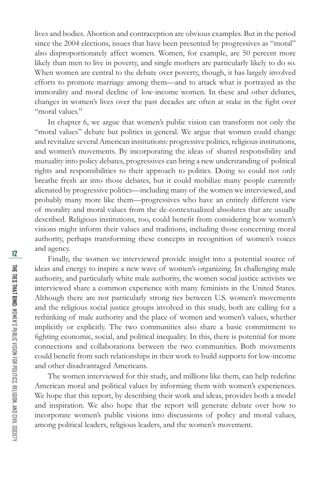lives and bodies. Abortion and contraception are obvious examples. But in the period since the 2004 elections, issues that have been presented by progressives as "moral" also disproportionately affect women. Women, for example, are 50 percent more likely than men to live in poverty, and single mothers are particularly likely to do so. When women are central to the debate over poverty, though, it has largely involved efforts to promote marriage among them—and to attack what is portrayed as the immorality and moral decline of low-income women. In these and other debates, changes in women's lives over the past decades are often at stake in the fight over "moral values."

In chapter 6, we argue that women's public vision can transform not only the "moral values" debate but politics in general. We argue that women could change and revitalize several American institutions: progressive politics, religious institutions, and women's movements. By incorporating the ideas of shared responsibility and mutuality into policy debates, progressives can bring a new understanding of political rights and responsibilities to their approach to politics. Doing so could not only breathe fresh air into those debates, but it could mobilize many people currently alienated by progressive politics—including many of the women we interviewed, and probably many more like them—progressives who have an entirely different view of morality and moral values from the de-contextualized absolutes that are usually described. Religious institutions, too, could benefit from considering how women's visions might inform their values and traditions, including those concerning moral authority, perhaps transforming these concepts in recognition of women's voices and agency.

Finally, the women we interviewed provide insight into a potential source of ideas and energy to inspire a new wave of women's organizing. In challenging male authority, and particularly white male authority, the women social justice activists we interviewed share a common experience with many feminists in the United States. Although there are not particularly strong ties between U.S. women's movements and the religious social justice groups involved in this study, both are calling for a rethinking of male authority and the place of women and women's values, whether implicitly or explicitly. The two communities also share a basic commitment to fighting economic, social, and political inequality. In this, there is potential for more connections and collaborations between the two communities. Both movements could benefit from such relationships in their work to build supports for low-income and other disadvantaged Americans.

The women interviewed for this study, and millions like them, can help redefine American moral and political values by informing them with women's experiences. We hope that this report, by describing their work and ideas, provides both a model and inspiration. We also hope that the report will generate debate over how to incorporate women's public visions into discussions of policy and moral values, among political leaders, religious leaders, and the women's movement.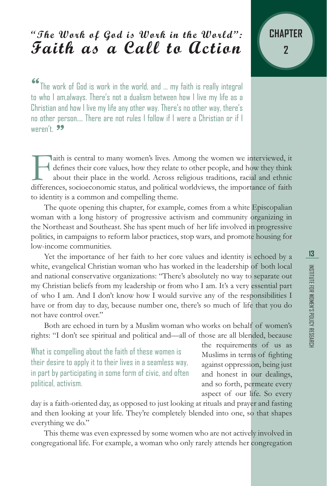## **"The Work of God is Work in the World": Faith as a Call to Action**

"The work of God is work in the world, and … my faith is really integral to who I am,always. There's not a dualism between how I live my life as a Christian and how I live my life any other way. There's no other way, there's no other person…. There are not rules I follow if I were a Christian or if I weren't.  $99$ 

Faith is central to many women's lives. Among the women we interviewed, it defines their core values, how they relate to other people, and how they think about their place in the world. Across religious traditions, racial defines their core values, how they relate to other people, and how they think about their place in the world. Across religious traditions, racial and ethnic to identity is a common and compelling theme.

The quote opening this chapter, for example, comes from a white Episcopalian woman with a long history of progressive activism and community organizing in the Northeast and Southeast. She has spent much of her life involved in progressive politics, in campaigns to reform labor practices, stop wars, and promote housing for low-income communities.

Yet the importance of her faith to her core values and identity is echoed by a white, evangelical Christian woman who has worked in the leadership of both local and national conservative organizations: "There's absolutely no way to separate out my Christian beliefs from my leadership or from who I am. It's a very essential part of who I am. And I don't know how I would survive any of the responsibilities I have or from day to day, because number one, there's so much of life that you do not have control over."

Both are echoed in turn by a Muslim woman who works on behalf of women's rights: "I don't see spiritual and political and—all of those are all blended, because

What is compelling about the faith of these women is their desire to apply it to their lives in a seamless way, in part by participating in some form of civic, and often political, activism.

the requirements of us as Muslims in terms of fighting against oppression, being just and honest in our dealings, and so forth, permeate every aspect of our life. So every

day is a faith-oriented day, as opposed to just looking at rituals and prayer and fasting and then looking at your life. They're completely blended into one, so that shapes everything we do."

This theme was even expressed by some women who are not actively involved in congregational life. For example, a woman who only rarely attends her congregation

**CHAPTER**

**2**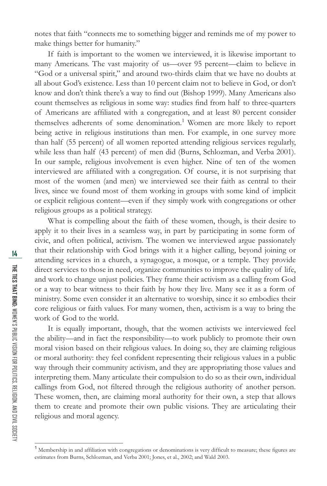notes that faith "connects me to something bigger and reminds me of my power to make things better for humanity."

If faith is important to the women we interviewed, it is likewise important to many Americans. The vast majority of us—over 95 percent—claim to believe in "God or a universal spirit," and around two-thirds claim that we have no doubts at all about God's existence. Less than 10 percent claim not to believe in God, or don't know and don't think there's a way to find out (Bishop 1999). Many Americans also count themselves as religious in some way: studies find from half to three-quarters of Americans are affiliated with a congregation, and at least 80 percent consider themselves adherents of some denomination.<sup>1</sup> Women are more likely to report being active in religious institutions than men. For example, in one survey more than half (55 percent) of all women reported attending religious services regularly, while less than half (43 percent) of men did (Burns, Schlozman, and Verba 2001). In our sample, religious involvement is even higher. Nine of ten of the women interviewed are affiliated with a congregation. Of course, it is not surprising that most of the women (and men) we interviewed see their faith as central to their lives, since we found most of them working in groups with some kind of implicit or explicit religious content—even if they simply work with congregations or other religious groups as a political strategy.

What is compelling about the faith of these women, though, is their desire to apply it to their lives in a seamless way, in part by participating in some form of civic, and often political, activism. The women we interviewed argue passionately that their relationship with God brings with it a higher calling, beyond joining or attending services in a church, a synagogue, a mosque, or a temple. They provide direct services to those in need, organize communities to improve the quality of life, and work to change unjust policies. They frame their activism as a calling from God or a way to bear witness to their faith by how they live. Many see it as a form of ministry. Some even consider it an alternative to worship, since it so embodies their core religious or faith values. For many women, then, activism is a way to bring the work of God to the world.

It is equally important, though, that the women activists we interviewed feel the ability—and in fact the responsibility—to work publicly to promote their own moral vision based on their religious values. In doing so, they are claiming religious or moral authority: they feel confident representing their religious values in a public way through their community activism, and they are appropriating those values and interpreting them. Many articulate their compulsion to do so as their own, individual callings from God, not filtered through the religious authority of another person. These women, then, are claiming moral authority for their own, a step that allows them to create and promote their own public visions. They are articulating their religious and moral agency.

<sup>&</sup>lt;sup>1</sup> Membership in and affiliation with congregations or denominations is very difficult to measure; these figures are estimates from Burns, Schlozman, and Verba 2001; Jones, et al., 2002; and Wald 2003.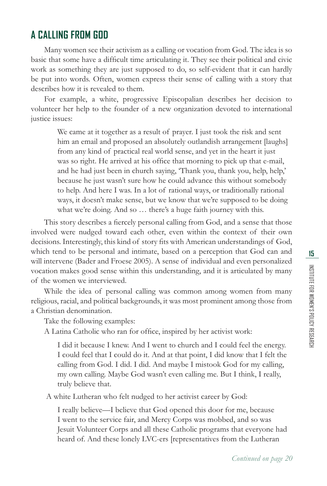### **A CALLING FROM GOD**

Many women see their activism as a calling or vocation from God. The idea is so basic that some have a difficult time articulating it. They see their political and civic work as something they are just supposed to do, so self-evident that it can hardly be put into words. Often, women express their sense of calling with a story that describes how it is revealed to them.

For example, a white, progressive Episcopalian describes her decision to volunteer her help to the founder of a new organization devoted to international justice issues:

We came at it together as a result of prayer. I just took the risk and sent him an email and proposed an absolutely outlandish arrangement [laughs] from any kind of practical real world sense, and yet in the heart it just was so right. He arrived at his office that morning to pick up that e-mail, and he had just been in church saying, 'Thank you, thank you, help, help,' because he just wasn't sure how he could advance this without somebody to help. And here I was. In a lot of rational ways, or traditionally rational ways, it doesn't make sense, but we know that we're supposed to be doing what we're doing. And so … there's a huge faith journey with this.

This story describes a fiercely personal calling from God, and a sense that those involved were nudged toward each other, even within the context of their own decisions. Interestingly, this kind of story fits with American understandings of God, which tend to be personal and intimate, based on a perception that God can and will intervene (Bader and Froese 2005). A sense of individual and even personalized vocation makes good sense within this understanding, and it is articulated by many of the women we interviewed.

While the idea of personal calling was common among women from many religious, racial, and political backgrounds, it was most prominent among those from a Christian denomination.

Take the following examples:

A Latina Catholic who ran for office, inspired by her activist work:

I did it because I knew. And I went to church and I could feel the energy. I could feel that I could do it. And at that point, I did know that I felt the calling from God. I did. I did. And maybe I mistook God for my calling, my own calling. Maybe God wasn't even calling me. But I think, I really, truly believe that.

A white Lutheran who felt nudged to her activist career by God:

I really believe—I believe that God opened this door for me, because I went to the service fair, and Mercy Corps was mobbed, and so was Jesuit Volunteer Corps and all these Catholic programs that everyone had heard of. And these lonely LVC-ers [representatives from the Lutheran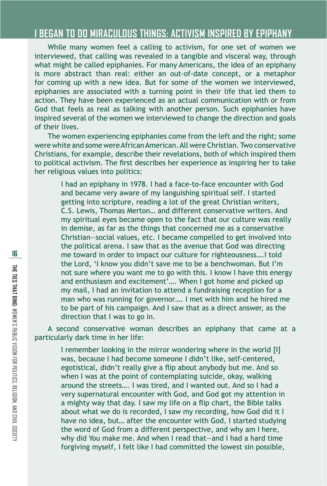#### **I BEGAN TO DO MIRACULOUS THINGS: ACTIVISM INSPIRED BY EPIPHANY**

While many women feel a calling to activism, for one set of women we interviewed, that calling was revealed in a tangible and visceral way, through what might be called epiphanies. For many Americans, the idea of an epiphany is more abstract than real: either an out-of-date concept, or a metaphor for coming up with a new idea. But for some of the women we interviewed, epiphanies are associated with a turning point in their life that led them to action. They have been experienced as an actual communication with or from God that feels as real as talking with another person. Such epiphanies have inspired several of the women we interviewed to change the direction and goals of their lives.

The women experiencing epiphanies come from the left and the right; some were white and some were African American. All were Christian. Two conservative Christians, for example, describe their revelations, both of which inspired them to political activism. The first describes her experience as inspiring her to take her religious values into politics:

> I had an epiphany in 1978. I had a face-to-face encounter with God and became very aware of my languishing spiritual self. I started getting into scripture, reading a lot of the great Christian writers, C.S. Lewis, Thomas Merton… and different conservative writers. And my spiritual eyes became open to the fact that our culture was really in demise, as far as the things that concerned me as a conservative Christian—social values, etc. I became compelled to get involved into the political arena. I saw that as the avenue that God was directing me toward in order to impact our culture for righteousness….I told the Lord, 'I know you didn't save me to be a benchwoman. But I'm not sure where you want me to go with this. I know I have this energy and enthusiasm and excitement'…. When I got home and picked up my mail, I had an invitation to attend a fundraising reception for a man who was running for governor…. I met with him and he hired me to be part of his campaign. And I saw that as a direct answer, as the direction that I was to go in.

A second conservative woman describes an epiphany that came at a particularly dark time in her life:

I remember looking in the mirror wondering where in the world [I] was, because I had become someone I didn't like, self-centered, egotistical, didn't really give a flip about anybody but me. And so when I was at the point of contemplating suicide, okay, walking around the streets…. I was tired, and I wanted out. And so I had a very supernatural encounter with God, and God got my attention in a mighty way that day. I saw my life on a flip chart, the Bible talks about what we do is recorded, I saw my recording, how God did it I have no idea, but… after the encounter with God, I started studying the word of God from a different perspective, and why am I here, why did You make me. And when I read that—and I had a hard time forgiving myself, I felt like I had committed the lowest sin possible,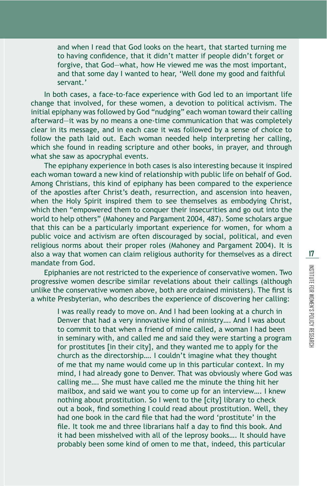and when I read that God looks on the heart, that started turning me to having confidence, that it didn't matter if people didn't forget or forgive, that God—what, how He viewed me was the most important, and that some day I wanted to hear, 'Well done my good and faithful servant.'

In both cases, a face-to-face experience with God led to an important life change that involved, for these women, a devotion to political activism. The initial epiphany was followed by God "nudging" each woman toward their calling afterward—it was by no means a one-time communication that was completely clear in its message, and in each case it was followed by a sense of choice to follow the path laid out. Each woman needed help interpreting her calling, which she found in reading scripture and other books, in prayer, and through what she saw as apocryphal events.

The epiphany experience in both cases is also interesting because it inspired each woman toward a new kind of relationship with public life on behalf of God. Among Christians, this kind of epiphany has been compared to the experience of the apostles after Christ's death, resurrection, and ascension into heaven, when the Holy Spirit inspired them to see themselves as embodying Christ, which then "empowered them to conquer their insecurities and go out into the world to help others" (Mahoney and Pargament 2004, 487). Some scholars argue that this can be a particularly important experience for women, for whom a public voice and activism are often discouraged by social, political, and even religious norms about their proper roles (Mahoney and Pargament 2004). It is also a way that women can claim religious authority for themselves as a direct mandate from God.

Epiphanies are not restricted to the experience of conservative women. Two progressive women describe similar revelations about their callings (although unlike the conservative women above, both are ordained ministers). The first is a white Presbyterian, who describes the experience of discovering her calling:

> I was really ready to move on. And I had been looking at a church in Denver that had a very innovative kind of ministry…. And I was about to commit to that when a friend of mine called, a woman I had been in seminary with, and called me and said they were starting a program for prostitutes [in their city], and they wanted me to apply for the church as the directorship…. I couldn't imagine what they thought of me that my name would come up in this particular context. In my mind, I had already gone to Denver. That was obviously where God was calling me…. She must have called me the minute the thing hit her mailbox, and said we want you to come up for an interview…. I knew nothing about prostitution. So I went to the [city] library to check out a book, find something I could read about prostitution. Well, they had one book in the card file that had the word 'prostitute' in the file. It took me and three librarians half a day to find this book. And it had been misshelved with all of the leprosy books…. It should have probably been some kind of omen to me that, indeed, this particular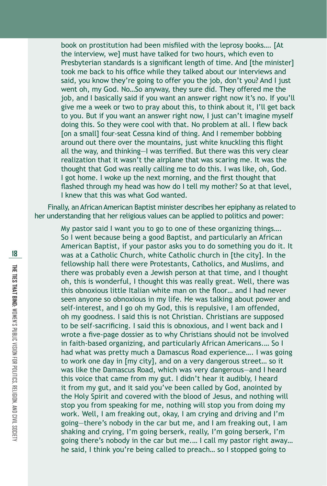book on prostitution had been misfiled with the leprosy books.... [At the interview, we] must have talked for two hours, which even to Presbyterian standards is a significant length of time. And Ithe ministerl took me back to his office while they talked about our interviews and said, you know they're going to offer you the job, don't you? And I just went oh, my God. No…So anyway, they sure did. They offered me the job, and I basically said if you want an answer right now it's no. If you'll give me a week or two to pray about this, to think about it, I'll get back to you. But if you want an answer right now, I just can't imagine myself doing this. So they were cool with that. No problem at all. I flew back [on a small] four-seat Cessna kind of thing. And I remember bobbing around out there over the mountains, just white knuckling this flight all the way, and thinking–I was terrified. But there was this very clear realization that it wasn't the airplane that was scaring me. It was the thought that God was really calling me to do this. I was like, oh, God. I got home. I woke up the next morning, and the first thought that flashed through my head was how do I tell my mother? So at that level, I knew that this was what God wanted.

Finally, an African American Baptist minister describes her epiphany as related to her understanding that her religious values can be applied to politics and power:

My pastor said I want you to go to one of these organizing things…. So I went because being a good Baptist, and particularly an African American Baptist, if your pastor asks you to do something you do it. It was at a Catholic Church, white Catholic church in [the city]. In the fellowship hall there were Protestants, Catholics, and Muslims, and there was probably even a Jewish person at that time, and I thought oh, this is wonderful, I thought this was really great. Well, there was this obnoxious little Italian white man on the floor... and I had never seen anyone so obnoxious in my life. He was talking about power and self-interest, and I go oh my God, this is repulsive, I am offended, oh my goodness. I said this is not Christian. Christians are supposed to be self-sacrificing. I said this is obnoxious, and I went back and I wrote a five-page dossier as to why Christians should not be involved in faith-based organizing, and particularly African Americans.… So I had what was pretty much a Damascus Road experience…. I was going to work one day in [my city], and on a very dangerous street… so it was like the Damascus Road, which was very dangerous—and I heard this voice that came from my gut. I didn't hear it audibly, I heard it from my gut, and it said you've been called by God, anointed by the Holy Spirit and covered with the blood of Jesus, and nothing will stop you from speaking for me, nothing will stop you from doing my work. Well, I am freaking out, okay, I am crying and driving and I'm going—there's nobody in the car but me, and I am freaking out, I am shaking and crying, I'm going berserk, really, I'm going berserk, I'm going there's nobody in the car but me.… I call my pastor right away… he said, I think you're being called to preach… so I stopped going to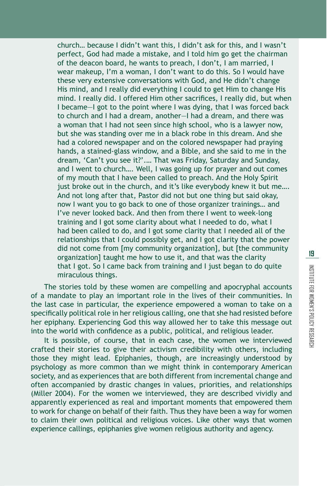church… because I didn't want this, I didn't ask for this, and I wasn't perfect, God had made a mistake, and I told him go get the chairman of the deacon board, he wants to preach, I don't, I am married, I wear makeup, I'm a woman, I don't want to do this. So I would have these very extensive conversations with God, and He didn't change His mind, and I really did everything I could to get Him to change His mind. I really did. I offered Him other sacrifices, I really did, but when I became—I got to the point where I was dying, that I was forced back to church and I had a dream, another—I had a dream, and there was a woman that I had not seen since high school, who is a lawyer now, but she was standing over me in a black robe in this dream. And she had a colored newspaper and on the colored newspaper had praying hands, a stained-glass window, and a Bible, and she said to me in the dream, 'Can't you see it?'.… That was Friday, Saturday and Sunday, and I went to church…. Well, I was going up for prayer and out comes of my mouth that I have been called to preach. And the Holy Spirit just broke out in the church, and it's like everybody knew it but me.... And not long after that, Pastor did not but one thing but said okay, now I want you to go back to one of those organizer trainings… and I've never looked back. And then from there I went to week-long training and I got some clarity about what I needed to do, what I had been called to do, and I got some clarity that I needed all of the relationships that I could possibly get, and I got clarity that the power did not come from [my community organization], but [the community organization] taught me how to use it, and that was the clarity that I got. So I came back from training and I just began to do quite miraculous things.

The stories told by these women are compelling and apocryphal accounts of a mandate to play an important role in the lives of their communities. In the last case in particular, the experience empowered a woman to take on a specifically political role in her religious calling, one that she had resisted before her epiphany. Experiencing God this way allowed her to take this message out into the world with confidence as a public, political, and religious leader.

It is possible, of course, that in each case, the women we interviewed crafted their stories to give their activism credibility with others, including those they might lead. Epiphanies, though, are increasingly understood by psychology as more common than we might think in contemporary American society, and as experiences that are both different from incremental change and often accompanied by drastic changes in values, priorities, and relationships (Miller 2004). For the women we interviewed, they are described vividly and apparently experienced as real and important moments that empowered them to work for change on behalf of their faith. Thus they have been a way for women to claim their own political and religious voices. Like other ways that women experience callings, epiphanies give women religious authority and agency.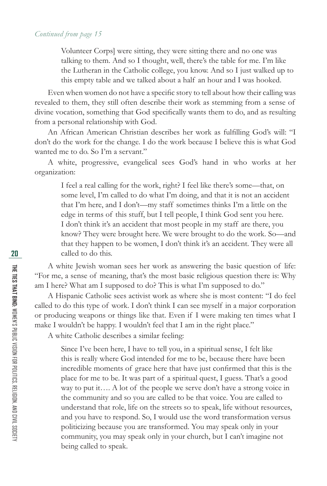Volunteer Corps] were sitting, they were sitting there and no one was talking to them. And so I thought, well, there's the table for me. I'm like the Lutheran in the Catholic college, you know. And so I just walked up to this empty table and we talked about a half an hour and I was hooked.

Even when women do not have a specific story to tell about how their calling was revealed to them, they still often describe their work as stemming from a sense of divine vocation, something that God specifically wants them to do, and as resulting from a personal relationship with God.

An African American Christian describes her work as fulfilling God's will: "I don't do the work for the change. I do the work because I believe this is what God wanted me to do. So I'm a servant."

A white, progressive, evangelical sees God's hand in who works at her organization:

> I feel a real calling for the work, right? I feel like there's some—that, on some level, I'm called to do what I'm doing, and that it is not an accident that I'm here, and I don't—my staff sometimes thinks I'm a little on the edge in terms of this stuff, but I tell people, I think God sent you here. I don't think it's an accident that most people in my staff are there, you know? They were brought here. We were brought to do the work. So—and that they happen to be women, I don't think it's an accident. They were all called to do this.

A white Jewish woman sees her work as answering the basic question of life: "For me, a sense of meaning, that's the most basic religious question there is: Why am I here? What am I supposed to do? This is what I'm supposed to do."

A Hispanic Catholic sees activist work as where she is most content: "I do feel called to do this type of work. I don't think I can see myself in a major corporation or producing weapons or things like that. Even if I were making ten times what I make I wouldn't be happy. I wouldn't feel that I am in the right place."

A white Catholic describes a similar feeling:

Since I've been here, I have to tell you, in a spiritual sense, I felt like this is really where God intended for me to be, because there have been incredible moments of grace here that have just confirmed that this is the place for me to be. It was part of a spiritual quest, I guess. That's a good way to put it…. A lot of the people we serve don't have a strong voice in the community and so you are called to be that voice. You are called to understand that role, life on the streets so to speak, life without resources, and you have to respond. So, I would use the word transformation versus politicizing because you are transformed. You may speak only in your community, you may speak only in your church, but I can't imagine not being called to speak.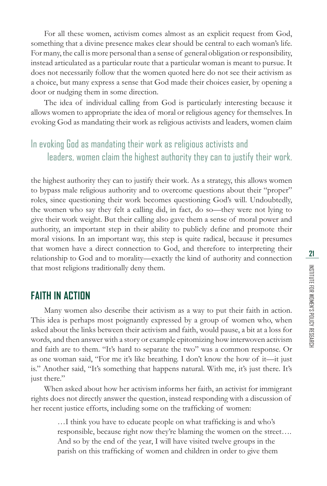For all these women, activism comes almost as an explicit request from God, something that a divine presence makes clear should be central to each woman's life. For many, the call is more personal than a sense of general obligation or responsibility, instead articulated as a particular route that a particular woman is meant to pursue. It does not necessarily follow that the women quoted here do not see their activism as a choice, but many express a sense that God made their choices easier, by opening a door or nudging them in some direction.

The idea of individual calling from God is particularly interesting because it allows women to appropriate the idea of moral or religious agency for themselves. In evoking God as mandating their work as religious activists and leaders, women claim

### In evoking God as mandating their work as religious activists and leaders, women claim the highest authority they can to justify their work.

the highest authority they can to justify their work. As a strategy, this allows women to bypass male religious authority and to overcome questions about their "proper" roles, since questioning their work becomes questioning God's will. Undoubtedly, the women who say they felt a calling did, in fact, do so—they were not lying to give their work weight. But their calling also gave them a sense of moral power and authority, an important step in their ability to publicly define and promote their moral visions. In an important way, this step is quite radical, because it presumes that women have a direct connection to God, and therefore to interpreting their relationship to God and to morality—exactly the kind of authority and connection that most religions traditionally deny them.

#### **FAITH IN ACTION**

Many women also describe their activism as a way to put their faith in action. This idea is perhaps most poignantly expressed by a group of women who, when asked about the links between their activism and faith, would pause, a bit at a loss for words, and then answer with a story or example epitomizing how interwoven activism and faith are to them. "It's hard to separate the two" was a common response. Or as one woman said, "For me it's like breathing. I don't know the how of it—it just is." Another said, "It's something that happens natural. With me, it's just there. It's just there."

When asked about how her activism informs her faith, an activist for immigrant rights does not directly answer the question, instead responding with a discussion of her recent justice efforts, including some on the trafficking of women:

...I think you have to educate people on what trafficking is and who's responsible, because right now they're blaming the women on the street…. And so by the end of the year, I will have visited twelve groups in the parish on this trafficking of women and children in order to give them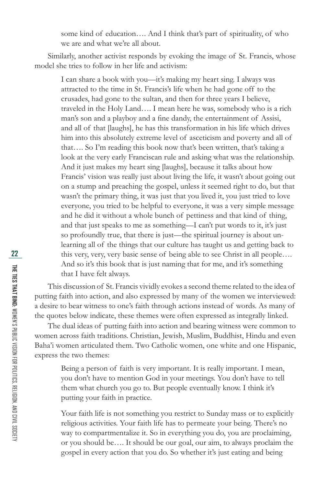some kind of education…. And I think that's part of spirituality, of who we are and what we're all about.

Similarly, another activist responds by evoking the image of St. Francis, whose model she tries to follow in her life and activism:

I can share a book with you—it's making my heart sing. I always was attracted to the time in St. Francis's life when he had gone off to the crusades, had gone to the sultan, and then for three years I believe, traveled in the Holy Land…. I mean here he was, somebody who is a rich man's son and a playboy and a fine dandy, the entertainment of Assisi, and all of that [laughs], he has this transformation in his life which drives him into this absolutely extreme level of asceticism and poverty and all of that…. So I'm reading this book now that's been written, that's taking a look at the very early Franciscan rule and asking what was the relationship. And it just makes my heart sing [laughs], because it talks about how Francis' vision was really just about living the life, it wasn't about going out on a stump and preaching the gospel, unless it seemed right to do, but that wasn't the primary thing, it was just that you lived it, you just tried to love everyone, you tried to be helpful to everyone, it was a very simple message and he did it without a whole bunch of pettiness and that kind of thing, and that just speaks to me as something—I can't put words to it, it's just so profoundly true, that there is just—the spiritual journey is about unlearning all of the things that our culture has taught us and getting back to this very, very, very basic sense of being able to see Christ in all people…. And so it's this book that is just naming that for me, and it's something that I have felt always.

This discussion of St. Francis vividly evokes a second theme related to the idea of putting faith into action, and also expressed by many of the women we interviewed: a desire to bear witness to one's faith through actions instead of words. As many of the quotes below indicate, these themes were often expressed as integrally linked.

The dual ideas of putting faith into action and bearing witness were common to women across faith traditions. Christian, Jewish, Muslim, Buddhist, Hindu and even Baha'i women articulated them. Two Catholic women, one white and one Hispanic, express the two themes:

> Being a person of faith is very important. It is really important. I mean, you don't have to mention God in your meetings. You don't have to tell them what church you go to. But people eventually know. I think it's putting your faith in practice.

Your faith life is not something you restrict to Sunday mass or to explicitly religious activities. Your faith life has to permeate your being. There's no way to compartmentalize it. So in everything you do, you are proclaiming, or you should be…. It should be our goal, our aim, to always proclaim the gospel in every action that you do. So whether it's just eating and being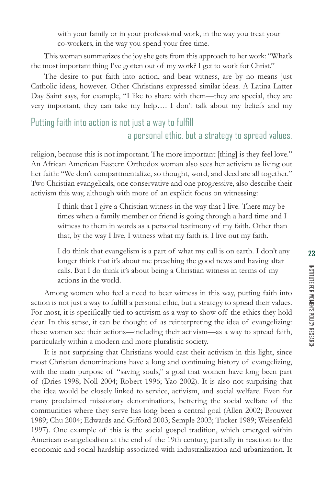with your family or in your professional work, in the way you treat your co-workers, in the way you spend your free time.

This woman summarizes the joy she gets from this approach to her work: "What's the most important thing I've gotten out of my work? I get to work for Christ."

The desire to put faith into action, and bear witness, are by no means just Catholic ideas, however. Other Christians expressed similar ideas. A Latina Latter Day Saint says, for example, "I like to share with them—they are special, they are very important, they can take my help…. I don't talk about my beliefs and my

### Putting faith into action is not just a way to fulfill a personal ethic, but a strategy to spread values.

religion, because this is not important. The more important [thing] is they feel love." An African American Eastern Orthodox woman also sees her activism as living out her faith: "We don't compartmentalize, so thought, word, and deed are all together." Two Christian evangelicals, one conservative and one progressive, also describe their activism this way, although with more of an explicit focus on witnessing:

> I think that I give a Christian witness in the way that I live. There may be times when a family member or friend is going through a hard time and I witness to them in words as a personal testimony of my faith. Other than that, by the way I live, I witness what my faith is. I live out my faith.

I do think that evangelism is a part of what my call is on earth. I don't any longer think that it's about me preaching the good news and having altar calls. But I do think it's about being a Christian witness in terms of my actions in the world.

Among women who feel a need to bear witness in this way, putting faith into action is not just a way to fulfill a personal ethic, but a strategy to spread their values. For most, it is specifically tied to activism as a way to show off the ethics they hold dear. In this sense, it can be thought of as reinterpreting the idea of evangelizing: these women see their actions—including their activism—as a way to spread faith, particularly within a modern and more pluralistic society.

It is not surprising that Christians would cast their activism in this light, since most Christian denominations have a long and continuing history of evangelizing, with the main purpose of "saving souls," a goal that women have long been part of (Dries 1998; Noll 2004; Robert 1996; Yao 2002). It is also not surprising that the idea would be closely linked to service, activism, and social welfare. Even for many proclaimed missionary denominations, bettering the social welfare of the communities where they serve has long been a central goal (Allen 2002; Brouwer 1989; Chu 2004; Edwards and Gifford 2003; Semple 2003; Tucker 1989; Weisenfeld 1997). One example of this is the social gospel tradition, which emerged within American evangelicalism at the end of the 19th century, partially in reaction to the economic and social hardship associated with industrialization and urbanization. It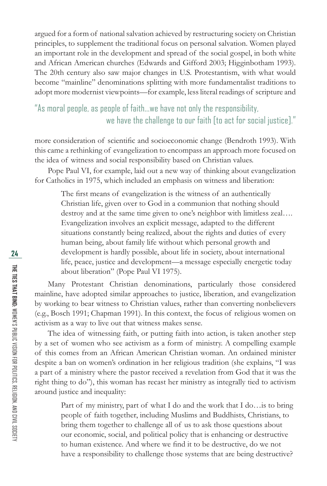argued for a form of national salvation achieved by restructuring society on Christian principles, to supplement the traditional focus on personal salvation. Women played an important role in the development and spread of the social gospel, in both white and African American churches (Edwards and Gifford 2003; Higginbotham 1993). The 20th century also saw major changes in U.S. Protestantism, with what would become "mainline" denominations splitting with more fundamentalist traditions to adopt more modernist viewpoints—for example, less literal readings of scripture and

### "As moral people, as people of faith...we have not only the responsibility, we have the challenge to our faith [to act for social justice]."

more consideration of scientific and socioeconomic change (Bendroth 1993). With this came a rethinking of evangelization to encompass an approach more focused on the idea of witness and social responsibility based on Christian values.

Pope Paul VI, for example, laid out a new way of thinking about evangelization for Catholics in 1975, which included an emphasis on witness and liberation:

The first means of evangelization is the witness of an authentically Christian life, given over to God in a communion that nothing should destroy and at the same time given to one's neighbor with limitless zeal…. Evangelization involves an explicit message, adapted to the different situations constantly being realized, about the rights and duties of every human being, about family life without which personal growth and development is hardly possible, about life in society, about international life, peace, justice and development—a message especially energetic today about liberation" (Pope Paul VI 1975).

Many Protestant Christian denominations, particularly those considered mainline, have adopted similar approaches to justice, liberation, and evangelization by working to bear witness to Christian values, rather than converting nonbelievers (e.g., Bosch 1991; Chapman 1991). In this context, the focus of religious women on activism as a way to live out that witness makes sense.

The idea of witnessing faith, or putting faith into action, is taken another step by a set of women who see activism as a form of ministry. A compelling example of this comes from an African American Christian woman. An ordained minister despite a ban on women's ordination in her religious tradition (she explains, "I was a part of a ministry where the pastor received a revelation from God that it was the right thing to do"), this woman has recast her ministry as integrally tied to activism around justice and inequality:

Part of my ministry, part of what I do and the work that I do…is to bring people of faith together, including Muslims and Buddhists, Christians, to bring them together to challenge all of us to ask those questions about our economic, social, and political policy that is enhancing or destructive to human existence. And where we find it to be destructive, do we not have a responsibility to challenge those systems that are being destructive?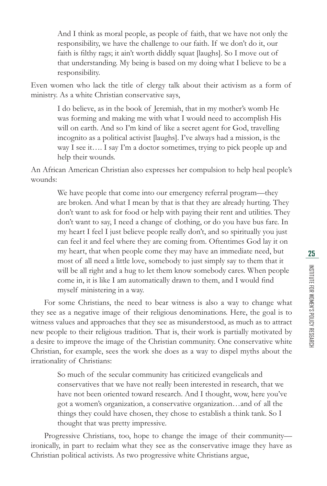And I think as moral people, as people of faith, that we have not only the responsibility, we have the challenge to our faith. If we don't do it, our faith is filthy rags; it ain't worth diddly squat [laughs]. So I move out of that understanding. My being is based on my doing what I believe to be a responsibility.

Even women who lack the title of clergy talk about their activism as a form of ministry. As a white Christian conservative says,

I do believe, as in the book of Jeremiah, that in my mother's womb He was forming and making me with what I would need to accomplish His will on earth. And so I'm kind of like a secret agent for God, travelling incognito as a political activist [laughs]. I've always had a mission, is the way I see it…. I say I'm a doctor sometimes, trying to pick people up and help their wounds.

An African American Christian also expresses her compulsion to help heal people's wounds:

> We have people that come into our emergency referral program—they are broken. And what I mean by that is that they are already hurting. They don't want to ask for food or help with paying their rent and utilities. They don't want to say, I need a change of clothing, or do you have bus fare. In my heart I feel I just believe people really don't, and so spiritually you just can feel it and feel where they are coming from. Oftentimes God lay it on my heart, that when people come they may have an immediate need, but most of all need a little love, somebody to just simply say to them that it will be all right and a hug to let them know somebody cares. When people come in, it is like I am automatically drawn to them, and I would find myself ministering in a way.

For some Christians, the need to bear witness is also a way to change what they see as a negative image of their religious denominations. Here, the goal is to witness values and approaches that they see as misunderstood, as much as to attract new people to their religious tradition. That is, their work is partially motivated by a desire to improve the image of the Christian community. One conservative white Christian, for example, sees the work she does as a way to dispel myths about the irrationality of Christians:

So much of the secular community has criticized evangelicals and conservatives that we have not really been interested in research, that we have not been oriented toward research. And I thought, wow, here you've got a women's organization, a conservative organization…and of all the things they could have chosen, they chose to establish a think tank. So I thought that was pretty impressive.

Progressive Christians, too, hope to change the image of their community ironically, in part to reclaim what they see as the conservative image they have as Christian political activists. As two progressive white Christians argue,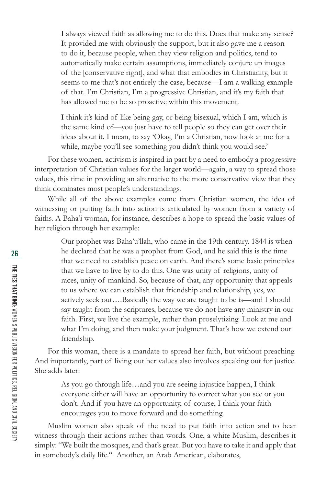I always viewed faith as allowing me to do this. Does that make any sense? It provided me with obviously the support, but it also gave me a reason to do it, because people, when they view religion and politics, tend to automatically make certain assumptions, immediately conjure up images of the [conservative right], and what that embodies in Christianity, but it seems to me that's not entirely the case, because—I am a walking example of that. I'm Christian, I'm a progressive Christian, and it's my faith that has allowed me to be so proactive within this movement.

I think it's kind of like being gay, or being bisexual, which I am, which is the same kind of—you just have to tell people so they can get over their ideas about it. I mean, to say 'Okay, I'm a Christian, now look at me for a while, maybe you'll see something you didn't think you would see.'

For these women, activism is inspired in part by a need to embody a progressive interpretation of Christian values for the larger world—again, a way to spread those values, this time in providing an alternative to the more conservative view that they think dominates most people's understandings.

While all of the above examples come from Christian women, the idea of witnessing or putting faith into action is articulated by women from a variety of faiths. A Baha'i woman, for instance, describes a hope to spread the basic values of her religion through her example:

Our prophet was Baha'u'llah, who came in the 19th century. 1844 is when he declared that he was a prophet from God, and he said this is the time that we need to establish peace on earth. And there's some basic principles that we have to live by to do this. One was unity of religions, unity of races, unity of mankind. So, because of that, any opportunity that appeals to us where we can establish that friendship and relationship, yes, we actively seek out….Basically the way we are taught to be is—and I should say taught from the scriptures, because we do not have any ministry in our faith. First, we live the example, rather than proselytizing. Look at me and what I'm doing, and then make your judgment. That's how we extend our friendship.

For this woman, there is a mandate to spread her faith, but without preaching. And importantly, part of living out her values also involves speaking out for justice. She adds later:

> As you go through life…and you are seeing injustice happen, I think everyone either will have an opportunity to correct what you see or you don't. And if you have an opportunity, of course, I think your faith encourages you to move forward and do something.

Muslim women also speak of the need to put faith into action and to bear witness through their actions rather than words. One, a white Muslim, describes it simply: "We built the mosques, and that's great. But you have to take it and apply that in somebody's daily life." Another, an Arab American, elaborates,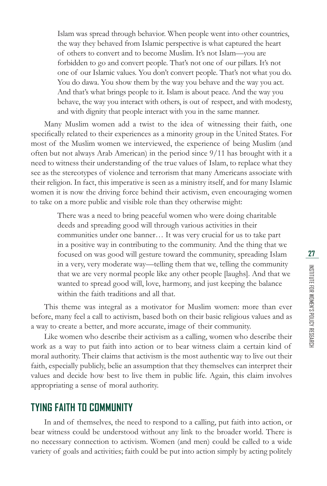Islam was spread through behavior. When people went into other countries, the way they behaved from Islamic perspective is what captured the heart of others to convert and to become Muslim. It's not Islam—you are forbidden to go and convert people. That's not one of our pillars. It's not one of our Islamic values. You don't convert people. That's not what you do. You do dawa. You show them by the way you behave and the way you act. And that's what brings people to it. Islam is about peace. And the way you behave, the way you interact with others, is out of respect, and with modesty, and with dignity that people interact with you in the same manner.

Many Muslim women add a twist to the idea of witnessing their faith, one specifically related to their experiences as a minority group in the United States. For most of the Muslim women we interviewed, the experience of being Muslim (and often but not always Arab American) in the period since 9/11 has brought with it a need to witness their understanding of the true values of Islam, to replace what they see as the stereotypes of violence and terrorism that many Americans associate with their religion. In fact, this imperative is seen as a ministry itself, and for many Islamic women it is now the driving force behind their activism, even encouraging women to take on a more public and visible role than they otherwise might:

> There was a need to bring peaceful women who were doing charitable deeds and spreading good will through various activities in their communities under one banner… It was very crucial for us to take part in a positive way in contributing to the community. And the thing that we focused on was good will gesture toward the community, spreading Islam in a very, very moderate way—telling them that we, telling the community that we are very normal people like any other people [laughs]. And that we wanted to spread good will, love, harmony, and just keeping the balance within the faith traditions and all that.

This theme was integral as a motivator for Muslim women: more than ever before, many feel a call to activism, based both on their basic religious values and as a way to create a better, and more accurate, image of their community.

Like women who describe their activism as a calling, women who describe their work as a way to put faith into action or to bear witness claim a certain kind of moral authority. Their claims that activism is the most authentic way to live out their faith, especially publicly, belie an assumption that they themselves can interpret their values and decide how best to live them in public life. Again, this claim involves appropriating a sense of moral authority.

#### **TYING FAITH TO COMMUNITY**

In and of themselves, the need to respond to a calling, put faith into action, or bear witness could be understood without any link to the broader world. There is no necessary connection to activism. Women (and men) could be called to a wide variety of goals and activities; faith could be put into action simply by acting politely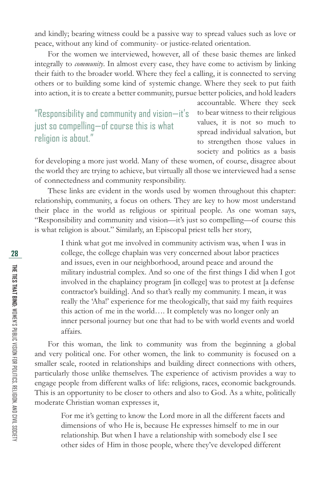and kindly; bearing witness could be a passive way to spread values such as love or peace, without any kind of community- or justice-related orientation.

For the women we interviewed, however, all of these basic themes are linked integrally to *community*. In almost every case, they have come to activism by linking their faith to the broader world. Where they feel a calling, it is connected to serving others or to building some kind of systemic change. Where they seek to put faith into action, it is to create a better community, pursue better policies, and hold leaders

"Responsibility and community and vision—it's just so compelling—of course this is what religion is about."

accountable. Where they seek to bear witness to their religious values, it is not so much to spread individual salvation, but to strengthen those values in society and politics as a basis

for developing a more just world. Many of these women, of course, disagree about the world they are trying to achieve, but virtually all those we interviewed had a sense of connectedness and community responsibility.

These links are evident in the words used by women throughout this chapter: relationship, community, a focus on others. They are key to how most understand their place in the world as religious or spiritual people. As one woman says, "Responsibility and community and vision—it's just so compelling—of course this is what religion is about." Similarly, an Episcopal priest tells her story,

I think what got me involved in community activism was, when I was in college, the college chaplain was very concerned about labor practices and issues, even in our neighborhood, around peace and around the military industrial complex. And so one of the first things I did when I got involved in the chaplaincy program [in college] was to protest at [a defense contractor's building]. And so that's really my community. I mean, it was really the 'Aha!' experience for me theologically, that said my faith requires this action of me in the world…. It completely was no longer only an inner personal journey but one that had to be with world events and world affairs.

For this woman, the link to community was from the beginning a global and very political one. For other women, the link to community is focused on a smaller scale, rooted in relationships and building direct connections with others, particularly those unlike themselves. The experience of activism provides a way to engage people from different walks of life: religions, races, economic backgrounds. This is an opportunity to be closer to others and also to God. As a white, politically moderate Christian woman expresses it,

> For me it's getting to know the Lord more in all the different facets and dimensions of who He is, because He expresses himself to me in our relationship. But when I have a relationship with somebody else I see other sides of Him in those people, where they've developed different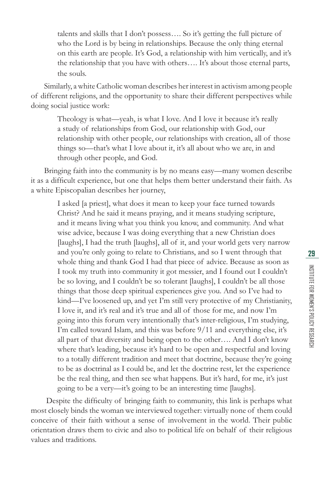talents and skills that I don't possess…. So it's getting the full picture of who the Lord is by being in relationships. Because the only thing eternal on this earth are people. It's God, a relationship with him vertically, and it's the relationship that you have with others…. It's about those eternal parts, the souls.

Similarly, a white Catholic woman describes her interest in activism among people of different religions, and the opportunity to share their different perspectives while doing social justice work:

> Theology is what—yeah, is what I love. And I love it because it's really a study of relationships from God, our relationship with God, our relationship with other people, our relationships with creation, all of those things so—that's what I love about it, it's all about who we are, in and through other people, and God.

Bringing faith into the community is by no means easy—many women describe it as a difficult experience, but one that helps them better understand their faith. As a white Episcopalian describes her journey,

> I asked [a priest], what does it mean to keep your face turned towards Christ? And he said it means praying, and it means studying scripture, and it means living what you think you know, and community. And what wise advice, because I was doing everything that a new Christian does [laughs], I had the truth [laughs], all of it, and your world gets very narrow and you're only going to relate to Christians, and so I went through that whole thing and thank God I had that piece of advice. Because as soon as I took my truth into community it got messier, and I found out I couldn't be so loving, and I couldn't be so tolerant [laughs], I couldn't be all those things that those deep spiritual experiences give you. And so I've had to kind—I've loosened up, and yet I'm still very protective of my Christianity, I love it, and it's real and it's true and all of those for me, and now I'm going into this forum very intentionally that's inter-religious, I'm studying, I'm called toward Islam, and this was before 9/11 and everything else, it's all part of that diversity and being open to the other…. And I don't know where that's leading, because it's hard to be open and respectful and loving to a totally different tradition and meet that doctrine, because they're going to be as doctrinal as I could be, and let the doctrine rest, let the experience be the real thing, and then see what happens. But it's hard, for me, it's just going to be a very—it's going to be an interesting time [laughs].

Despite the difficulty of bringing faith to community, this link is perhaps what most closely binds the woman we interviewed together: virtually none of them could conceive of their faith without a sense of involvement in the world. Their public orientation draws them to civic and also to political life on behalf of their religious values and traditions.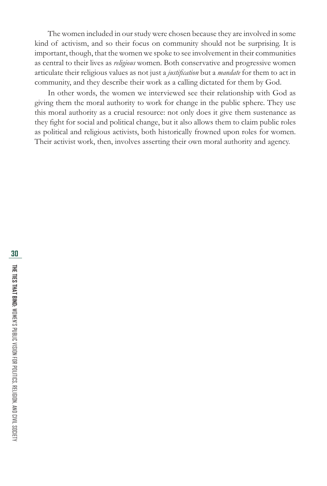The women included in our study were chosen because they are involved in some kind of activism, and so their focus on community should not be surprising. It is important, though, that the women we spoke to see involvement in their communities as central to their lives as *religious* women. Both conservative and progressive women articulate their religious values as not just a *justifi cation* but a *mandate* for them to act in community, and they describe their work as a calling dictated for them by God.

In other words, the women we interviewed see their relationship with God as giving them the moral authority to work for change in the public sphere. They use this moral authority as a crucial resource: not only does it give them sustenance as they fight for social and political change, but it also allows them to claim public roles as political and religious activists, both historically frowned upon roles for women. Their activist work, then, involves asserting their own moral authority and agency.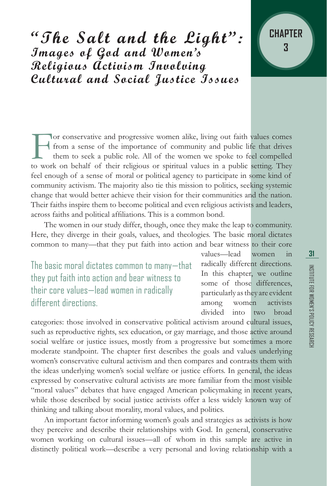**"The Salt and the Light": Images of God and Women's Religious Activism Involving Cultural and Social Justice Issues**



The women in our study differ, though, once they make the leap to community. Here, they diverge in their goals, values, and theologies. The basic moral dictates common to many—that they put faith into action and bear witness to their core

The basic moral dictates common to many—that they put faith into action and bear witness to their core values—lead women in radically different directions.

values—lead women in radically different directions. In this chapter, we outline some of those differences, particularly as they are evident among women activists divided into two broad

categories: those involved in conservative political activism around cultural issues, such as reproductive rights, sex education, or gay marriage, and those active around social welfare or justice issues, mostly from a progressive but sometimes a more moderate standpoint. The chapter first describes the goals and values underlying women's conservative cultural activism and then compares and contrasts them with the ideas underlying women's social welfare or justice efforts. In general, the ideas expressed by conservative cultural activists are more familiar from the most visible "moral values" debates that have engaged American policymaking in recent years, while those described by social justice activists offer a less widely known way of thinking and talking about morality, moral values, and politics.

An important factor informing women's goals and strategies as activists is how they perceive and describe their relationships with God. In general, conservative women working on cultural issues—all of whom in this sample are active in distinctly political work—describe a very personal and loving relationship with a

**CHAPTER**

**3**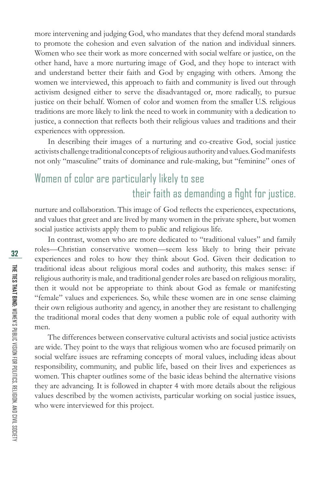more intervening and judging God, who mandates that they defend moral standards to promote the cohesion and even salvation of the nation and individual sinners. Women who see their work as more concerned with social welfare or justice, on the other hand, have a more nurturing image of God, and they hope to interact with and understand better their faith and God by engaging with others. Among the women we interviewed, this approach to faith and community is lived out through activism designed either to serve the disadvantaged or, more radically, to pursue justice on their behalf. Women of color and women from the smaller U.S. religious traditions are more likely to link the need to work in community with a dedication to justice, a connection that reflects both their religious values and traditions and their experiences with oppression.

In describing their images of a nurturing and co-creative God, social justice activists challenge traditional concepts of religious authority and values. God manifests not only "masculine" traits of dominance and rule-making, but "feminine" ones of

# Women of color are particularly likely to see their faith as demanding a fight for justice.

nurture and collaboration. This image of God reflects the experiences, expectations, and values that greet and are lived by many women in the private sphere, but women social justice activists apply them to public and religious life.

In contrast, women who are more dedicated to "traditional values" and family roles—Christian conservative women—seem less likely to bring their private experiences and roles to how they think about God. Given their dedication to traditional ideas about religious moral codes and authority, this makes sense: if religious authority is male, and traditional gender roles are based on religious morality, then it would not be appropriate to think about God as female or manifesting "female" values and experiences. So, while these women are in one sense claiming their own religious authority and agency, in another they are resistant to challenging the traditional moral codes that deny women a public role of equal authority with men.

The differences between conservative cultural activists and social justice activists are wide. They point to the ways that religious women who are focused primarily on social welfare issues are reframing concepts of moral values, including ideas about responsibility, community, and public life, based on their lives and experiences as women. This chapter outlines some of the basic ideas behind the alternative visions they are advancing. It is followed in chapter 4 with more details about the religious values described by the women activists, particular working on social justice issues, who were interviewed for this project.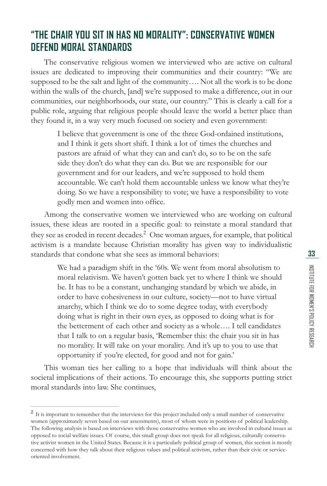## **"THE CHAIR YOU SIT IN HAS NO MORALITY": CONSERVATIVE WOMEN DEFEND MORAL STANDARDS**

The conservative religious women we interviewed who are active on cultural issues are dedicated to improving their communities and their country: "We are supposed to be the salt and light of the community…. Not all the work is to be done within the walls of the church, [and] we're supposed to make a difference, out in our communities, our neighborhoods, our state, our country." This is clearly a call for a public role, arguing that religious people should leave the world a better place than they found it, in a way very much focused on society and even government:

I believe that government is one of the three God-ordained institutions, and I think it gets short shift. I think a lot of times the churches and pastors are afraid of what they can and can't do, so to be on the safe side they don't do what they can do. But we are responsible for our government and for our leaders, and we're supposed to hold them accountable. We can't hold them accountable unless we know what they're doing. So we have a responsibility to vote; we have a responsibility to vote godly men and women into office.

Among the conservative women we interviewed who are working on cultural issues, these ideas are rooted in a specific goal: to reinstate a moral standard that they see as eroded in recent decades.<sup>2</sup> One woman argues, for example, that political activism is a mandate because Christian morality has given way to individualistic standards that condone what she sees as immoral behaviors:

> We had a paradigm shift in the '60s. We went from moral absolutism to moral relativism. We haven't gotten back yet to where I think we should be. It has to be a constant, unchanging standard by which we abide, in order to have cohesiveness in our culture, society—not to have virtual anarchy, which I think we do to some degree today, with everybody doing what is right in their own eyes, as opposed to doing what is for the betterment of each other and society as a whole…. I tell candidates that I talk to on a regular basis, 'Remember this: the chair you sit in has no morality. It will take on your morality. And it's up to you to use that opportunity if you're elected, for good and not for gain.'

This woman ties her calling to a hope that individuals will think about the societal implications of their actions. To encourage this, she supports putting strict moral standards into law. She continues,

<sup>&</sup>lt;sup>2</sup> It is important to remember that the interviews for this project included only a small number of conservative women (approximately seven based on our assessments), most of whom were in positions of political leadership. The following analysis is based on interviews with those conservative women who are involved in cultural issues as opposed to social welfare issues. Of course, this small group does not speak for all religious, culturally conservative activist women in the United States. Because it is a particularly political group of women, this section is mostly concerned with how they talk about their religious values and political activism, rather than their civic or serviceoriented involvement.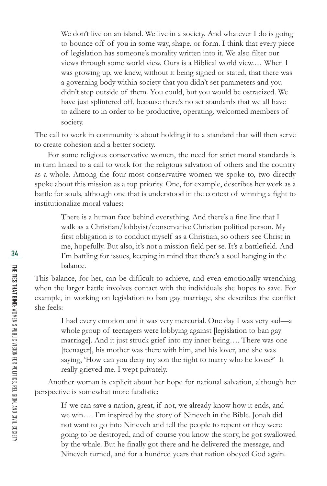We don't live on an island. We live in a society. And whatever I do is going to bounce off of you in some way, shape, or form. I think that every piece of legislation has someone's morality written into it. We also filter our views through some world view. Ours is a Biblical world view.… When I was growing up, we knew, without it being signed or stated, that there was a governing body within society that you didn't set parameters and you didn't step outside of them. You could, but you would be ostracized. We have just splintered off, because there's no set standards that we all have to adhere to in order to be productive, operating, welcomed members of society.

The call to work in community is about holding it to a standard that will then serve to create cohesion and a better society.

For some religious conservative women, the need for strict moral standards is in turn linked to a call to work for the religious salvation of others and the country as a whole. Among the four most conservative women we spoke to, two directly spoke about this mission as a top priority. One, for example, describes her work as a battle for souls, although one that is understood in the context of winning a fight to institutionalize moral values:

> There is a human face behind everything. And there's a fine line that I walk as a Christian/lobbyist/conservative Christian political person. My first obligation is to conduct myself as a Christian, so others see Christ in me, hopefully. But also, it's not a mission field per se. It's a battlefield. And I'm battling for issues, keeping in mind that there's a soul hanging in the balance.

This balance, for her, can be difficult to achieve, and even emotionally wrenching when the larger battle involves contact with the individuals she hopes to save. For example, in working on legislation to ban gay marriage, she describes the conflict she feels:

> I had every emotion and it was very mercurial. One day I was very sad—a whole group of teenagers were lobbying against [legislation to ban gay marriage]. And it just struck grief into my inner being…. There was one [teenager], his mother was there with him, and his lover, and she was saying, 'How can you deny my son the right to marry who he loves?' It really grieved me. I wept privately.

Another woman is explicit about her hope for national salvation, although her perspective is somewhat more fatalistic:

If we can save a nation, great, if not, we already know how it ends, and we win…. I'm inspired by the story of Nineveh in the Bible. Jonah did not want to go into Nineveh and tell the people to repent or they were going to be destroyed, and of course you know the story, he got swallowed by the whale. But he finally got there and he delivered the message, and Nineveh turned, and for a hundred years that nation obeyed God again.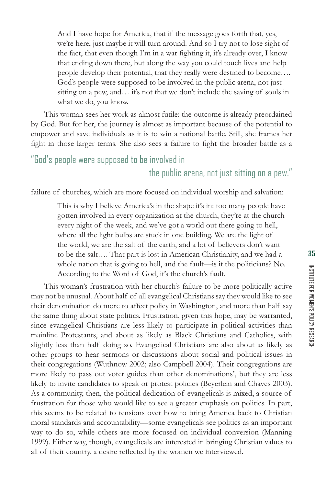And I have hope for America, that if the message goes forth that, yes, we're here, just maybe it will turn around. And so I try not to lose sight of the fact, that even though I'm in a war fighting it, it's already over, I know that ending down there, but along the way you could touch lives and help people develop their potential, that they really were destined to become…. God's people were supposed to be involved in the public arena, not just sitting on a pew, and... it's not that we don't include the saving of souls in what we do, you know.

This woman sees her work as almost futile: the outcome is already preordained by God. But for her, the journey is almost as important because of the potential to empower and save individuals as it is to win a national battle. Still, she frames her fight in those larger terms. She also sees a failure to fight the broader battle as a

### "God's people were supposed to be involved in the public arena, not just sitting on a pew."

failure of churches, which are more focused on individual worship and salvation:

This is why I believe America's in the shape it's in: too many people have gotten involved in every organization at the church, they're at the church every night of the week, and we've got a world out there going to hell, where all the light bulbs are stuck in one building. We are the light of the world, we are the salt of the earth, and a lot of believers don't want to be the salt…. That part is lost in American Christianity, and we had a whole nation that is going to hell, and the fault—is it the politicians? No. According to the Word of God, it's the church's fault.

This woman's frustration with her church's failure to be more politically active may not be unusual. About half of all evangelical Christians say they would like to see their denomination do more to affect policy in Washington, and more than half say the same thing about state politics. Frustration, given this hope, may be warranted, since evangelical Christians are less likely to participate in political activities than mainline Protestants, and about as likely as Black Christians and Catholics, with slightly less than half doing so. Evangelical Christians are also about as likely as other groups to hear sermons or discussions about social and political issues in their congregations (Wuthnow 2002; also Campbell 2004). Their congregations are more likely to pass out voter guides than other denominations', but they are less likely to invite candidates to speak or protest policies (Beyerlein and Chaves 2003). As a community, then, the political dedication of evangelicals is mixed, a source of frustration for those who would like to see a greater emphasis on politics. In part, this seems to be related to tensions over how to bring America back to Christian moral standards and accountability—some evangelicals see politics as an important way to do so, while others are more focused on individual conversion (Manning 1999). Either way, though, evangelicals are interested in bringing Christian values to all of their country, a desire reflected by the women we interviewed.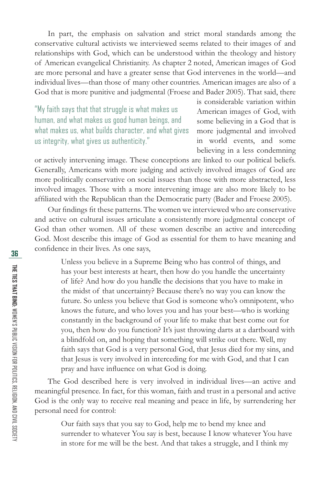In part, the emphasis on salvation and strict moral standards among the conservative cultural activists we interviewed seems related to their images of and relationships with God, which can be understood within the theology and history of American evangelical Christianity. As chapter 2 noted, American images of God are more personal and have a greater sense that God intervenes in the world—and individual lives—than those of many other countries. American images are also of a God that is more punitive and judgmental (Froese and Bader 2005). That said, there

"My faith says that that struggle is what makes us human, and what makes us good human beings, and what makes us, what builds character, and what gives us integrity, what gives us authenticity."

is considerable variation within American images of God, with some believing in a God that is more judgmental and involved in world events, and some believing in a less condemning

or actively intervening image. These conceptions are linked to our political beliefs. Generally, Americans with more judging and actively involved images of God are more politically conservative on social issues than those with more abstracted, less involved images. Those with a more intervening image are also more likely to be affiliated with the Republican than the Democratic party (Bader and Froese 2005).

Our findings fit these patterns. The women we interviewed who are conservative and active on cultural issues articulate a consistently more judgmental concept of God than other women. All of these women describe an active and interceding God. Most describe this image of God as essential for them to have meaning and confidence in their lives. As one says,

Unless you believe in a Supreme Being who has control of things, and has your best interests at heart, then how do you handle the uncertainty of life? And how do you handle the decisions that you have to make in the midst of that uncertainty? Because there's no way you can know the future. So unless you believe that God is someone who's omnipotent, who knows the future, and who loves you and has your best—who is working constantly in the background of your life to make that best come out for you, then how do you function? It's just throwing darts at a dartboard with a blindfold on, and hoping that something will strike out there. Well, my faith says that God is a very personal God, that Jesus died for my sins, and that Jesus is very involved in interceding for me with God, and that I can pray and have influence on what God is doing.

The God described here is very involved in individual lives—an active and meaningful presence. In fact, for this woman, faith and trust in a personal and active God is the only way to receive real meaning and peace in life, by surrendering her personal need for control:

Our faith says that you say to God, help me to bend my knee and surrender to whatever You say is best, because I know whatever You have in store for me will be the best. And that takes a struggle, and I think my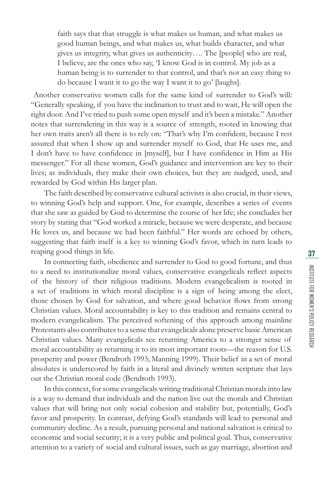faith says that that struggle is what makes us human, and what makes us good human beings, and what makes us, what builds character, and what gives us integrity, what gives us authenticity…. The [people] who are real, I believe, are the ones who say, 'I know God is in control. My job as a human being is to surrender to that control, and that's not an easy thing to do because I want it to go the way I want it to go' [laughs].

 Another conservative women calls for the same kind of surrender to God's will: "Generally speaking, if you have the inclination to trust and to wait, He will open the right door. And I've tried to push some open myself and it's been a mistake." Another notes that surrendering in this way is a source of strength, rooted in knowing that her own traits aren't all there is to rely on: "That's why I'm confident, because I rest assured that when I show up and surrender myself to God, that He uses me, and I don't have to have confidence in [myself], but I have confidence in Him as His messenger." For all these women, God's guidance and intervention are key to their lives; as individuals, they make their own choices, but they are nudged, used, and rewarded by God within His larger plan.

The faith described by conservative cultural activists is also crucial, in their views, to winning God's help and support. One, for example, describes a series of events that she saw as guided by God to determine the course of her life; she concludes her story by stating that "God worked a miracle, because we were desperate, and because He loves us, and because we had been faithful." Her words are echoed by others, suggesting that faith itself is a key to winning God's favor, which in turn leads to reaping good things in life.

In connecting faith, obedience and surrender to God to good fortune, and thus to a need to institutionalize moral values, conservative evangelicals reflect aspects of the history of their religious traditions. Modern evangelicalism is rooted in a set of traditions in which moral discipline is a sign of being among the elect, those chosen by God for salvation, and where good behavior flows from strong Christian values. Moral accountability is key to this tradition and remains central to modern evangelicalism. The perceived softening of this approach among mainline Protestants also contributes to a sense that evangelicals alone preserve basic American Christian values. Many evangelicals see returning America to a stronger sense of moral accountability as returning it to its most important roots—the reason for U.S. prosperity and power (Bendroth 1993; Manning 1999). Their belief in a set of moral absolutes is underscored by faith in a literal and divinely written scripture that lays out the Christian moral code (Bendroth 1993).

In this context, for some evangelicals writing traditional Christian morals into law is a way to demand that individuals and the nation live out the morals and Christian values that will bring not only social cohesion and stability but, potentially, God's favor and prosperity. In contrast, defying God's standards will lead to personal and community decline. As a result, pursuing personal and national salvation is critical to economic and social security; it is a very public and political goal. Thus, conservative attention to a variety of social and cultural issues, such as gay marriage, abortion and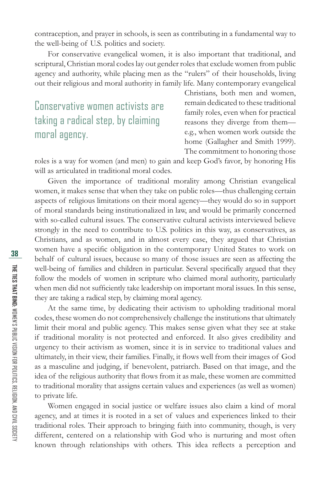contraception, and prayer in schools, is seen as contributing in a fundamental way to the well-being of U.S. politics and society.

For conservative evangelical women, it is also important that traditional, and scriptural, Christian moral codes lay out gender roles that exclude women from public agency and authority, while placing men as the "rulers" of their households, living out their religious and moral authority in family life. Many contemporary evangelical

Conservative women activists are taking a radical step, by claiming moral agency.

Christians, both men and women, remain dedicated to these traditional family roles, even when for practical reasons they diverge from them e.g., when women work outside the home (Gallagher and Smith 1999). The commitment to honoring those

roles is a way for women (and men) to gain and keep God's favor, by honoring His will as articulated in traditional moral codes.

Given the importance of traditional morality among Christian evangelical women, it makes sense that when they take on public roles—thus challenging certain aspects of religious limitations on their moral agency—they would do so in support of moral standards being institutionalized in law, and would be primarily concerned with so-called cultural issues. The conservative cultural activists interviewed believe strongly in the need to contribute to U.S. politics in this way, as conservatives, as Christians, and as women, and in almost every case, they argued that Christian women have a specific obligation in the contemporary United States to work on behalf of cultural issues, because so many of those issues are seen as affecting the well-being of families and children in particular. Several specifically argued that they follow the models of women in scripture who claimed moral authority, particularly when men did not sufficiently take leadership on important moral issues. In this sense, they are taking a radical step, by claiming moral agency.

At the same time, by dedicating their activism to upholding traditional moral codes, these women do not comprehensively challenge the institutions that ultimately limit their moral and public agency. This makes sense given what they see at stake if traditional morality is not protected and enforced. It also gives credibility and urgency to their activism as women, since it is in service to traditional values and ultimately, in their view, their families. Finally, it flows well from their images of God as a masculine and judging, if benevolent, patriarch. Based on that image, and the idea of the religious authority that flows from it as male, these women are committed to traditional morality that assigns certain values and experiences (as well as women) to private life.

Women engaged in social justice or welfare issues also claim a kind of moral agency, and at times it is rooted in a set of values and experiences linked to their traditional roles. Their approach to bringing faith into community, though, is very different, centered on a relationship with God who is nurturing and most often known through relationships with others. This idea reflects a perception and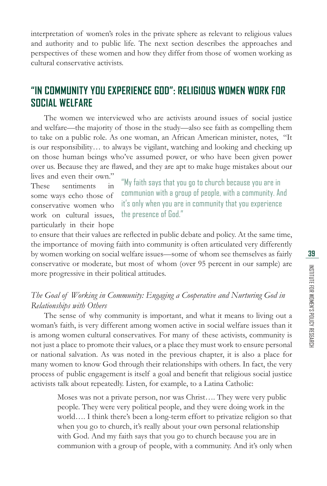INSTITUTE FOR WOMEN'S POLICY RESEARCH

INSTITUTE FOR WOMEN'S POLICY RESEARCH

interpretation of women's roles in the private sphere as relevant to religious values and authority and to public life. The next section describes the approaches and perspectives of these women and how they differ from those of women working as cultural conservative activists.

### **"IN COMMUNITY YOU EXPERIENCE GOD": RELIGIOUS WOMEN WORK FOR SOCIAL WELFARE**

The women we interviewed who are activists around issues of social justice and welfare—the majority of those in the study—also see faith as compelling them to take on a public role. As one woman, an African American minister, notes, "It is our responsibility… to always be vigilant, watching and looking and checking up on those human beings who've assumed power, or who have been given power over us. Because they are flawed, and they are apt to make huge mistakes about our

lives and even their own." These sentiments in some ways echo those of conservative women who work on cultural issues, particularly in their hope

"My faith says that you go to church because you are in communion with a group of people, with a community. And it's only when you are in community that you experience the presence of God."

to ensure that their values are reflected in public debate and policy. At the same time, the importance of moving faith into community is often articulated very differently by women working on social welfare issues—some of whom see themselves as fairly conservative or moderate, but most of whom (over 95 percent in our sample) are more progressive in their political attitudes.

#### *The Goal of Working in Community: Engaging a Cooperative and Nurturing God in Relationships with Others*

The sense of why community is important, and what it means to living out a woman's faith, is very different among women active in social welfare issues than it is among women cultural conservatives. For many of these activists, community is not just a place to promote their values, or a place they must work to ensure personal or national salvation. As was noted in the previous chapter, it is also a place for many women to know God through their relationships with others. In fact, the very process of public engagement is itself a goal and benefit that religious social justice activists talk about repeatedly. Listen, for example, to a Latina Catholic:

Moses was not a private person, nor was Christ…. They were very public people. They were very political people, and they were doing work in the world…. I think there's been a long-term effort to privatize religion so that when you go to church, it's really about your own personal relationship with God. And my faith says that you go to church because you are in communion with a group of people, with a community. And it's only when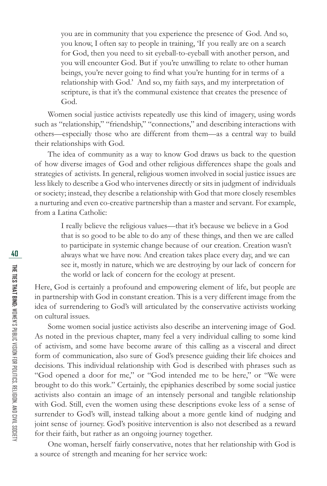you are in community that you experience the presence of God. And so, you know, I often say to people in training, 'If you really are on a search for God, then you need to sit eyeball-to-eyeball with another person, and you will encounter God. But if you're unwilling to relate to other human beings, you're never going to find what you're hunting for in terms of a relationship with God.' And so, my faith says, and my interpretation of scripture, is that it's the communal existence that creates the presence of God.

Women social justice activists repeatedly use this kind of imagery, using words such as "relationship," "friendship," "connections," and describing interactions with others—especially those who are different from them—as a central way to build their relationships with God.

The idea of community as a way to know God draws us back to the question of how diverse images of God and other religious differences shape the goals and strategies of activists. In general, religious women involved in social justice issues are less likely to describe a God who intervenes directly or sits in judgment of individuals or society; instead, they describe a relationship with God that more closely resembles a nurturing and even co-creative partnership than a master and servant. For example, from a Latina Catholic:

> I really believe the religious values—that it's because we believe in a God that is so good to be able to do any of these things, and then we are called to participate in systemic change because of our creation. Creation wasn't always what we have now. And creation takes place every day, and we can see it, mostly in nature, which we are destroying by our lack of concern for the world or lack of concern for the ecology at present.

Here, God is certainly a profound and empowering element of life, but people are in partnership with God in constant creation. This is a very different image from the idea of surrendering to God's will articulated by the conservative activists working on cultural issues.

Some women social justice activists also describe an intervening image of God. As noted in the previous chapter, many feel a very individual calling to some kind of activism, and some have become aware of this calling as a visceral and direct form of communication, also sure of God's presence guiding their life choices and decisions. This individual relationship with God is described with phrases such as "God opened a door for me," or "God intended me to be here," or "We were brought to do this work." Certainly, the epiphanies described by some social justice activists also contain an image of an intensely personal and tangible relationship with God. Still, even the women using these descriptions evoke less of a sense of surrender to God's will, instead talking about a more gentle kind of nudging and joint sense of journey. God's positive intervention is also not described as a reward for their faith, but rather as an ongoing journey together.

One woman, herself fairly conservative, notes that her relationship with God is a source of strength and meaning for her service work: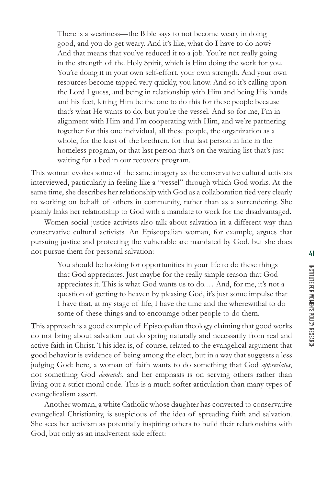There is a weariness—the Bible says to not become weary in doing good, and you do get weary. And it's like, what do I have to do now? And that means that you've reduced it to a job. You're not really going in the strength of the Holy Spirit, which is Him doing the work for you. You're doing it in your own self-effort, your own strength. And your own resources become tapped very quickly, you know. And so it's calling upon the Lord I guess, and being in relationship with Him and being His hands and his feet, letting Him be the one to do this for these people because that's what He wants to do, but you're the vessel. And so for me, I'm in alignment with Him and I'm cooperating with Him, and we're partnering together for this one individual, all these people, the organization as a whole, for the least of the brethren, for that last person in line in the homeless program, or that last person that's on the waiting list that's just waiting for a bed in our recovery program.

This woman evokes some of the same imagery as the conservative cultural activists interviewed, particularly in feeling like a "vessel" through which God works. At the same time, she describes her relationship with God as a collaboration tied very clearly to working on behalf of others in community, rather than as a surrendering. She plainly links her relationship to God with a mandate to work for the disadvantaged.

Women social justice activists also talk about salvation in a different way than conservative cultural activists. An Episcopalian woman, for example, argues that pursuing justice and protecting the vulnerable are mandated by God, but she does not pursue them for personal salvation:

> You should be looking for opportunities in your life to do these things that God appreciates. Just maybe for the really simple reason that God appreciates it. This is what God wants us to do.… And, for me, it's not a question of getting to heaven by pleasing God, it's just some impulse that I have that, at my stage of life, I have the time and the wherewithal to do some of these things and to encourage other people to do them.

This approach is a good example of Episcopalian theology claiming that good works do not bring about salvation but do spring naturally and necessarily from real and active faith in Christ. This idea is, of course, related to the evangelical argument that good behavior is evidence of being among the elect, but in a way that suggests a less judging God: here, a woman of faith wants to do something that God *appreciates*, not something God *demands*, and her emphasis is on serving others rather than living out a strict moral code. This is a much softer articulation than many types of evangelicalism assert.

Another woman, a white Catholic whose daughter has converted to conservative evangelical Christianity, is suspicious of the idea of spreading faith and salvation. She sees her activism as potentially inspiring others to build their relationships with God, but only as an inadvertent side effect: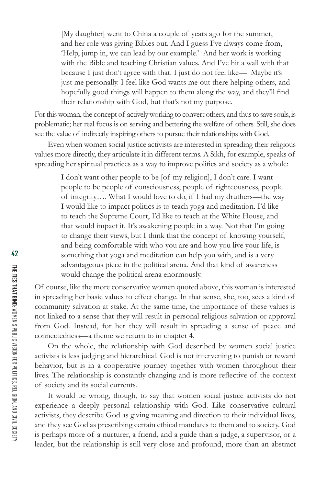[My daughter] went to China a couple of years ago for the summer, and her role was giving Bibles out. And I guess I've always come from, 'Help, jump in, we can lead by our example.' And her work is working with the Bible and teaching Christian values. And I've hit a wall with that because I just don't agree with that. I just do not feel like— Maybe it's just me personally. I feel like God wants me out there helping others, and hopefully good things will happen to them along the way, and they'll find their relationship with God, but that's not my purpose.

For this woman, the concept of actively working to convert others, and thus to save souls, is problematic; her real focus is on serving and bettering the welfare of others. Still, she does see the value of indirectly inspiring others to pursue their relationships with God.

Even when women social justice activists are interested in spreading their religious values more directly, they articulate it in different terms. A Sikh, for example, speaks of spreading her spiritual practices as a way to improve politics and society as a whole:

I don't want other people to be [of my religion], I don't care. I want people to be people of consciousness, people of righteousness, people of integrity…. What I would love to do, if I had my druthers—the way I would like to impact politics is to teach yoga and meditation. I'd like to teach the Supreme Court, I'd like to teach at the White House, and that would impact it. It's awakening people in a way. Not that I'm going to change their views, but I think that the concept of knowing yourself, and being comfortable with who you are and how you live your life, is something that yoga and meditation can help you with, and is a very advantageous piece in the political arena. And that kind of awareness would change the political arena enormously.

Of course, like the more conservative women quoted above, this woman is interested in spreading her basic values to effect change. In that sense, she, too, sees a kind of community salvation at stake. At the same time, the importance of these values is not linked to a sense that they will result in personal religious salvation or approval from God. Instead, for her they will result in spreading a sense of peace and connectedness—a theme we return to in chapter 4.

On the whole, the relationship with God described by women social justice activists is less judging and hierarchical. God is not intervening to punish or reward behavior, but is in a cooperative journey together with women throughout their lives. The relationship is constantly changing and is more reflective of the context of society and its social currents.

It would be wrong, though, to say that women social justice activists do not experience a deeply personal relationship with God. Like conservative cultural activists, they describe God as giving meaning and direction to their individual lives, and they see God as prescribing certain ethical mandates to them and to society. God is perhaps more of a nurturer, a friend, and a guide than a judge, a supervisor, or a leader, but the relationship is still very close and profound, more than an abstract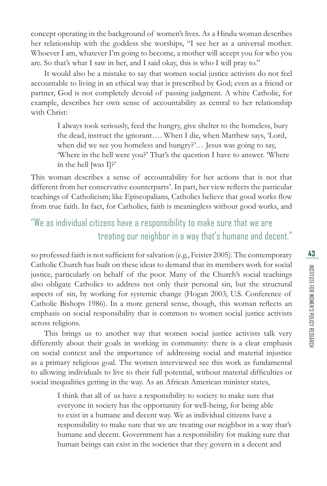concept operating in the background of women's lives. As a Hindu woman describes her relationship with the goddess she worships, "I see her as a universal mother. Whoever I am, whatever I'm going to become, a mother will accept you for who you are. So that's what I saw in her, and I said okay, this is who I will pray to."

It would also be a mistake to say that women social justice activists do not feel accountable to living in an ethical way that is prescribed by God; even as a friend or partner, God is not completely devoid of passing judgment. A white Catholic, for example, describes her own sense of accountability as central to her relationship with Christ:

I always took seriously, feed the hungry, give shelter to the homeless, bury the dead, instruct the ignorant…. When I die, when Matthew says, 'Lord, when did we see you homeless and hungry?'… Jesus was going to say, 'Where in the hell were you?' That's the question I have to answer. 'Where in the hell [was I]?'

This woman describes a sense of accountability for her actions that is not that different from her conservative counterparts'. In part, her view reflects the particular teachings of Catholicism; like Episcopalians, Catholics believe that good works flow from true faith. In fact, for Catholics, faith is meaningless without good works, and

## "We as individual citizens have a responsibility to make sure that we are treating our neighbor in a way that's humane and decent."

so professed faith is not sufficient for salvation (e.g., Feister 2005). The contemporary Catholic Church has built on these ideas to demand that its members work for social justice, particularly on behalf of the poor. Many of the Church's social teachings also obligate Catholics to address not only their personal sin, but the structural aspects of sin, by working for systemic change (Hogan 2003; U.S. Conference of Catholic Bishops 1986). In a more general sense, though, this woman reflects an emphasis on social responsibility that is common to women social justice activists across religions.

This brings us to another way that women social justice activists talk very differently about their goals in working in community: there is a clear emphasis on social context and the importance of addressing social and material injustice as a primary religious goal. The women interviewed see this work as fundamental to allowing individuals to live to their full potential, without material difficulties or social inequalities getting in the way. As an African American minister states,

I think that all of us have a responsibility to society to make sure that everyone in society has the opportunity for well-being, for being able to exist in a humane and decent way. We as individual citizens have a responsibility to make sure that we are treating our neighbor in a way that's humane and decent. Government has a responsibility for making sure that human beings can exist in the societies that they govern in a decent and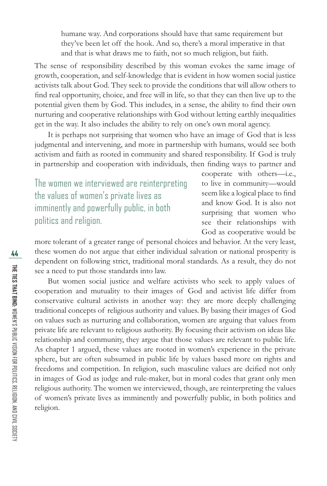humane way. And corporations should have that same requirement but they've been let off the hook. And so, there's a moral imperative in that and that is what draws me to faith, not so much religion, but faith.

The sense of responsibility described by this woman evokes the same image of growth, cooperation, and self-knowledge that is evident in how women social justice activists talk about God. They seek to provide the conditions that will allow others to find real opportunity, choice, and free will in life, so that they can then live up to the potential given them by God. This includes, in a sense, the ability to find their own nurturing and cooperative relationships with God without letting earthly inequalities get in the way. It also includes the ability to rely on one's own moral agency.

It is perhaps not surprising that women who have an image of God that is less judgmental and intervening, and more in partnership with humans, would see both activism and faith as rooted in community and shared responsibility. If God is truly in partnership and cooperation with individuals, then finding ways to partner and

The women we interviewed are reinterpreting the values of women's private lives as imminently and powerfully public, in both politics and religion.

cooperate with others—i.e., to live in community—would seem like a logical place to find and know God. It is also not surprising that women who see their relationships with God as cooperative would be

more tolerant of a greater range of personal choices and behavior. At the very least, these women do not argue that either individual salvation or national prosperity is dependent on following strict, traditional moral standards. As a result, they do not see a need to put those standards into law.

But women social justice and welfare activists who seek to apply values of cooperation and mutuality to their images of God and activist life differ from conservative cultural activists in another way: they are more deeply challenging traditional concepts of religious authority and values. By basing their images of God on values such as nurturing and collaboration, women are arguing that values from private life are relevant to religious authority. By focusing their activism on ideas like relationship and community, they argue that those values are relevant to public life. As chapter 1 argued, these values are rooted in women's experience in the private sphere, but are often subsumed in public life by values based more on rights and freedoms and competition. In religion, such masculine values are deified not only in images of God as judge and rule-maker, but in moral codes that grant only men religious authority. The women we interviewed, though, are reinterpreting the values of women's private lives as imminently and powerfully public, in both politics and religion.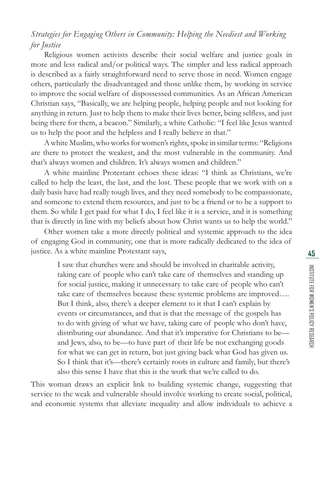#### *Strategies for Engaging Others in Community: Helping the Neediest and Working for Justice*

Religious women activists describe their social welfare and justice goals in more and less radical and/or political ways. The simpler and less radical approach is described as a fairly straightforward need to serve those in need. Women engage others, particularly the disadvantaged and those unlike them, by working in service to improve the social welfare of dispossessed communities. As an African American Christian says, "Basically, we are helping people, helping people and not looking for anything in return. Just to help them to make their lives better, being selfless, and just being there for them, a beacon." Similarly, a white Catholic: "I feel like Jesus wanted us to help the poor and the helpless and I really believe in that."

A white Muslim, who works for women's rights, spoke in similar terms: "Religions are there to protect the weakest, and the most vulnerable in the community. And that's always women and children. It's always women and children."

A white mainline Protestant echoes these ideas: "I think as Christians, we're called to help the least, the last, and the lost. These people that we work with on a daily basis have had really tough lives, and they need somebody to be compassionate, and someone to extend them resources, and just to be a friend or to be a support to them. So while I get paid for what I do, I feel like it is a service, and it is something that is directly in line with my beliefs about how Christ wants us to help the world."

Other women take a more directly political and systemic approach to the idea of engaging God in community, one that is more radically dedicated to the idea of justice. As a white mainline Protestant says,

> I saw that churches were and should be involved in charitable activity, taking care of people who can't take care of themselves and standing up for social justice, making it unnecessary to take care of people who can't take care of themselves because these systemic problems are improved…. But I think, also, there's a deeper element to it that I can't explain by events or circumstances, and that is that the message of the gospels has to do with giving of what we have, taking care of people who don't have, distributing our abundance. And that it's imperative for Christians to be and Jews, also, to be—to have part of their life be not exchanging goods for what we can get in return, but just giving back what God has given us. So I think that it's—there's certainly roots in culture and family, but there's also this sense I have that this is the work that we're called to do.

This woman draws an explicit link to building systemic change, suggesting that service to the weak and vulnerable should involve working to create social, political, and economic systems that alleviate inequality and allow individuals to achieve a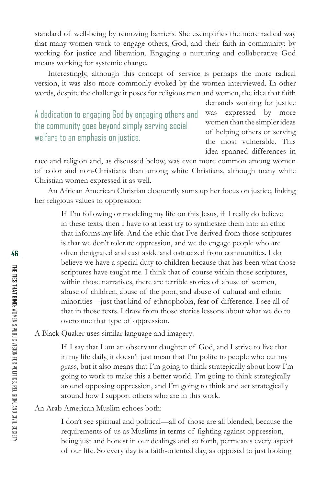standard of well-being by removing barriers. She exemplifies the more radical way that many women work to engage others, God, and their faith in community: by working for justice and liberation. Engaging a nurturing and collaborative God means working for systemic change.

Interestingly, although this concept of service is perhaps the more radical version, it was also more commonly evoked by the women interviewed. In other words, despite the challenge it poses for religious men and women, the idea that faith

A dedication to engaging God by engaging others and the community goes beyond simply serving social welfare to an emphasis on justice.

demands working for justice was expressed by more women than the simpler ideas of helping others or serving the most vulnerable. This idea spanned differences in

race and religion and, as discussed below, was even more common among women of color and non-Christians than among white Christians, although many white Christian women expressed it as well.

An African American Christian eloquently sums up her focus on justice, linking her religious values to oppression:

If I'm following or modeling my life on this Jesus, if I really do believe in these texts, then I have to at least try to synthesize them into an ethic that informs my life. And the ethic that I've derived from those scriptures is that we don't tolerate oppression, and we do engage people who are often denigrated and cast aside and ostracized from communities. I do believe we have a special duty to children because that has been what those scriptures have taught me. I think that of course within those scriptures, within those narratives, there are terrible stories of abuse of women, abuse of children, abuse of the poor, and abuse of cultural and ethnic minorities—just that kind of ethnophobia, fear of difference. I see all of that in those texts. I draw from those stories lessons about what we do to overcome that type of oppression.

A Black Quaker uses similar language and imagery:

If I say that I am an observant daughter of God, and I strive to live that in my life daily, it doesn't just mean that I'm polite to people who cut my grass, but it also means that I'm going to think strategically about how I'm going to work to make this a better world. I'm going to think strategically around opposing oppression, and I'm going to think and act strategically around how I support others who are in this work.

#### An Arab American Muslim echoes both:

I don't see spiritual and political—all of those are all blended, because the requirements of us as Muslims in terms of fighting against oppression, being just and honest in our dealings and so forth, permeates every aspect of our life. So every day is a faith-oriented day, as opposed to just looking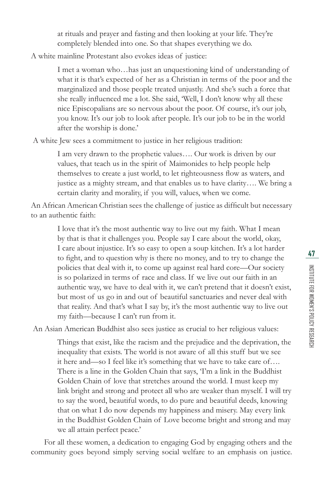at rituals and prayer and fasting and then looking at your life. They're completely blended into one. So that shapes everything we do.

A white mainline Protestant also evokes ideas of justice:

I met a woman who…has just an unquestioning kind of understanding of what it is that's expected of her as a Christian in terms of the poor and the marginalized and those people treated unjustly. And she's such a force that she really influenced me a lot. She said, 'Well, I don't know why all these nice Episcopalians are so nervous about the poor. Of course, it's our job, you know. It's our job to look after people. It's our job to be in the world after the worship is done.'

A white Jew sees a commitment to justice in her religious tradition:

I am very drawn to the prophetic values…. Our work is driven by our values, that teach us in the spirit of Maimonides to help people help themselves to create a just world, to let righteousness flow as waters, and justice as a mighty stream, and that enables us to have clarity…. We bring a certain clarity and morality, if you will, values, when we come.

An African American Christian sees the challenge of justice as difficult but necessary to an authentic faith:

> I love that it's the most authentic way to live out my faith. What I mean by that is that it challenges you. People say I care about the world, okay, I care about injustice. It's so easy to open a soup kitchen. It's a lot harder to fight, and to question why is there no money, and to try to change the policies that deal with it, to come up against real hard core—Our society is so polarized in terms of race and class. If we live out our faith in an authentic way, we have to deal with it, we can't pretend that it doesn't exist, but most of us go in and out of beautiful sanctuaries and never deal with that reality. And that's what I say by, it's the most authentic way to live out my faith—because I can't run from it.

An Asian American Buddhist also sees justice as crucial to her religious values:

Things that exist, like the racism and the prejudice and the deprivation, the inequality that exists. The world is not aware of all this stuff but we see it here and—so I feel like it's something that we have to take care of…. There is a line in the Golden Chain that says, 'I'm a link in the Buddhist Golden Chain of love that stretches around the world. I must keep my link bright and strong and protect all who are weaker than myself. I will try to say the word, beautiful words, to do pure and beautiful deeds, knowing that on what I do now depends my happiness and misery. May every link in the Buddhist Golden Chain of Love become bright and strong and may we all attain perfect peace.'

For all these women, a dedication to engaging God by engaging others and the community goes beyond simply serving social welfare to an emphasis on justice.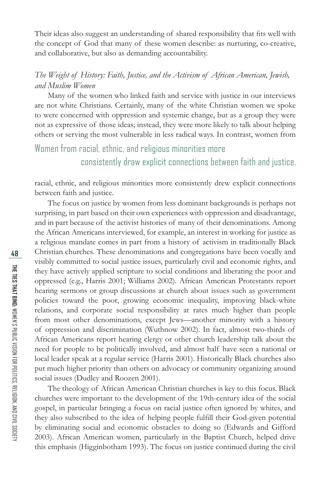Their ideas also suggest an understanding of shared responsibility that fits well with the concept of God that many of these women describe: as nurturing, co-creative, and collaborative, but also as demanding accountability.

#### *The Weight of History: Faith, Justice, and the Activism of African American, Jewish, and Muslim Women*

Many of the women who linked faith and service with justice in our interviews are not white Christians. Certainly, many of the white Christian women we spoke to were concerned with oppression and systemic change, but as a group they were not as expressive of those ideas; instead, they were more likely to talk about helping others or serving the most vulnerable in less radical ways. In contrast, women from

## Women from racial, ethnic, and religious minorities more consistently draw explicit connections between faith and justice.

racial, ethnic, and religious minorities more consistently drew explicit connections between faith and justice.

The focus on justice by women from less dominant backgrounds is perhaps not surprising, in part based on their own experiences with oppression and disadvantage, and in part because of the activist histories of many of their denominations. Among the African Americans interviewed, for example, an interest in working for justice as a religious mandate comes in part from a history of activism in traditionally Black Christian churches. These denominations and congregations have been vocally and visibly committed to social justice issues, particularly civil and economic rights, and they have actively applied scripture to social conditions and liberating the poor and oppressed (e.g., Harris 2001; Williams 2002). African American Protestants report hearing sermons or group discussions at church about issues such as government policies toward the poor, growing economic inequality, improving black-white relations, and corporate social responsibility at rates much higher than people from most other denominations, except Jews—another minority with a history of oppression and discrimination (Wuthnow 2002). In fact, almost two-thirds of African Americans report hearing clergy or other church leadership talk about the need for people to be politically involved, and almost half have seen a national or local leader speak at a regular service (Harris 2001). Historically Black churches also put much higher priority than others on advocacy or community organizing around social issues (Dudley and Roozen 2001).

The theology of African American Christian churches is key to this focus. Black churches were important to the development of the 19th-century idea of the social gospel, in particular bringing a focus on racial justice often ignored by whites, and they also subscribed to the idea of helping people fulfill their God-given potential by eliminating social and economic obstacles to doing so (Edwards and Gifford 2003). African American women, particularly in the Baptist Church, helped drive this emphasis (Higginbotham 1993). The focus on justice continued during the civil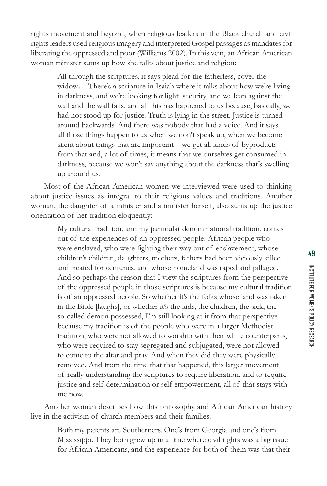rights movement and beyond, when religious leaders in the Black church and civil rights leaders used religious imagery and interpreted Gospel passages as mandates for liberating the oppressed and poor (Williams 2002). In this vein, an African American woman minister sums up how she talks about justice and religion:

All through the scriptures, it says plead for the fatherless, cover the widow… There's a scripture in Isaiah where it talks about how we're living in darkness, and we're looking for light, security, and we lean against the wall and the wall falls, and all this has happened to us because, basically, we had not stood up for justice. Truth is lying in the street. Justice is turned around backwards. And there was nobody that had a voice. And it says all those things happen to us when we don't speak up, when we become silent about things that are important—we get all kinds of byproducts from that and, a lot of times, it means that we ourselves get consumed in darkness, because we won't say anything about the darkness that's swelling up around us.

Most of the African American women we interviewed were used to thinking about justice issues as integral to their religious values and traditions. Another woman, the daughter of a minister and a minister herself, also sums up the justice orientation of her tradition eloquently:

> My cultural tradition, and my particular denominational tradition, comes out of the experiences of an oppressed people: African people who were enslaved, who were fighting their way out of enslavement, whose children's children, daughters, mothers, fathers had been viciously killed and treated for centuries, and whose homeland was raped and pillaged. And so perhaps the reason that I view the scriptures from the perspective of the oppressed people in those scriptures is because my cultural tradition is of an oppressed people. So whether it's the folks whose land was taken in the Bible [laughs], or whether it's the kids, the children, the sick, the so-called demon possessed, I'm still looking at it from that perspective because my tradition is of the people who were in a larger Methodist tradition, who were not allowed to worship with their white counterparts, who were required to stay segregated and subjugated, were not allowed to come to the altar and pray. And when they did they were physically removed. And from the time that that happened, this larger movement of really understanding the scriptures to require liberation, and to require justice and self-determination or self-empowerment, all of that stays with me now.

Another woman describes how this philosophy and African American history live in the activism of church members and their families:

> Both my parents are Southerners. One's from Georgia and one's from Mississippi. They both grew up in a time where civil rights was a big issue for African Americans, and the experience for both of them was that their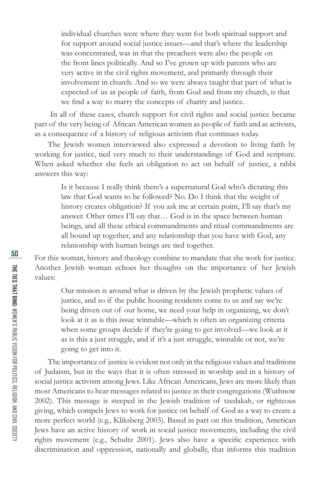individual churches were where they went for both spiritual support and for support around social justice issues—and that's where the leadership was concentrated, was in that the preachers were also the people on the front lines politically. And so I've grown up with parents who are very active in the civil rights movement, and primarily through their involvement in church. And so we were always taught that part of what is expected of us as people of faith, from God and from my church, is that we find a way to marry the concepts of charity and justice.

 In all of these cases, church support for civil rights and social justice became part of the very being of African American women as people of faith and as activists, as a consequence of a history of religious activism that continues today.

The Jewish women interviewed also expressed a devotion to living faith by working for justice, tied very much to their understandings of God and scripture. When asked whether she feels an obligation to act on behalf of justice, a rabbi answers this way:

Is it because I really think there's a supernatural God who's dictating this law that God wants to be followed? No. Do I think that the weight of history creates obligation? If you ask me at certain point, I'll say that's my answer. Other times I'll say that… God is in the space between human beings, and all these ethical commandments and ritual commandments are all bound up together, and any relationship that you have with God, any relationship with human beings are tied together.

For this woman, history and theology combine to mandate that she work for justice. Another Jewish woman echoes her thoughts on the importance of her Jewish values:

Our mission is around what is driven by the Jewish prophetic values of justice, and so if the public housing residents come to us and say we're being driven out of our home, we need your help in organizing, we don't look at it as is this issue winnable—which is often an organizing criteria when some groups decide if they're going to get involved—we look at it as is this a just struggle, and if it's a just struggle, winnable or not, we're going to get into it.

The importance of justice is evident not only in the religious values and traditions of Judaism, but in the ways that it is often stressed in worship and in a history of social justice activism among Jews. Like African Americans, Jews are more likely than most Americans to hear messages related to justice in their congregations (Wuthnow 2002). This message is steeped in the Jewish tradition of tzedakah, or righteous giving, which compels Jews to work for justice on behalf of God as a way to create a more perfect world (e.g., Kliksberg 2003). Based in part on this tradition, American Jews have an active history of work in social justice movements, including the civil rights movement (e.g., Schultz 2001). Jews also have a specific experience with discrimination and oppression, nationally and globally, that informs this tradition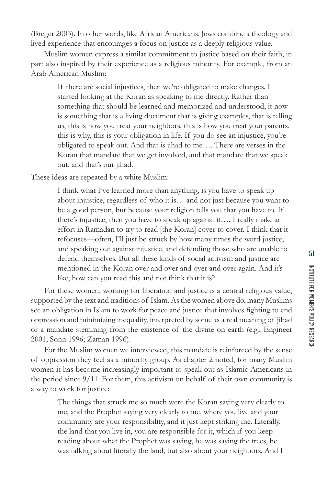(Breger 2003). In other words, like African Americans, Jews combine a theology and lived experience that encourages a focus on justice as a deeply religious value.

Muslim women express a similar commitment to justice based on their faith, in part also inspired by their experience as a religious minority. For example, from an Arab American Muslim:

If there are social injustices, then we're obligated to make changes. I started looking at the Koran as speaking to me directly. Rather than something that should be learned and memorized and understood, it now is something that is a living document that is giving examples, that is telling us, this is how you treat your neighbors, this is how you treat your parents, this is why, this is your obligation in life. If you do see an injustice, you're obligated to speak out. And that is jihad to me…. There are verses in the Koran that mandate that we get involved, and that mandate that we speak out, and that's our jihad.

These ideas are repeated by a white Muslim:

I think what I've learned more than anything, is you have to speak up about injustice, regardless of who it is… and not just because you want to be a good person, but because your religion tells you that you have to. If there's injustice, then you have to speak up against it…. I really make an effort in Ramadan to try to read [the Koran] cover to cover. I think that it refocuses—often, I'll just be struck by how many times the word justice, and speaking out against injustice, and defending those who are unable to defend themselves. But all these kinds of social activism and justice are mentioned in the Koran over and over and over and over again. And it's like, how can you read this and not think that it is?

For these women, working for liberation and justice is a central religious value, supported by the text and traditions of Islam. As the women above do, many Muslims see an obligation in Islam to work for peace and justice that involves fighting to end oppression and minimizing inequality, interpreted by some as a real meaning of jihad or a mandate stemming from the existence of the divine on earth (e.g., Engineer 2001; Sonn 1996; Zaman 1996).

For the Muslim women we interviewed, this mandate is reinforced by the sense of oppression they feel as a minority group. As chapter 2 noted, for many Muslim women it has become increasingly important to speak out as Islamic Americans in the period since 9/11. For them, this activism on behalf of their own community is a way to work for justice:

> The things that struck me so much were the Koran saying very clearly to me, and the Prophet saying very clearly to me, where you live and your community are your responsibility, and it just kept striking me. Literally, the land that you live in, you are responsible for it, which if you keep reading about what the Prophet was saying, he was saying the trees, he was talking about literally the land, but also about your neighbors. And I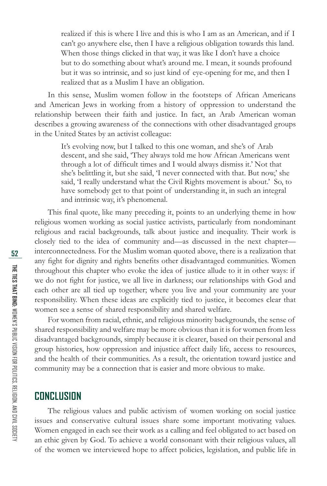realized if this is where I live and this is who I am as an American, and if I can't go anywhere else, then I have a religious obligation towards this land. When those things clicked in that way, it was like I don't have a choice but to do something about what's around me. I mean, it sounds profound but it was so intrinsic, and so just kind of eye-opening for me, and then I realized that as a Muslim I have an obligation.

In this sense, Muslim women follow in the footsteps of African Americans and American Jews in working from a history of oppression to understand the relationship between their faith and justice. In fact, an Arab American woman describes a growing awareness of the connections with other disadvantaged groups in the United States by an activist colleague:

> It's evolving now, but I talked to this one woman, and she's of Arab descent, and she said, 'They always told me how African Americans went through a lot of difficult times and I would always dismiss it.' Not that she's belittling it, but she said, 'I never connected with that. But now,' she said, 'I really understand what the Civil Rights movement is about.' So, to have somebody get to that point of understanding it, in such an integral and intrinsic way, it's phenomenal.

This final quote, like many preceding it, points to an underlying theme in how religious women working as social justice activists, particularly from nondominant religious and racial backgrounds, talk about justice and inequality. Their work is closely tied to the idea of community and—as discussed in the next chapter interconnectedness. For the Muslim woman quoted above, there is a realization that any fight for dignity and rights benefits other disadvantaged communities. Women throughout this chapter who evoke the idea of justice allude to it in other ways: if we do not fight for justice, we all live in darkness; our relationships with God and each other are all tied up together; where you live and your community are your responsibility. When these ideas are explicitly tied to justice, it becomes clear that women see a sense of shared responsibility and shared welfare.

For women from racial, ethnic, and religious minority backgrounds, the sense of shared responsibility and welfare may be more obvious than it is for women from less disadvantaged backgrounds, simply because it is clearer, based on their personal and group histories, how oppression and injustice affect daily life, access to resources, and the health of their communities. As a result, the orientation toward justice and community may be a connection that is easier and more obvious to make.

### **CONCLUSION**

The religious values and public activism of women working on social justice issues and conservative cultural issues share some important motivating values. Women engaged in each see their work as a calling and feel obligated to act based on an ethic given by God. To achieve a world consonant with their religious values, all of the women we interviewed hope to affect policies, legislation, and public life in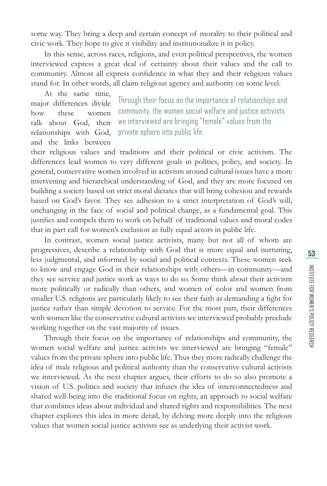some way. They bring a deep and certain concept of morality to their political and civic work. They hope to give it visibility and institutionalize it in policy.

In this sense, across races, religions, and even political perspectives, the women interviewed express a great deal of certainty about their values and the call to community. Almost all express confidence in what they and their religious values stand for. In other words, all claim religious agency and authority on some level.

At the same time, major differences divide how these women talk about God, their relationships with God, and the links between

Through their focus on the importance of relationships and community, the women social welfare and justice activists we interviewed are bringing "female" values from the private sphere into public life.

their religious values and traditions and their political or civic activism. The differences lead women to very different goals in politics, policy, and society. In general, conservative women involved in activism around cultural issues have a more intervening and hierarchical understanding of God, and they are more focused on building a society based on strict moral dictates that will bring cohesion and rewards based on God's favor. They see adhesion to a strict interpretation of God's will, unchanging in the face of social and political change, as a fundamental goal. This justifies and compels them to work on behalf of traditional values and moral codes that in part call for women's exclusion as fully equal actors in public life.

In contrast, women social justice activists, many but not all of whom are progressives, describe a relationship with God that is more equal and nurturing, less judgmental, and informed by social and political contexts. These women seek to know and engage God in their relationships with others—in community—and they see service and justice work as ways to do so. Some think about their activism more politically or radically than others, and women of color and women from smaller U.S. religions are particularly likely to see their faith as demanding a fight for justice rather than simple devotion to service. For the most part, their differences with women like the conservative cultural activists we interviewed probably preclude working together on the vast majority of issues.

Through their focus on the importance of relationships and community, the women social welfare and justice activists we interviewed are bringing "female" values from the private sphere into public life. Thus they more radically challenge the idea of male religious and political authority than the conservative cultural activists we interviewed. As the next chapter argues, their efforts to do so also promote a vision of U.S. politics and society that infuses the idea of interconnectedness and shared well-being into the traditional focus on rights, an approach to social welfare that combines ideas about individual and shared rights and responsibilities. The next chapter explores this idea in more detail, by delving more deeply into the religious values that women social justice activists see as underlying their activist work.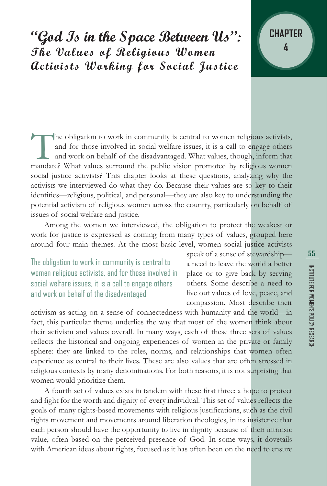**"God Is in the Space Between Us": The Values of Religious Women Activists Working for Social Justice**

The obligation to work in community is central to women religious activists, and for those involved in social welfare issues, it is a call to engage others and work on behalf of the disadvantaged. What values, though, info and for those involved in social welfare issues, it is a call to engage others and work on behalf of the disadvantaged. What values, though, inform that social justice activists? This chapter looks at these questions, analyzing why the activists we interviewed do what they do. Because their values are so key to their identities—religious, political, and personal—they are also key to understanding the potential activism of religious women across the country, particularly on behalf of issues of social welfare and justice.

Among the women we interviewed, the obligation to protect the weakest or work for justice is expressed as coming from many types of values, grouped here around four main themes. At the most basic level, women social justice activists

The obligation to work in community is central to women religious activists, and for those involved in social welfare issues, it is a call to engage others and work on behalf of the disadvantaged.

speak of a sense of stewardship a need to leave the world a better place or to give back by serving others. Some describe a need to live out values of love, peace, and compassion. Most describe their

activism as acting on a sense of connectedness with humanity and the world—in fact, this particular theme underlies the way that most of the women think about their activism and values overall. In many ways, each of these three sets of values reflects the historical and ongoing experiences of women in the private or family sphere: they are linked to the roles, norms, and relationships that women often experience as central to their lives. These are also values that are often stressed in religious contexts by many denominations. For both reasons, it is not surprising that women would prioritize them.

A fourth set of values exists in tandem with these first three: a hope to protect and fight for the worth and dignity of every individual. This set of values reflects the goals of many rights-based movements with religious justifications, such as the civil rights movement and movements around liberation theologies, in its insistence that each person should have the opportunity to live in dignity because of their intrinsic value, often based on the perceived presence of God. In some ways, it dovetails with American ideas about rights, focused as it has often been on the need to ensure

**CHAPTER**

**4**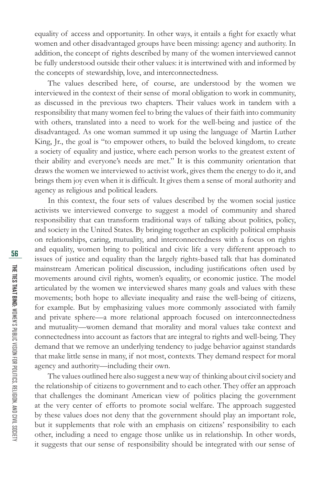equality of access and opportunity. In other ways, it entails a fight for exactly what women and other disadvantaged groups have been missing: agency and authority. In addition, the concept of rights described by many of the women interviewed cannot be fully understood outside their other values: it is intertwined with and informed by the concepts of stewardship, love, and interconnectedness.

The values described here, of course, are understood by the women we interviewed in the context of their sense of moral obligation to work in community, as discussed in the previous two chapters. Their values work in tandem with a responsibility that many women feel to bring the values of their faith into community with others, translated into a need to work for the well-being and justice of the disadvantaged. As one woman summed it up using the language of Martin Luther King, Jr., the goal is "to empower others, to build the beloved kingdom, to create a society of equality and justice, where each person works to the greatest extent of their ability and everyone's needs are met." It is this community orientation that draws the women we interviewed to activist work, gives them the energy to do it, and brings them joy even when it is difficult. It gives them a sense of moral authority and agency as religious and political leaders.

In this context, the four sets of values described by the women social justice activists we interviewed converge to suggest a model of community and shared responsibility that can transform traditional ways of talking about politics, policy, and society in the United States. By bringing together an explicitly political emphasis on relationships, caring, mutuality, and interconnectedness with a focus on rights and equality, women bring to political and civic life a very different approach to issues of justice and equality than the largely rights-based talk that has dominated mainstream American political discussion, including justifications often used by movements around civil rights, women's equality, or economic justice. The model articulated by the women we interviewed shares many goals and values with these movements; both hope to alleviate inequality and raise the well-being of citizens, for example. But by emphasizing values more commonly associated with family and private sphere—a more relational approach focused on interconnectedness and mutuality—women demand that morality and moral values take context and connectedness into account as factors that are integral to rights and well-being. They demand that we remove an underlying tendency to judge behavior against standards that make little sense in many, if not most, contexts. They demand respect for moral agency and authority—including their own.

The values outlined here also suggest a new way of thinking about civil society and the relationship of citizens to government and to each other. They offer an approach that challenges the dominant American view of politics placing the government at the very center of efforts to promote social welfare. The approach suggested by these values does not deny that the government should play an important role, but it supplements that role with an emphasis on citizens' responsibility to each other, including a need to engage those unlike us in relationship. In other words, it suggests that our sense of responsibility should be integrated with our sense of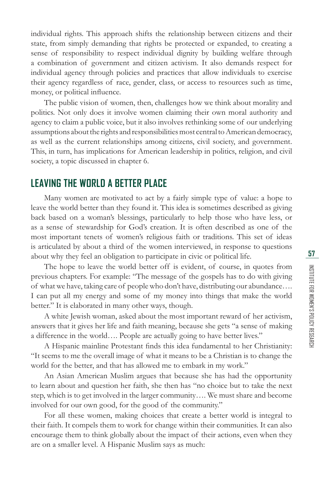individual rights. This approach shifts the relationship between citizens and their state, from simply demanding that rights be protected or expanded, to creating a sense of responsibility to respect individual dignity by building welfare through a combination of government and citizen activism. It also demands respect for individual agency through policies and practices that allow individuals to exercise their agency regardless of race, gender, class, or access to resources such as time, money, or political influence.

The public vision of women, then, challenges how we think about morality and politics. Not only does it involve women claiming their own moral authority and agency to claim a public voice, but it also involves rethinking some of our underlying assumptions about the rights and responsibilities most central to American democracy, as well as the current relationships among citizens, civil society, and government. This, in turn, has implications for American leadership in politics, religion, and civil society, a topic discussed in chapter 6.

### **LEAVING THE WORLD A BETTER PLACE**

Many women are motivated to act by a fairly simple type of value: a hope to leave the world better than they found it. This idea is sometimes described as giving back based on a woman's blessings, particularly to help those who have less, or as a sense of stewardship for God's creation. It is often described as one of the most important tenets of women's religious faith or traditions. This set of ideas is articulated by about a third of the women interviewed, in response to questions about why they feel an obligation to participate in civic or political life.

The hope to leave the world better off is evident, of course, in quotes from previous chapters. For example: "The message of the gospels has to do with giving of what we have, taking care of people who don't have, distributing our abundance…. I can put all my energy and some of my money into things that make the world better." It is elaborated in many other ways, though.

A white Jewish woman, asked about the most important reward of her activism, answers that it gives her life and faith meaning, because she gets "a sense of making a difference in the world…. People are actually going to have better lives."

A Hispanic mainline Protestant finds this idea fundamental to her Christianity: "It seems to me the overall image of what it means to be a Christian is to change the world for the better, and that has allowed me to embark in my work."

An Asian American Muslim argues that because she has had the opportunity to learn about and question her faith, she then has "no choice but to take the next step, which is to get involved in the larger community…. We must share and become involved for our own good, for the good of the community."

For all these women, making choices that create a better world is integral to their faith. It compels them to work for change within their communities. It can also encourage them to think globally about the impact of their actions, even when they are on a smaller level. A Hispanic Muslim says as much: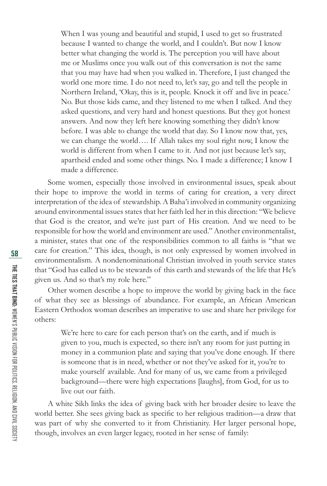When I was young and beautiful and stupid, I used to get so frustrated because I wanted to change the world, and I couldn't. But now I know better what changing the world is. The perception you will have about me or Muslims once you walk out of this conversation is not the same that you may have had when you walked in. Therefore, I just changed the world one more time. I do not need to, let's say, go and tell the people in Northern Ireland, 'Okay, this is it, people. Knock it off and live in peace.' No. But those kids came, and they listened to me when I talked. And they asked questions, and very hard and honest questions. But they got honest answers. And now they left here knowing something they didn't know before. I was able to change the world that day. So I know now that, yes, we can change the world…. If Allah takes my soul right now, I know the world is different from when I came to it. And not just because let's say, apartheid ended and some other things. No. I made a difference; I know I made a difference.

Some women, especially those involved in environmental issues, speak about their hope to improve the world in terms of caring for creation, a very direct interpretation of the idea of stewardship. A Baha'i involved in community organizing around environmental issues states that her faith led her in this direction: "We believe that God is the creator, and we're just part of His creation. And we need to be responsible for how the world and environment are used." Another environmentalist, a minister, states that one of the responsibilities common to all faiths is "that we care for creation." This idea, though, is not only expressed by women involved in environmentalism. A nondenominational Christian involved in youth service states that "God has called us to be stewards of this earth and stewards of the life that He's given us. And so that's my role here."

Other women describe a hope to improve the world by giving back in the face of what they see as blessings of abundance. For example, an African American Eastern Orthodox woman describes an imperative to use and share her privilege for others:

We're here to care for each person that's on the earth, and if much is given to you, much is expected, so there isn't any room for just putting in money in a communion plate and saying that you've done enough. If there is someone that is in need, whether or not they've asked for it, you're to make yourself available. And for many of us, we came from a privileged background—there were high expectations [laughs], from God, for us to live out our faith.

A white Sikh links the idea of giving back with her broader desire to leave the world better. She sees giving back as specific to her religious tradition—a draw that was part of why she converted to it from Christianity. Her larger personal hope, though, involves an even larger legacy, rooted in her sense of family: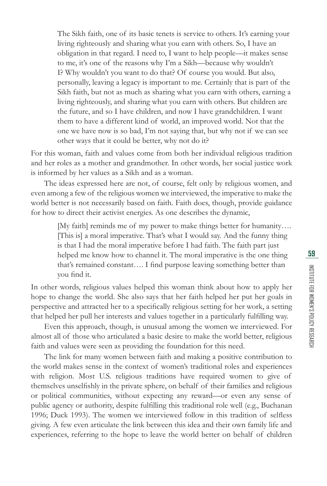The Sikh faith, one of its basic tenets is service to others. It's earning your living righteously and sharing what you earn with others. So, I have an obligation in that regard. I need to, I want to help people—it makes sense to me, it's one of the reasons why I'm a Sikh—because why wouldn't I? Why wouldn't you want to do that? Of course you would. But also, personally, leaving a legacy is important to me. Certainly that is part of the Sikh faith, but not as much as sharing what you earn with others, earning a living righteously, and sharing what you earn with others. But children are the future, and so I have children, and now I have grandchildren. I want them to have a different kind of world, an improved world. Not that the one we have now is so bad, I'm not saying that, but why not if we can see other ways that it could be better, why not do it?

For this woman, faith and values come from both her individual religious tradition and her roles as a mother and grandmother. In other words, her social justice work is informed by her values as a Sikh and as a woman.

The ideas expressed here are not, of course, felt only by religious women, and even among a few of the religious women we interviewed, the imperative to make the world better is not necessarily based on faith. Faith does, though, provide guidance for how to direct their activist energies. As one describes the dynamic,

> [My faith] reminds me of my power to make things better for humanity…. [This is] a moral imperative. That's what I would say. And the funny thing is that I had the moral imperative before I had faith. The faith part just helped me know how to channel it. The moral imperative is the one thing that's remained constant.... I find purpose leaving something better than you find it.

In other words, religious values helped this woman think about how to apply her hope to change the world. She also says that her faith helped her put her goals in perspective and attracted her to a specifically religious setting for her work, a setting that helped her pull her interests and values together in a particularly fulfilling way.

Even this approach, though, is unusual among the women we interviewed. For almost all of those who articulated a basic desire to make the world better, religious faith and values were seen as providing the foundation for this need.

The link for many women between faith and making a positive contribution to the world makes sense in the context of women's traditional roles and experiences with religion. Most U.S. religious traditions have required women to give of themselves unselfishly in the private sphere, on behalf of their families and religious or political communities, without expecting any reward—or even any sense of public agency or authority, despite fulfilling this traditional role well (e.g., Buchanan 1996; Duck 1993). The women we interviewed follow in this tradition of selfless giving. A few even articulate the link between this idea and their own family life and experiences, referring to the hope to leave the world better on behalf of children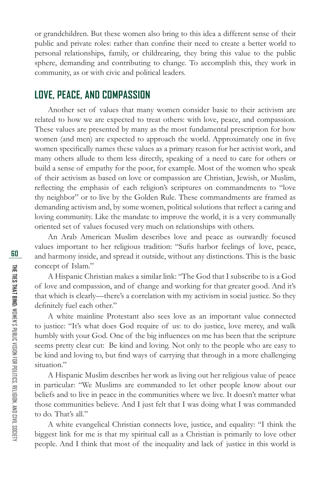or grandchildren. But these women also bring to this idea a different sense of their public and private roles: rather than confine their need to create a better world to personal relationships, family, or childrearing, they bring this value to the public sphere, demanding and contributing to change. To accomplish this, they work in community, as or with civic and political leaders.

### **LOVE, PEACE, AND COMPASSION**

Another set of values that many women consider basic to their activism are related to how we are expected to treat others: with love, peace, and compassion. These values are presented by many as the most fundamental prescription for how women (and men) are expected to approach the world. Approximately one in five women specifically names these values as a primary reason for her activist work, and many others allude to them less directly, speaking of a need to care for others or build a sense of empathy for the poor, for example. Most of the women who speak of their activism as based on love or compassion are Christian, Jewish, or Muslim, reflecting the emphasis of each religion's scriptures on commandments to "love thy neighbor" or to live by the Golden Rule. These commandments are framed as demanding activism and, by some women, political solutions that reflect a caring and loving community. Like the mandate to improve the world, it is a very communally oriented set of values focused very much on relationships with others.

An Arab American Muslim describes love and peace as outwardly focused values important to her religious tradition: "Sufis harbor feelings of love, peace, and harmony inside, and spread it outside, without any distinctions. This is the basic concept of Islam."

A Hispanic Christian makes a similar link: "The God that I subscribe to is a God of love and compassion, and of change and working for that greater good. And it's that which is clearly—there's a correlation with my activism in social justice. So they definitely fuel each other."

A white mainline Protestant also sees love as an important value connected to justice: "It's what does God require of us: to do justice, love mercy, and walk humbly with your God. One of the big influences on me has been that the scripture seems pretty clear cut: Be kind and loving. Not only to the people who are easy to be kind and loving to, but find ways of carrying that through in a more challenging situation."

A Hispanic Muslim describes her work as living out her religious value of peace in particular: "We Muslims are commanded to let other people know about our beliefs and to live in peace in the communities where we live. It doesn't matter what those communities believe. And I just felt that I was doing what I was commanded to do. That's all."

A white evangelical Christian connects love, justice, and equality: "I think the biggest link for me is that my spiritual call as a Christian is primarily to love other people. And I think that most of the inequality and lack of justice in this world is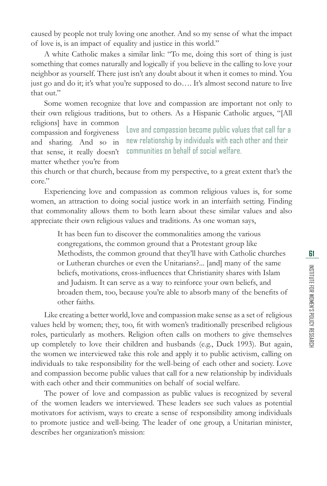caused by people not truly loving one another. And so my sense of what the impact of love is, is an impact of equality and justice in this world."

A white Catholic makes a similar link: "To me, doing this sort of thing is just something that comes naturally and logically if you believe in the calling to love your neighbor as yourself. There just isn't any doubt about it when it comes to mind. You just go and do it; it's what you're supposed to do…. It's almost second nature to live that out."

Some women recognize that love and compassion are important not only to their own religious traditions, but to others. As a Hispanic Catholic argues, "[All religions] have in common

compassion and forgiveness and sharing. And so in that sense, it really doesn't matter whether you're from Love and compassion become public values that call for a new relationship by individuals with each other and their communities on behalf of social welfare.

this church or that church, because from my perspective, to a great extent that's the core."

Experiencing love and compassion as common religious values is, for some women, an attraction to doing social justice work in an interfaith setting. Finding that commonality allows them to both learn about these similar values and also appreciate their own religious values and traditions. As one woman says,

It has been fun to discover the commonalities among the various congregations, the common ground that a Protestant group like Methodists, the common ground that they'll have with Catholic churches or Lutheran churches or even the Unitarians?... [and] many of the same beliefs, motivations, cross-influences that Christianity shares with Islam and Judaism. It can serve as a way to reinforce your own beliefs, and broaden them, too, because you're able to absorb many of the benefits of other faiths.

Like creating a better world, love and compassion make sense as a set of religious values held by women; they, too, fit with women's traditionally prescribed religious roles, particularly as mothers. Religion often calls on mothers to give themselves up completely to love their children and husbands (e.g., Duck 1993). But again, the women we interviewed take this role and apply it to public activism, calling on individuals to take responsibility for the well-being of each other and society. Love and compassion become public values that call for a new relationship by individuals with each other and their communities on behalf of social welfare.

The power of love and compassion as public values is recognized by several of the women leaders we interviewed. These leaders see such values as potential motivators for activism, ways to create a sense of responsibility among individuals to promote justice and well-being. The leader of one group, a Unitarian minister, describes her organization's mission: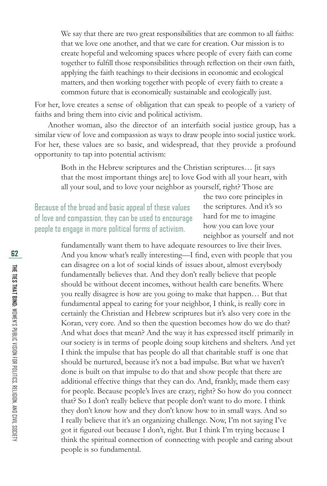We say that there are two great responsibilities that are common to all faiths: that we love one another, and that we care for creation. Our mission is to create hopeful and welcoming spaces where people of every faith can come together to fulfill those responsibilities through reflection on their own faith, applying the faith teachings to their decisions in economic and ecological matters, and then working together with people of every faith to create a common future that is economically sustainable and ecologically just.

For her, love creates a sense of obligation that can speak to people of a variety of faiths and bring them into civic and political activism.

Another woman, also the director of an interfaith social justice group, has a similar view of love and compassion as ways to draw people into social justice work. For her, these values are so basic, and widespread, that they provide a profound opportunity to tap into potential activism:

> Both in the Hebrew scriptures and the Christian scriptures… [it says that the most important things are] to love God with all your heart, with all your soul, and to love your neighbor as yourself, right? Those are

Because of the broad and basic appeal of these values of love and compassion, they can be used to encourage people to engage in more political forms of activism.

the two core principles in the scriptures. And it's so hard for me to imagine how you can love your neighbor as yourself and not

fundamentally want them to have adequate resources to live their lives. And you know what's really interesting-I find, even with people that you can disagree on a lot of social kinds of issues about, almost everybody fundamentally believes that. And they don't really believe that people should be without decent incomes, without health care benefits. Where you really disagree is how are you going to make that happen… But that fundamental appeal to caring for your neighbor, I think, is really core in certainly the Christian and Hebrew scriptures but it's also very core in the Koran, very core. And so then the question becomes how do we do that? And what does that mean? And the way it has expressed itself primarily in our society is in terms of people doing soup kitchens and shelters. And yet I think the impulse that has people do all that charitable stuff is one that should be nurtured, because it's not a bad impulse. But what we haven't done is built on that impulse to do that and show people that there are additional effective things that they can do. And, frankly, made them easy for people. Because people's lives are crazy, right? So how do you connect that? So I don't really believe that people don't want to do more. I think they don't know how and they don't know how to in small ways. And so I really believe that it's an organizing challenge. Now, I'm not saying I've got it figured out because I don't, right. But I think I'm trying because I think the spiritual connection of connecting with people and caring about people is so fundamental.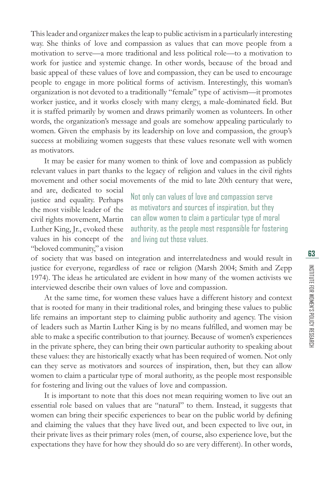This leader and organizer makes the leap to public activism in a particularly interesting way. She thinks of love and compassion as values that can move people from a motivation to serve—a more traditional and less political role—to a motivation to work for justice and systemic change. In other words, because of the broad and basic appeal of these values of love and compassion, they can be used to encourage people to engage in more political forms of activism. Interestingly, this woman's organization is not devoted to a traditionally "female" type of activism—it promotes worker justice, and it works closely with many clergy, a male-dominated field. But it is staffed primarily by women and draws primarily women as volunteers. In other words, the organization's message and goals are somehow appealing particularly to women. Given the emphasis by its leadership on love and compassion, the group's success at mobilizing women suggests that these values resonate well with women as motivators.

It may be easier for many women to think of love and compassion as publicly relevant values in part thanks to the legacy of religion and values in the civil rights movement and other social movements of the mid to late 20th century that were,

and are, dedicated to social justice and equality. Perhaps the most visible leader of the civil rights movement, Martin Luther King, Jr., evoked these values in his concept of the "beloved community," a vision

Not only can values of love and compassion serve as motivators and sources of inspiration, but they can allow women to claim a particular type of moral authority, as the people most responsible for fostering and living out those values.

of society that was based on integration and interrelatedness and would result in justice for everyone, regardless of race or religion (Marsh 2004; Smith and Zepp 1974). The ideas he articulated are evident in how many of the women activists we interviewed describe their own values of love and compassion.

At the same time, for women these values have a different history and context that is rooted for many in their traditional roles, and bringing these values to public life remains an important step to claiming public authority and agency. The vision of leaders such as Martin Luther King is by no means fulfilled, and women may be able to make a specific contribution to that journey. Because of women's experiences in the private sphere, they can bring their own particular authority to speaking about these values: they are historically exactly what has been required of women. Not only can they serve as motivators and sources of inspiration, then, but they can allow women to claim a particular type of moral authority, as the people most responsible for fostering and living out the values of love and compassion.

It is important to note that this does not mean requiring women to live out an essential role based on values that are "natural" to them. Instead, it suggests that women can bring their specific experiences to bear on the public world by defining and claiming the values that they have lived out, and been expected to live out, in their private lives as their primary roles (men, of course, also experience love, but the expectations they have for how they should do so are very different). In other words,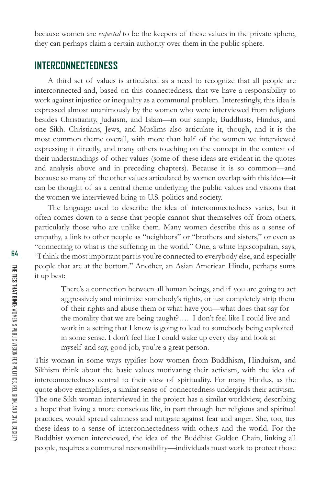because women are *expected* to be the keepers of these values in the private sphere, they can perhaps claim a certain authority over them in the public sphere.

#### **INTERCONNECTEDNESS**

A third set of values is articulated as a need to recognize that all people are interconnected and, based on this connectedness, that we have a responsibility to work against injustice or inequality as a communal problem. Interestingly, this idea is expressed almost unanimously by the women who were interviewed from religions besides Christianity, Judaism, and Islam—in our sample, Buddhists, Hindus, and one Sikh. Christians, Jews, and Muslims also articulate it, though, and it is the most common theme overall, with more than half of the women we interviewed expressing it directly, and many others touching on the concept in the context of their understandings of other values (some of these ideas are evident in the quotes and analysis above and in preceding chapters). Because it is so common—and because so many of the other values articulated by women overlap with this idea—it can be thought of as a central theme underlying the public values and visions that the women we interviewed bring to U.S. politics and society.

The language used to describe the idea of interconnectedness varies, but it often comes down to a sense that people cannot shut themselves off from others, particularly those who are unlike them. Many women describe this as a sense of empathy, a link to other people as "neighbors" or "brothers and sisters," or even as "connecting to what is the suffering in the world." One, a white Episcopalian, says, "I think the most important part is you're connected to everybody else, and especially people that are at the bottom." Another, an Asian American Hindu, perhaps sums it up best:

There's a connection between all human beings, and if you are going to act aggressively and minimize somebody's rights, or just completely strip them of their rights and abuse them or what have you—what does that say for the morality that we are being taught?…. I don't feel like I could live and work in a setting that I know is going to lead to somebody being exploited in some sense. I don't feel like I could wake up every day and look at myself and say, good job, you're a great person.

This woman in some ways typifies how women from Buddhism, Hinduism, and Sikhism think about the basic values motivating their activism, with the idea of interconnectedness central to their view of spirituality. For many Hindus, as the quote above exemplifies, a similar sense of connectedness undergirds their activism. The one Sikh woman interviewed in the project has a similar worldview, describing a hope that living a more conscious life, in part through her religious and spiritual practices, would spread calmness and mitigate against fear and anger. She, too, ties these ideas to a sense of interconnectedness with others and the world. For the Buddhist women interviewed, the idea of the Buddhist Golden Chain, linking all people, requires a communal responsibility—individuals must work to protect those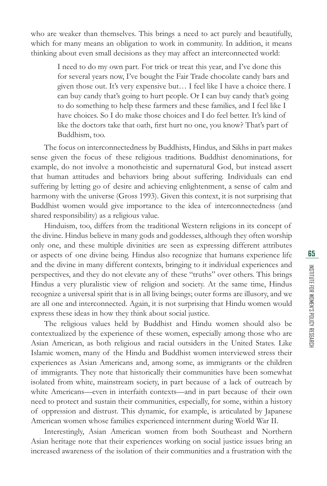who are weaker than themselves. This brings a need to act purely and beautifully, which for many means an obligation to work in community. In addition, it means thinking about even small decisions as they may affect an interconnected world:

I need to do my own part. For trick or treat this year, and I've done this for several years now, I've bought the Fair Trade chocolate candy bars and given those out. It's very expensive but… I feel like I have a choice there. I can buy candy that's going to hurt people. Or I can buy candy that's going to do something to help these farmers and these families, and I feel like I have choices. So I do make those choices and I do feel better. It's kind of like the doctors take that oath, first hurt no one, you know? That's part of Buddhism, too.

The focus on interconnectedness by Buddhists, Hindus, and Sikhs in part makes sense given the focus of these religious traditions. Buddhist denominations, for example, do not involve a monotheistic and supernatural God, but instead assert that human attitudes and behaviors bring about suffering. Individuals can end suffering by letting go of desire and achieving enlightenment, a sense of calm and harmony with the universe (Gross 1993). Given this context, it is not surprising that Buddhist women would give importance to the idea of interconnectedness (and shared responsibility) as a religious value.

Hinduism, too, differs from the traditional Western religions in its concept of the divine. Hindus believe in many gods and goddesses, although they often worship only one, and these multiple divinities are seen as expressing different attributes or aspects of one divine being. Hindus also recognize that humans experience life and the divine in many different contexts, bringing to it individual experiences and perspectives, and they do not elevate any of these "truths" over others. This brings Hindus a very pluralistic view of religion and society. At the same time, Hindus recognize a universal spirit that is in all living beings; outer forms are illusory, and we are all one and interconnected. Again, it is not surprising that Hindu women would express these ideas in how they think about social justice.

The religious values held by Buddhist and Hindu women should also be contextualized by the experience of these women, especially among those who are Asian American, as both religious and racial outsiders in the United States. Like Islamic women, many of the Hindu and Buddhist women interviewed stress their experiences as Asian Americans and, among some, as immigrants or the children of immigrants. They note that historically their communities have been somewhat isolated from white, mainstream society, in part because of a lack of outreach by white Americans—even in interfaith contexts—and in part because of their own need to protect and sustain their communities, especially, for some, within a history of oppression and distrust. This dynamic, for example, is articulated by Japanese American women whose families experienced internment during World War II.

Interestingly, Asian American women from both Southeast and Northern Asian heritage note that their experiences working on social justice issues bring an increased awareness of the isolation of their communities and a frustration with the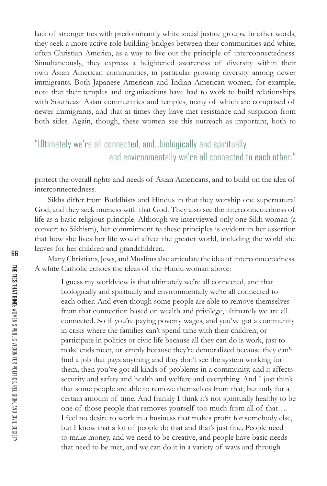lack of stronger ties with predominantly white social justice groups. In other words, they seek a more active role building bridges between their communities and white, often Christian America, as a way to live out the principle of interconnectedness. Simultaneously, they express a heightened awareness of diversity within their own Asian American communities, in particular growing diversity among newer immigrants. Both Japanese American and Indian American women, for example, note that their temples and organizations have had to work to build relationships with Southeast Asian communities and temples, many of which are comprised of newer immigrants, and that at times they have met resistance and suspicion from both sides. Again, though, these women see this outreach as important, both to

## "Ultimately we're all connected, and...biologically and spiritually and environmentally we're all connected to each other."

protect the overall rights and needs of Asian Americans, and to build on the idea of interconnectedness.

Sikhs differ from Buddhists and Hindus in that they worship one supernatural God, and they seek oneness with that God. They also see the interconnectedness of life as a basic religious principle. Although we interviewed only one Sikh woman (a convert to Sikhism), her commitment to these principles is evident in her assertion that how she lives her life would affect the greater world, including the world she leaves for her children and grandchildren.

Many Christians, Jews, and Muslims also articulate the idea of interconnectedness. A white Catholic echoes the ideas of the Hindu woman above:

I guess my worldview is that ultimately we're all connected, and that biologically and spiritually and environmentally we're all connected to each other. And even though some people are able to remove themselves from that connection based on wealth and privilege, ultimately we are all connected. So if you're paying poverty wages, and you've got a community in crisis where the families can't spend time with their children, or participate in politics or civic life because all they can do is work, just to make ends meet, or simply because they're demoralized because they can't find a job that pays anything and they don't see the system working for them, then you've got all kinds of problems in a community, and it affects security and safety and health and welfare and everything. And I just think that some people are able to remove themselves from that, but only for a certain amount of time. And frankly I think it's not spiritually healthy to be one of those people that removes yourself too much from all of that…. I feel no desire to work in a business that makes profit for somebody else, but I know that a lot of people do that and that's just fine. People need to make money, and we need to be creative, and people have basic needs that need to be met, and we can do it in a variety of ways and through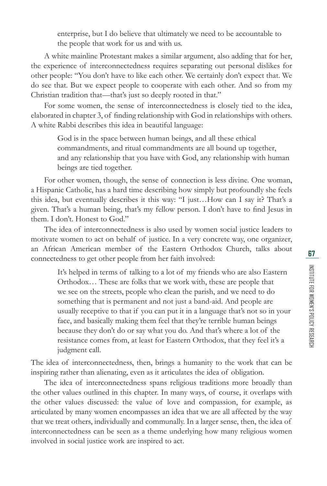enterprise, but I do believe that ultimately we need to be accountable to the people that work for us and with us.

A white mainline Protestant makes a similar argument, also adding that for her, the experience of interconnectedness requires separating out personal dislikes for other people: "You don't have to like each other. We certainly don't expect that. We do see that. But we expect people to cooperate with each other. And so from my Christian tradition that—that's just so deeply rooted in that."

For some women, the sense of interconnectedness is closely tied to the idea, elaborated in chapter 3, of finding relationship with God in relationships with others. A white Rabbi describes this idea in beautiful language:

God is in the space between human beings, and all these ethical commandments, and ritual commandments are all bound up together, and any relationship that you have with God, any relationship with human beings are tied together.

For other women, though, the sense of connection is less divine. One woman, a Hispanic Catholic, has a hard time describing how simply but profoundly she feels this idea, but eventually describes it this way: "I just…How can I say it? That's a given. That's a human being, that's my fellow person. I don't have to find Jesus in them. I don't. Honest to God."

The idea of interconnectedness is also used by women social justice leaders to motivate women to act on behalf of justice. In a very concrete way, one organizer, an African American member of the Eastern Orthodox Church, talks about connectedness to get other people from her faith involved:

> It's helped in terms of talking to a lot of my friends who are also Eastern Orthodox… These are folks that we work with, these are people that we see on the streets, people who clean the parish, and we need to do something that is permanent and not just a band-aid. And people are usually receptive to that if you can put it in a language that's not so in your face, and basically making them feel that they're terrible human beings because they don't do or say what you do. And that's where a lot of the resistance comes from, at least for Eastern Orthodox, that they feel it's a judgment call.

The idea of interconnectedness, then, brings a humanity to the work that can be inspiring rather than alienating, even as it articulates the idea of obligation.

The idea of interconnectedness spans religious traditions more broadly than the other values outlined in this chapter. In many ways, of course, it overlaps with the other values discussed: the value of love and compassion, for example, as articulated by many women encompasses an idea that we are all affected by the way that we treat others, individually and communally. In a larger sense, then, the idea of interconnectedness can be seen as a theme underlying how many religious women involved in social justice work are inspired to act.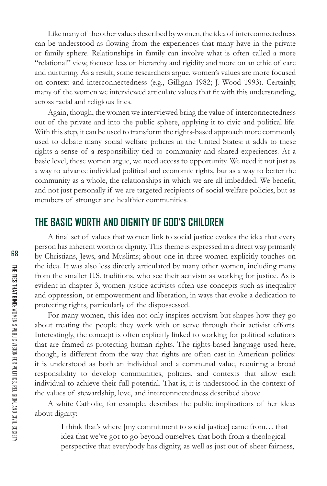Like many of the other values described by women, the idea of interconnectedness can be understood as flowing from the experiences that many have in the private or family sphere. Relationships in family can involve what is often called a more "relational" view, focused less on hierarchy and rigidity and more on an ethic of care and nurturing. As a result, some researchers argue, women's values are more focused on context and interconnectedness (e.g., Gilligan 1982; J. Wood 1993). Certainly, many of the women we interviewed articulate values that fit with this understanding, across racial and religious lines.

Again, though, the women we interviewed bring the value of interconnectedness out of the private and into the public sphere, applying it to civic and political life. With this step, it can be used to transform the rights-based approach more commonly used to debate many social welfare policies in the United States: it adds to these rights a sense of a responsibility tied to community and shared experiences. At a basic level, these women argue, we need access to opportunity. We need it not just as a way to advance individual political and economic rights, but as a way to better the community as a whole, the relationships in which we are all imbedded. We benefit, and not just personally if we are targeted recipients of social welfare policies, but as members of stronger and healthier communities.

#### **THE BASIC WORTH AND DIGNITY OF GOD'S CHILDREN**

A final set of values that women link to social justice evokes the idea that every person has inherent worth or dignity. This theme is expressed in a direct way primarily by Christians, Jews, and Muslims; about one in three women explicitly touches on the idea. It was also less directly articulated by many other women, including many from the smaller U.S. traditions, who see their activism as working for justice. As is evident in chapter 3, women justice activists often use concepts such as inequality and oppression, or empowerment and liberation, in ways that evoke a dedication to protecting rights, particularly of the dispossessed.

For many women, this idea not only inspires activism but shapes how they go about treating the people they work with or serve through their activist efforts. Interestingly, the concept is often explicitly linked to working for political solutions that are framed as protecting human rights. The rights-based language used here, though, is different from the way that rights are often cast in American politics: it is understood as both an individual and a communal value, requiring a broad responsibility to develop communities, policies, and contexts that allow each individual to achieve their full potential. That is, it is understood in the context of the values of stewardship, love, and interconnectedness described above.

A white Catholic, for example, describes the public implications of her ideas about dignity:

I think that's where [my commitment to social justice] came from… that idea that we've got to go beyond ourselves, that both from a theological perspective that everybody has dignity, as well as just out of sheer fairness,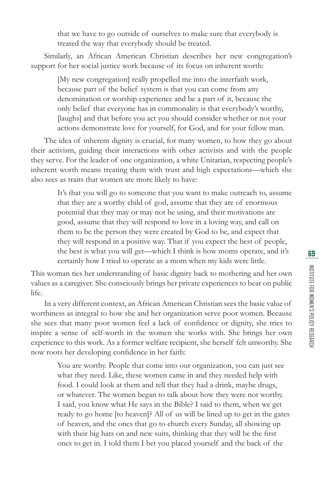that we have to go outside of ourselves to make sure that everybody is treated the way that everybody should be treated.

Similarly, an African American Christian describes her new congregation's support for her social justice work because of its focus on inherent worth:

> [My new congregation] really propelled me into the interfaith work, because part of the belief system is that you can come from any denomination or worship experience and be a part of it, because the only belief that everyone has in commonality is that everybody's worthy, [laughs] and that before you act you should consider whether or not your actions demonstrate love for yourself, for God, and for your fellow man.

The idea of inherent dignity is crucial, for many women, to how they go about their activism, guiding their interactions with other activists and with the people they serve. For the leader of one organization, a white Unitarian, respecting people's inherent worth means treating them with trust and high expectations—which she also sees as traits that women are more likely to have:

> It's that you will go to someone that you want to make outreach to, assume that they are a worthy child of god, assume that they are of enormous potential that they may or may not be using, and their motivations are good, assume that they will respond to love in a loving way, and call on them to be the person they were created by God to be, and expect that they will respond in a positive way. That if you expect the best of people, the best is what you will get—which I think is how moms operate, and it's certainly how I tried to operate as a mom when my kids were little.

This woman ties her understanding of basic dignity back to mothering and her own values as a caregiver. She consciously brings her private experiences to bear on public life.

In a very different context, an African American Christian sees the basic value of worthiness as integral to how she and her organization serve poor women. Because she sees that many poor women feel a lack of confidence or dignity, she tries to inspire a sense of self-worth in the women she works with. She brings her own experience to this work. As a former welfare recipient, she herself felt unworthy. She now roots her developing confidence in her faith:

You are worthy. People that come into our organization, you can just see what they need. Like, these women came in and they needed help with food. I could look at them and tell that they had a drink, maybe drugs, or whatever. The women began to talk about how they were not worthy. I said, you know what He says in the Bible? I said to them, when we get ready to go home [to heaven]? All of us will be lined up to get in the gates of heaven, and the ones that go to church every Sunday, all showing up with their big hats on and new suits, thinking that they will be the first ones to get in. I told them I bet you placed yourself and the back of the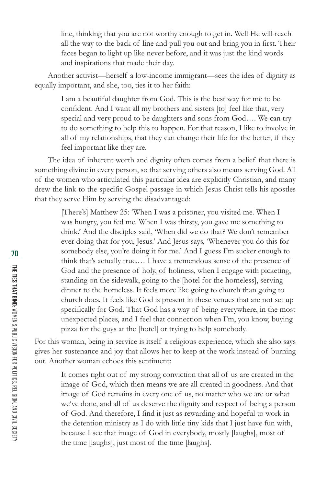line, thinking that you are not worthy enough to get in. Well He will reach all the way to the back of line and pull you out and bring you in first. Their faces began to light up like never before, and it was just the kind words and inspirations that made their day.

Another activist—herself a low-income immigrant—sees the idea of dignity as equally important, and she, too, ties it to her faith:

I am a beautiful daughter from God. This is the best way for me to be confident. And I want all my brothers and sisters [to] feel like that, very special and very proud to be daughters and sons from God…. We can try to do something to help this to happen. For that reason, I like to involve in all of my relationships, that they can change their life for the better, if they feel important like they are.

The idea of inherent worth and dignity often comes from a belief that there is something divine in every person, so that serving others also means serving God. All of the women who articulated this particular idea are explicitly Christian, and many drew the link to the specific Gospel passage in which Jesus Christ tells his apostles that they serve Him by serving the disadvantaged:

[There's] Matthew 25: 'When I was a prisoner, you visited me. When I was hungry, you fed me. When I was thirsty, you gave me something to drink.' And the disciples said, 'When did we do that? We don't remember ever doing that for you, Jesus.' And Jesus says, 'Whenever you do this for somebody else, you're doing it for me.' And I guess I'm sucker enough to think that's actually true.… I have a tremendous sense of the presence of God and the presence of holy, of holiness, when I engage with picketing, standing on the sidewalk, going to the [hotel for the homeless], serving dinner to the homeless. It feels more like going to church than going to church does. It feels like God is present in these venues that are not set up specifically for God. That God has a way of being everywhere, in the most unexpected places, and I feel that connection when I'm, you know, buying pizza for the guys at the [hotel] or trying to help somebody.

For this woman, being in service is itself a religious experience, which she also says gives her sustenance and joy that allows her to keep at the work instead of burning out. Another woman echoes this sentiment:

It comes right out of my strong conviction that all of us are created in the image of God, which then means we are all created in goodness. And that image of God remains in every one of us, no matter who we are or what we've done, and all of us deserve the dignity and respect of being a person of God. And therefore, I find it just as rewarding and hopeful to work in the detention ministry as I do with little tiny kids that I just have fun with, because I see that image of God in everybody, mostly [laughs], most of the time [laughs], just most of the time [laughs].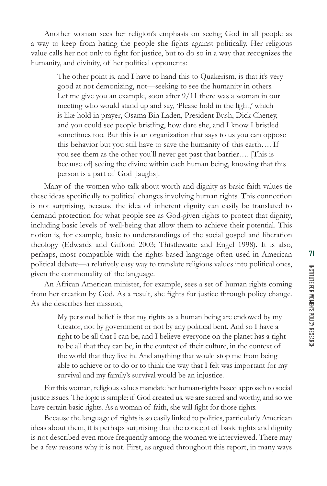Another woman sees her religion's emphasis on seeing God in all people as a way to keep from hating the people she fights against politically. Her religious value calls her not only to fight for justice, but to do so in a way that recognizes the humanity, and divinity, of her political opponents:

> The other point is, and I have to hand this to Quakerism, is that it's very good at not demonizing, not—seeking to see the humanity in others. Let me give you an example, soon after 9/11 there was a woman in our meeting who would stand up and say, 'Please hold in the light,' which is like hold in prayer, Osama Bin Laden, President Bush, Dick Cheney, and you could see people bristling, how dare she, and I know I bristled sometimes too. But this is an organization that says to us you can oppose this behavior but you still have to save the humanity of this earth…. If you see them as the other you'll never get past that barrier…. [This is because of] seeing the divine within each human being, knowing that this person is a part of God [laughs].

Many of the women who talk about worth and dignity as basic faith values tie these ideas specifically to political changes involving human rights. This connection is not surprising, because the idea of inherent dignity can easily be translated to demand protection for what people see as God-given rights to protect that dignity, including basic levels of well-being that allow them to achieve their potential. This notion is, for example, basic to understandings of the social gospel and liberation theology (Edwards and Gifford 2003; Thistlewaite and Engel 1998). It is also, perhaps, most compatible with the rights-based language often used in American political debate—a relatively easy way to translate religious values into political ones, given the commonality of the language.

An African American minister, for example, sees a set of human rights coming from her creation by God. As a result, she fights for justice through policy change. As she describes her mission,

My personal belief is that my rights as a human being are endowed by my Creator, not by government or not by any political bent. And so I have a right to be all that I can be, and I believe everyone on the planet has a right to be all that they can be, in the context of their culture, in the context of the world that they live in. And anything that would stop me from being able to achieve or to do or to think the way that I felt was important for my survival and my family's survival would be an injustice.

For this woman, religious values mandate her human-rights based approach to social justice issues. The logic is simple: if God created us, we are sacred and worthy, and so we have certain basic rights. As a woman of faith, she will fight for those rights.

Because the language of rights is so easily linked to politics, particularly American ideas about them, it is perhaps surprising that the concept of basic rights and dignity is not described even more frequently among the women we interviewed. There may be a few reasons why it is not. First, as argued throughout this report, in many ways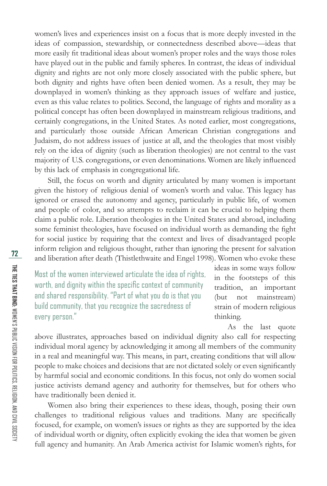women's lives and experiences insist on a focus that is more deeply invested in the ideas of compassion, stewardship, or connectedness described above—ideas that more easily fit traditional ideas about women's proper roles and the ways those roles have played out in the public and family spheres. In contrast, the ideas of individual dignity and rights are not only more closely associated with the public sphere, but both dignity and rights have often been denied women. As a result, they may be downplayed in women's thinking as they approach issues of welfare and justice, even as this value relates to politics. Second, the language of rights and morality as a political concept has often been downplayed in mainstream religious traditions, and certainly congregations, in the United States. As noted earlier, most congregations, and particularly those outside African American Christian congregations and Judaism, do not address issues of justice at all, and the theologies that most visibly rely on the idea of dignity (such as liberation theologies) are not central to the vast majority of U.S. congregations, or even denominations. Women are likely influenced by this lack of emphasis in congregational life.

Still, the focus on worth and dignity articulated by many women is important given the history of religious denial of women's worth and value. This legacy has ignored or erased the autonomy and agency, particularly in public life, of women and people of color, and so attempts to reclaim it can be crucial to helping them claim a public role. Liberation theologies in the United States and abroad, including some feminist theologies, have focused on individual worth as demanding the fight for social justice by requiring that the context and lives of disadvantaged people inform religion and religious thought, rather than ignoring the present for salvation and liberation after death (Thistlethwaite and Engel 1998). Women who evoke these

Most of the women interviewed articulate the idea of rights, worth, and dignity within the specific context of community and shared responsibility. "Part of what you do is that you build community, that you recognize the sacredness of every person."

ideas in some ways follow in the footsteps of this tradition, an important (but not mainstream) strain of modern religious thinking.

As the last quote

above illustrates, approaches based on individual dignity also call for respecting individual moral agency by acknowledging it among all members of the community in a real and meaningful way. This means, in part, creating conditions that will allow people to make choices and decisions that are not dictated solely or even significantly by harmful social and economic conditions. In this focus, not only do women social justice activists demand agency and authority for themselves, but for others who have traditionally been denied it.

Women also bring their experiences to these ideas, though, posing their own challenges to traditional religious values and traditions. Many are specifically focused, for example, on women's issues or rights as they are supported by the idea of individual worth or dignity, often explicitly evoking the idea that women be given full agency and humanity. An Arab America activist for Islamic women's rights, for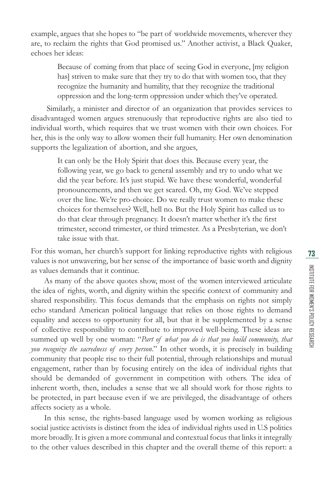INSTITUTE FOR WOMEN'S POLICY RESEARCH **73** I Issurut Figa Wake Space Section ARSEARCH

example, argues that she hopes to "be part of worldwide movements, wherever they are, to reclaim the rights that God promised us." Another activist, a Black Quaker, echoes her ideas:

Because of coming from that place of seeing God in everyone, [my religion has] striven to make sure that they try to do that with women too, that they recognize the humanity and humility, that they recognize the traditional oppression and the long-term oppression under which they've operated.

 Similarly, a minister and director of an organization that provides services to disadvantaged women argues strenuously that reproductive rights are also tied to individual worth, which requires that we trust women with their own choices. For her, this is the only way to allow women their full humanity. Her own denomination supports the legalization of abortion, and she argues,

> It can only be the Holy Spirit that does this. Because every year, the following year, we go back to general assembly and try to undo what we did the year before. It's just stupid. We have these wonderful, wonderful pronouncements, and then we get scared. Oh, my God. We've stepped over the line. We're pro-choice. Do we really trust women to make these choices for themselves? Well, hell no. But the Holy Spirit has called us to do that clear through pregnancy. It doesn't matter whether it's the first trimester, second trimester, or third trimester. As a Presbyterian, we don't take issue with that.

For this woman, her church's support for linking reproductive rights with religious values is not unwavering, but her sense of the importance of basic worth and dignity as values demands that it continue.

As many of the above quotes show, most of the women interviewed articulate the idea of rights, worth, and dignity within the specific context of community and shared responsibility. This focus demands that the emphasis on rights not simply echo standard American political language that relies on those rights to demand equality and access to opportunity for all, but that it be supplemented by a sense of collective responsibility to contribute to improved well-being. These ideas are summed up well by one woman: "*Part of what you do is that you build community, that you recognize the sacredness of every person*." In other words, it is precisely in building community that people rise to their full potential, through relationships and mutual engagement, rather than by focusing entirely on the idea of individual rights that should be demanded of government in competition with others. The idea of inherent worth, then, includes a sense that we all should work for those rights to be protected, in part because even if we are privileged, the disadvantage of others affects society as a whole.

In this sense, the rights-based language used by women working as religious social justice activists is distinct from the idea of individual rights used in U.S politics more broadly. It is given a more communal and contextual focus that links it integrally to the other values described in this chapter and the overall theme of this report: a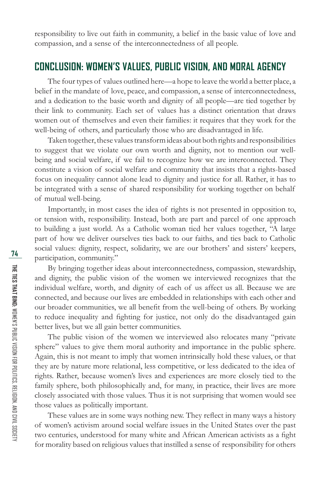responsibility to live out faith in community, a belief in the basic value of love and compassion, and a sense of the interconnectedness of all people.

#### **CONCLUSION: WOMEN'S VALUES, PUBLIC VISION, AND MORAL AGENCY**

The four types of values outlined here—a hope to leave the world a better place, a belief in the mandate of love, peace, and compassion, a sense of interconnectedness, and a dedication to the basic worth and dignity of all people—are tied together by their link to community. Each set of values has a distinct orientation that draws women out of themselves and even their families: it requires that they work for the well-being of others, and particularly those who are disadvantaged in life.

Taken together, these values transform ideas about both rights and responsibilities to suggest that we violate our own worth and dignity, not to mention our wellbeing and social welfare, if we fail to recognize how we are interconnected. They constitute a vision of social welfare and community that insists that a rights-based focus on inequality cannot alone lead to dignity and justice for all. Rather, it has to be integrated with a sense of shared responsibility for working together on behalf of mutual well-being.

Importantly, in most cases the idea of rights is not presented in opposition to, or tension with, responsibility. Instead, both are part and parcel of one approach to building a just world. As a Catholic woman tied her values together, "A large part of how we deliver ourselves ties back to our faiths, and ties back to Catholic social values: dignity, respect, solidarity, we are our brothers' and sisters' keepers, participation, community."

By bringing together ideas about interconnectedness, compassion, stewardship, and dignity, the public vision of the women we interviewed recognizes that the individual welfare, worth, and dignity of each of us affect us all. Because we are connected, and because our lives are embedded in relationships with each other and our broader communities, we all benefit from the well-being of others. By working to reduce inequality and fighting for justice, not only do the disadvantaged gain better lives, but we all gain better communities.

The public vision of the women we interviewed also relocates many "private sphere" values to give them moral authority and importance in the public sphere. Again, this is not meant to imply that women intrinsically hold these values, or that they are by nature more relational, less competitive, or less dedicated to the idea of rights. Rather, because women's lives and experiences are more closely tied to the family sphere, both philosophically and, for many, in practice, their lives are more closely associated with those values. Thus it is not surprising that women would see those values as politically important.

These values are in some ways nothing new. They reflect in many ways a history of women's activism around social welfare issues in the United States over the past two centuries, understood for many white and African American activists as a fight for morality based on religious values that instilled a sense of responsibility for others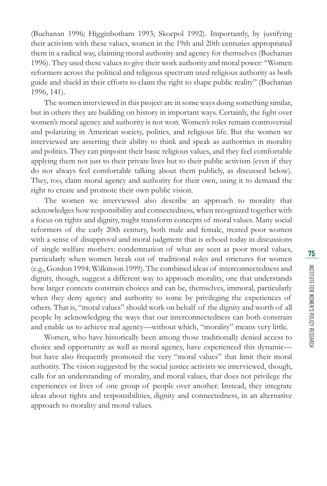(Buchanan 1996; Higginbotham 1993; Skocpol 1992). Importantly, by justifying their activism with these values, women in the 19th and 20th centuries appropriated them in a radical way, claiming moral authority and agency for themselves (Buchanan 1996). They used these values to give their work authority and moral power: "Women reformers across the political and religious spectrum used religious authority as both guide and shield in their efforts to claim the right to shape public reality" (Buchanan 1996, 141).

The women interviewed in this project are in some ways doing something similar, but in others they are building on history in important ways. Certainly, the fight over women's moral agency and authority is not won. Women's roles remain controversial and polarizing in American society, politics, and religious life. But the women we interviewed are asserting their ability to think and speak as authorities in morality and politics. They can pinpoint their basic religious values, and they feel comfortable applying them not just to their private lives but to their public activism (even if they do not always feel comfortable talking about them publicly, as discussed below). They, too, claim moral agency and authority for their own, using it to demand the right to create and promote their own public vision.

The women we interviewed also describe an approach to morality that acknowledges how responsibility and connectedness, when recognized together with a focus on rights and dignity, might transform concepts of moral values. Many social reformers of the early 20th century, both male and female, treated poor women with a sense of disapproval and moral judgment that is echoed today in discussions of single welfare mothers: condemnation of what are seen as poor moral values, particularly when women break out of traditional roles and strictures for women (e.g., Gordon 1994; Wilkinson 1999). The combined ideas of interconnectedness and dignity, though, suggest a different way to approach morality, one that understands how larger contexts constrain choices and can be, themselves, immoral, particularly when they deny agency and authority to some by privileging the experiences of others. That is, "moral values" should work on behalf of the dignity and worth of all people by acknowledging the ways that our interconnectedness can both constrain and enable us to achieve real agency—without which, "morality" means very little.

Women, who have historically been among those traditionally denied access to choice and opportunity as well as moral agency, have experienced this dynamic but have also frequently promoted the very "moral values" that limit their moral authority. The vision suggested by the social justice activists we interviewed, though, calls for an understanding of morality, and moral values, that does not privilege the experiences or lives of one group of people over another. Instead, they integrate ideas about rights and responsibilities, dignity and connectedness, in an alternative approach to morality and moral values.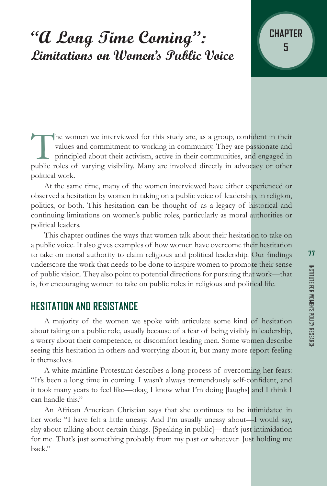# **"A Long Time Coming": Limitations on Women's Public Voice <sup>5</sup>**



At the same time, many of the women interviewed have either experienced or observed a hesitation by women in taking on a public voice of leadership, in religion, politics, or both. This hesitation can be thought of as a legacy of historical and continuing limitations on women's public roles, particularly as moral authorities or political leaders.

This chapter outlines the ways that women talk about their hesitation to take on a public voice. It also gives examples of how women have overcome their hestitation to take on moral authority to claim religious and political leadership. Our findings underscore the work that needs to be done to inspire women to promote their sense of public vision. They also point to potential directions for pursuing that work—that is, for encouraging women to take on public roles in religious and political life.

#### **HESITATION AND RESISTANCE**

A majority of the women we spoke with articulate some kind of hesitation about taking on a public role, usually because of a fear of being visibly in leadership, a worry about their competence, or discomfort leading men. Some women describe seeing this hesitation in others and worrying about it, but many more report feeling it themselves.

A white mainline Protestant describes a long process of overcoming her fears: "It's been a long time in coming. I wasn't always tremendously self-confident, and it took many years to feel like—okay, I know what I'm doing [laughs] and I think I can handle this."

An African American Christian says that she continues to be intimidated in her work: "I have felt a little uneasy. And I'm usually uneasy about—I would say, shy about talking about certain things. [Speaking in public]—that's just intimidation for me. That's just something probably from my past or whatever. Just holding me back."

**CHAPTER**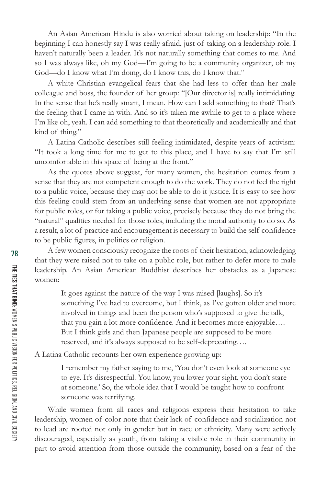An Asian American Hindu is also worried about taking on leadership: "In the beginning I can honestly say I was really afraid, just of taking on a leadership role. I haven't naturally been a leader. It's not naturally something that comes to me. And so I was always like, oh my God—I'm going to be a community organizer, oh my God—do I know what I'm doing, do I know this, do I know that."

A white Christian evangelical fears that she had less to offer than her male colleague and boss, the founder of her group: "[Our director is] really intimidating. In the sense that he's really smart, I mean. How can I add something to that? That's the feeling that I came in with. And so it's taken me awhile to get to a place where I'm like oh, yeah. I can add something to that theoretically and academically and that kind of thing."

A Latina Catholic describes still feeling intimidated, despite years of activism: "It took a long time for me to get to this place, and I have to say that I'm still uncomfortable in this space of being at the front."

As the quotes above suggest, for many women, the hesitation comes from a sense that they are not competent enough to do the work. They do not feel the right to a public voice, because they may not be able to do it justice. It is easy to see how this feeling could stem from an underlying sense that women are not appropriate for public roles, or for taking a public voice, precisely because they do not bring the "natural" qualities needed for those roles, including the moral authority to do so. As a result, a lot of practice and encouragement is necessary to build the self-confidence to be public figures, in politics or religion.

A few women consciously recognize the roots of their hesitation, acknowledging that they were raised not to take on a public role, but rather to defer more to male leadership. An Asian American Buddhist describes her obstacles as a Japanese women:

> It goes against the nature of the way I was raised [laughs]. So it's something I've had to overcome, but I think, as I've gotten older and more involved in things and been the person who's supposed to give the talk, that you gain a lot more confidence. And it becomes more enjoyable.... But I think girls and then Japanese people are supposed to be more reserved, and it's always supposed to be self-deprecating….

A Latina Catholic recounts her own experience growing up:

I remember my father saying to me, 'You don't even look at someone eye to eye. It's disrespectful. You know, you lower your sight, you don't stare at someone.' So, the whole idea that I would be taught how to confront someone was terrifying.

While women from all races and religions express their hesitation to take leadership, women of color note that their lack of confidence and socialization not to lead are rooted not only in gender but in race or ethnicity. Many were actively discouraged, especially as youth, from taking a visible role in their community in part to avoid attention from those outside the community, based on a fear of the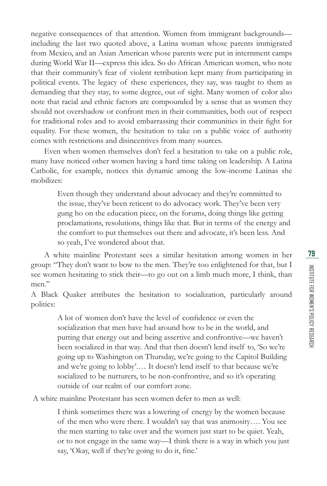negative consequences of that attention. Women from immigrant backgrounds including the last two quoted above, a Latina woman whose parents immigrated from Mexico, and an Asian American whose parents were put in internment camps during World War II—express this idea. So do African American women, who note that their community's fear of violent retribution kept many from participating in political events. The legacy of these experiences, they say, was taught to them as demanding that they stay, to some degree, out of sight. Many women of color also note that racial and ethnic factors are compounded by a sense that as women they should not overshadow or confront men in their communities, both out of respect for traditional roles and to avoid embarrassing their communities in their fight for equality. For these women, the hesitation to take on a public voice of authority comes with restrictions and disincentives from many sources.

Even when women themselves don't feel a hesitation to take on a public role, many have noticed other women having a hard time taking on leadership. A Latina Catholic, for example, notices this dynamic among the low-income Latinas she mobilizes:

Even though they understand about advocacy and they're committed to the issue, they've been reticent to do advocacy work. They've been very gung ho on the education piece, on the forums, doing things like getting proclamations, resolutions, things like that. But in terms of the energy and the comfort to put themselves out there and advocate, it's been less. And so yeah, I've wondered about that.

A white mainline Protestant sees a similar hesitation among women in her group: "They don't want to bow to the men. They're too enlightened for that, but I see women hesitating to stick their—to go out on a limb much more, I think, than men."

A Black Quaker attributes the hesitation to socialization, particularly around politics:

> A lot of women don't have the level of confidence or even the socialization that men have had around how to be in the world, and putting that energy out and being assertive and confrontive—we haven't been socialized in that way. And that then doesn't lend itself to, 'So we're going up to Washington on Thursday, we're going to the Capitol Building and we're going to lobby'.… It doesn't lend itself to that because we're socialized to be nurturers, to be non-confrontive, and so it's operating outside of our realm of our comfort zone.

A white mainline Protestant has seen women defer to men as well:

I think sometimes there was a lowering of energy by the women because of the men who were there. I wouldn't say that was animosity…. You see the men starting to take over and the women just start to be quiet. Yeah, or to not engage in the same way—I think there is a way in which you just say, 'Okay, well if they're going to do it, fine.'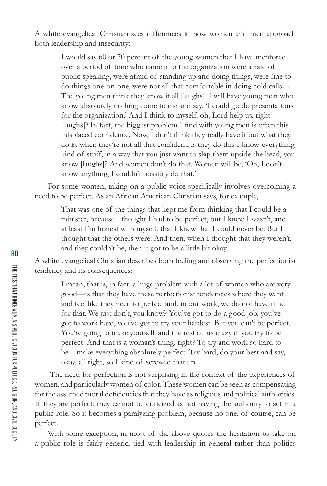A white evangelical Christian sees differences in how women and men approach both leadership and insecurity:

I would say 60 or 70 percent of the young women that I have mentored over a period of time who came into the organization were afraid of public speaking, were afraid of standing up and doing things, were fine to do things one-on-one, were not all that comfortable in doing cold calls…. The young men think they know it all [laughs]. I will have young men who know absolutely nothing come to me and say, 'I could go do presentations for the organization.' And I think to myself, oh, Lord help us, right [laughs]? In fact, the biggest problem I find with young men is often this misplaced confidence. Now, I don't think they really have it but what they do is, when they're not all that confident, is they do this I-know-everything kind of stuff, in a way that you just want to slap them upside the head, you know [laughs]? And women don't do that. Women will be, 'Oh, I don't know anything, I couldn't possibly do that.'

For some women, taking on a public voice specifically involves overcoming a need to be perfect. As an African American Christian says, for example,

That was one of the things that kept me from thinking that I could be a minister, because I thought I had to be perfect, but I knew I wasn't, and at least I'm honest with myself, that I knew that I could never be. But I thought that the others were. And then, when I thought that they weren't, and they couldn't be, then it got to be a little bit okay.

A white evangelical Christian describes both feeling and observing the perfectionist tendency and its consequences:

I mean, that is, in fact, a huge problem with a lot of women who are very good—is that they have these perfectionist tendencies where they want and feel like they need to perfect and, in our work, we do not have time for that. We just don't, you know? You've got to do a good job, you've got to work hard, you've got to try your hardest. But you can't be perfect. You're going to make yourself and the rest of us crazy if you try to be perfect. And that is a woman's thing, right? To try and work so hard to be—make everything absolutely perfect. Try hard, do your best and say, okay, all right, so I kind of screwed that up.

 The need for perfection is not surprising in the context of the experiences of women, and particularly women of color. These women can be seen as compensating for the assumed moral deficiencies that they have as religious and political authorities. If they are perfect, they cannot be criticized as not having the authority to act in a public role. So it becomes a paralyzing problem, because no one, of course, can be perfect.

With some exception, in most of the above quotes the hesitation to take on a public role is fairly generic, tied with leadership in general rather than politics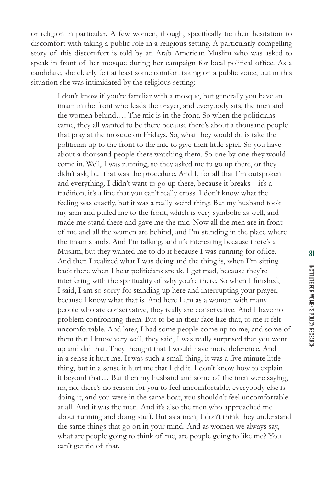I don't know if you're familiar with a mosque, but generally you have an imam in the front who leads the prayer, and everybody sits, the men and the women behind…. The mic is in the front. So when the politicians came, they all wanted to be there because there's about a thousand people that pray at the mosque on Fridays. So, what they would do is take the politician up to the front to the mic to give their little spiel. So you have about a thousand people there watching them. So one by one they would come in. Well, I was running, so they asked me to go up there, or they didn't ask, but that was the procedure. And I, for all that I'm outspoken and everything, I didn't want to go up there, because it breaks—it's a tradition, it's a line that you can't really cross. I don't know what the feeling was exactly, but it was a really weird thing. But my husband took my arm and pulled me to the front, which is very symbolic as well, and made me stand there and gave me the mic. Now all the men are in front of me and all the women are behind, and I'm standing in the place where the imam stands. And I'm talking, and it's interesting because there's a Muslim, but they wanted me to do it because I was running for office. And then I realized what I was doing and the thing is, when I'm sitting back there when I hear politicians speak, I get mad, because they're interfering with the spirituality of why you're there. So when I finished, I said, I am so sorry for standing up here and interrupting your prayer, because I know what that is. And here I am as a woman with many people who are conservative, they really are conservative. And I have no problem confronting them. But to be in their face like that, to me it felt uncomfortable. And later, I had some people come up to me, and some of them that I know very well, they said, I was really surprised that you went up and did that. They thought that I would have more deference. And in a sense it hurt me. It was such a small thing, it was a five minute little thing, but in a sense it hurt me that I did it. I don't know how to explain it beyond that… But then my husband and some of the men were saying, no, no, there's no reason for you to feel uncomfortable, everybody else is doing it, and you were in the same boat, you shouldn't feel uncomfortable at all. And it was the men. And it's also the men who approached me about running and doing stuff. But as a man, I don't think they understand the same things that go on in your mind. And as women we always say, what are people going to think of me, are people going to like me? You can't get rid of that.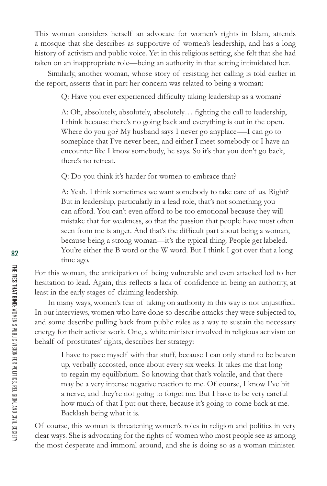This woman considers herself an advocate for women's rights in Islam, attends a mosque that she describes as supportive of women's leadership, and has a long history of activism and public voice. Yet in this religious setting, she felt that she had taken on an inappropriate role—being an authority in that setting intimidated her.

Similarly, another woman, whose story of resisting her calling is told earlier in the report, asserts that in part her concern was related to being a woman:

Q: Have you ever experienced difficulty taking leadership as a woman?

A: Oh, absolutely, absolutely, absolutely... fighting the call to leadership, I think because there's no going back and everything is out in the open. Where do you go? My husband says I never go anyplace-—I can go to someplace that I've never been, and either I meet somebody or I have an encounter like I know somebody, he says. So it's that you don't go back, there's no retreat.

Q: Do you think it's harder for women to embrace that?

A: Yeah. I think sometimes we want somebody to take care of us. Right? But in leadership, particularly in a lead role, that's not something you can afford. You can't even afford to be too emotional because they will mistake that for weakness, so that the passion that people have most often seen from me is anger. And that's the difficult part about being a woman, because being a strong woman—it's the typical thing. People get labeled. You're either the B word or the W word. But I think I got over that a long time ago.

For this woman, the anticipation of being vulnerable and even attacked led to her hesitation to lead. Again, this reflects a lack of confidence in being an authority, at least in the early stages of claiming leadership.

In many ways, women's fear of taking on authority in this way is not unjustified. In our interviews, women who have done so describe attacks they were subjected to, and some describe pulling back from public roles as a way to sustain the necessary energy for their activist work. One, a white minister involved in religious activism on behalf of prostitutes' rights, describes her strategy:

I have to pace myself with that stuff, because I can only stand to be beaten up, verbally accosted, once about every six weeks. It takes me that long to regain my equilibrium. So knowing that that's volatile, and that there may be a very intense negative reaction to me. Of course, I know I've hit a nerve, and they're not going to forget me. But I have to be very careful how much of that I put out there, because it's going to come back at me. Backlash being what it is.

Of course, this woman is threatening women's roles in religion and politics in very clear ways. She is advocating for the rights of women who most people see as among the most desperate and immoral around, and she is doing so as a woman minister.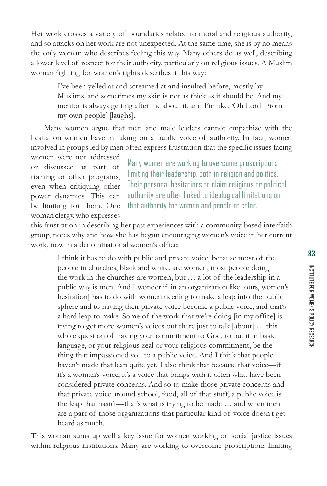Her work crosses a variety of boundaries related to moral and religious authority, and so attacks on her work are not unexpected. At the same time, she is by no means the only woman who describes feeling this way. Many others do as well, describing a lower level of respect for their authority, particularly on religious issues. A Muslim woman fighting for women's rights describes it this way:

I've been yelled at and screamed at and insulted before, mostly by Muslims, and sometimes my skin is not as thick as it should be. And my mentor is always getting after me about it, and I'm like, 'Oh Lord! From my own people' [laughs].

Many women argue that men and male leaders cannot empathize with the hesitation women have in taking on a public voice of authority. In fact, women involved in groups led by men often express frustration that the specific issues facing

women were not addressed or discussed as part of training or other programs, even when critiquing other power dynamics. This can be limiting for them. One woman clergy, who expresses

Many women are working to overcome proscriptions limiting their leadership, both in religion and politics. Their personal hesitations to claim religious or political authority are often linked to ideological limitations on that authority for women and people of color.

this frustration in describing her past experiences with a community-based interfaith group, notes why and how she has begun encouraging women's voice in her current work, now in a denominational women's office:

I think it has to do with public and private voice, because most of the people in churches, black and white, are women, most people doing the work in the churches are women, but … a lot of the leadership in a public way is men. And I wonder if in an organization like [ours, women's hesitation] has to do with women needing to make a leap into the public sphere and to having their private voice become a public voice, and that's a hard leap to make. Some of the work that we're doing [in my office] is trying to get more women's voices out there just to talk [about] … this whole question of having your commitment to God, to put it in basic language, or your religious zeal or your religious commitment, be the thing that impassioned you to a public voice. And I think that people haven't made that leap quite yet. I also think that because that voice—if it's a woman's voice, it's a voice that brings with it often what have been considered private concerns. And so to make those private concerns and that private voice around school, food, all of that stuff, a public voice is the leap that hasn't—that's what is trying to be made … and when men are a part of those organizations that particular kind of voice doesn't get heard as much.

This woman sums up well a key issue for women working on social justice issues within religious institutions. Many are working to overcome proscriptions limiting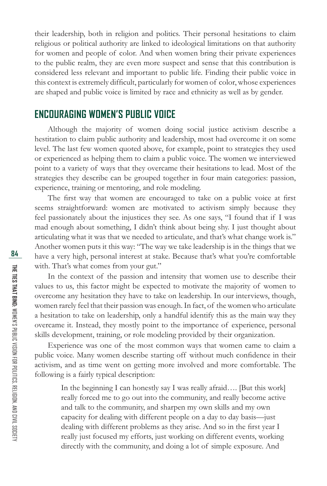their leadership, both in religion and politics. Their personal hesitations to claim religious or political authority are linked to ideological limitations on that authority for women and people of color. And when women bring their private experiences to the public realm, they are even more suspect and sense that this contribution is considered less relevant and important to public life. Finding their public voice in this context is extremely difficult, particularly for women of color, whose experiences are shaped and public voice is limited by race and ethnicity as well as by gender.

### **ENCOURAGING WOMEN'S PUBLIC VOICE**

Although the majority of women doing social justice activism describe a hestitation to claim public authority and leadership, most had overcome it on some level. The last few women quoted above, for example, point to strategies they used or experienced as helping them to claim a public voice. The women we interviewed point to a variety of ways that they overcame their hesitations to lead. Most of the strategies they describe can be grouped together in four main categories: passion, experience, training or mentoring, and role modeling.

The first way that women are encouraged to take on a public voice at first seems straightforward: women are motivated to activism simply because they feel passionately about the injustices they see. As one says, "I found that if I was mad enough about something, I didn't think about being shy. I just thought about articulating what it was that we needed to articulate, and that's what change work is." Another women puts it this way: "The way we take leadership is in the things that we have a very high, personal interest at stake. Because that's what you're comfortable with. That's what comes from your gut."

In the context of the passion and intensity that women use to describe their values to us, this factor might be expected to motivate the majority of women to overcome any hesitation they have to take on leadership. In our interviews, though, women rarely feel that their passion was enough. In fact, of the women who articulate a hesitation to take on leadership, only a handful identify this as the main way they overcame it. Instead, they mostly point to the importance of experience, personal skills development, training, or role modeling provided by their organization.

Experience was one of the most common ways that women came to claim a public voice. Many women describe starting off without much confidence in their activism, and as time went on getting more involved and more comfortable. The following is a fairly typical description:

> In the beginning I can honestly say I was really afraid…. [But this work] really forced me to go out into the community, and really become active and talk to the community, and sharpen my own skills and my own capacity for dealing with different people on a day to day basis—just dealing with different problems as they arise. And so in the first year I really just focused my efforts, just working on different events, working directly with the community, and doing a lot of simple exposure. And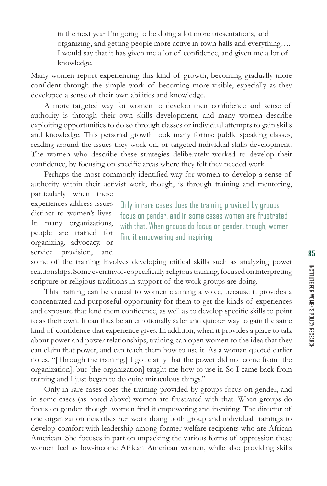in the next year I'm going to be doing a lot more presentations, and organizing, and getting people more active in town halls and everything…. I would say that it has given me a lot of confidence, and given me a lot of knowledge.

Many women report experiencing this kind of growth, becoming gradually more confident through the simple work of becoming more visible, especially as they developed a sense of their own abilities and knowledge.

A more targeted way for women to develop their confidence and sense of authority is through their own skills development, and many women describe exploiting opportunities to do so through classes or individual attempts to gain skills and knowledge. This personal growth took many forms: public speaking classes, reading around the issues they work on, or targeted individual skills development. The women who describe these strategies deliberately worked to develop their confidence, by focusing on specific areas where they felt they needed work.

Perhaps the most commonly identified way for women to develop a sense of authority within their activist work, though, is through training and mentoring, particularly when these

experiences address issues distinct to women's lives. In many organizations, people are trained for organizing, advocacy, or service provision, and

Only in rare cases does the training provided by groups focus on gender, and in some cases women are frustrated with that. When groups do focus on gender, though, women find it empowering and inspiring.

some of the training involves developing critical skills such as analyzing power relationships. Some even involve specifically religious training, focused on interpreting scripture or religious traditions in support of the work groups are doing.

This training can be crucial to women claiming a voice, because it provides a concentrated and purposeful opportunity for them to get the kinds of experiences and exposure that lend them confidence, as well as to develop specific skills to point to as their own. It can thus be an emotionally safer and quicker way to gain the same kind of confidence that experience gives. In addition, when it provides a place to talk about power and power relationships, training can open women to the idea that they can claim that power, and can teach them how to use it. As a woman quoted earlier notes, "[Through the training,] I got clarity that the power did not come from [the organization], but [the organization] taught me how to use it. So I came back from training and I just began to do quite miraculous things."

Only in rare cases does the training provided by groups focus on gender, and in some cases (as noted above) women are frustrated with that. When groups do focus on gender, though, women find it empowering and inspiring. The director of one organization describes her work doing both group and individual trainings to develop comfort with leadership among former welfare recipients who are African American. She focuses in part on unpacking the various forms of oppression these women feel as low-income African American women, while also providing skills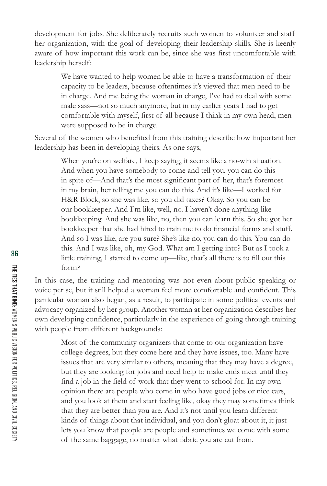development for jobs. She deliberately recruits such women to volunteer and staff her organization, with the goal of developing their leadership skills. She is keenly aware of how important this work can be, since she was first uncomfortable with leadership herself:

We have wanted to help women be able to have a transformation of their capacity to be leaders, because oftentimes it's viewed that men need to be in charge. And me being the woman in charge, I've had to deal with some male sass—not so much anymore, but in my earlier years I had to get comfortable with myself, first of all because I think in my own head, men were supposed to be in charge.

Several of the women who benefited from this training describe how important her leadership has been in developing theirs. As one says,

> When you're on welfare, I keep saying, it seems like a no-win situation. And when you have somebody to come and tell you, you can do this in spite of—And that's the most significant part of her, that's foremost in my brain, her telling me you can do this. And it's like—I worked for H&R Block, so she was like, so you did taxes? Okay. So you can be our bookkeeper. And I'm like, well, no. I haven't done anything like bookkeeping. And she was like, no, then you can learn this. So she got her bookkeeper that she had hired to train me to do financial forms and stuff. And so I was like, are you sure? She's like no, you can do this. You can do this. And I was like, oh, my God. What am I getting into? But as I took a little training, I started to come up—like, that's all there is to fill out this form?

In this case, the training and mentoring was not even about public speaking or voice per se, but it still helped a woman feel more comfortable and confident. This particular woman also began, as a result, to participate in some political events and advocacy organized by her group. Another woman at her organization describes her own developing confidence, particularly in the experience of going through training with people from different backgrounds:

Most of the community organizers that come to our organization have college degrees, but they come here and they have issues, too. Many have issues that are very similar to others, meaning that they may have a degree, but they are looking for jobs and need help to make ends meet until they find a job in the field of work that they went to school for. In my own opinion there are people who come in who have good jobs or nice cars, and you look at them and start feeling like, okay they may sometimes think that they are better than you are. And it's not until you learn different kinds of things about that individual, and you don't gloat about it, it just lets you know that people are people and sometimes we come with some of the same baggage, no matter what fabric you are cut from.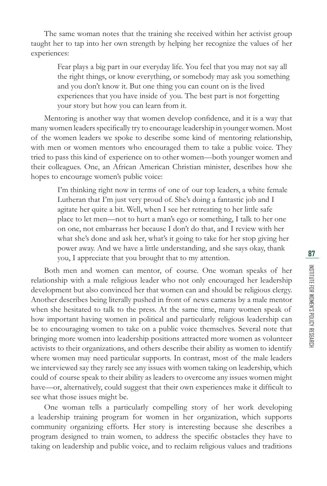The same woman notes that the training she received within her activist group taught her to tap into her own strength by helping her recognize the values of her experiences:

Fear plays a big part in our everyday life. You feel that you may not say all the right things, or know everything, or somebody may ask you something and you don't know it. But one thing you can count on is the lived experiences that you have inside of you. The best part is not forgetting your story but how you can learn from it.

Mentoring is another way that women develop confidence, and it is a way that many women leaders specifically try to encourage leadership in younger women. Most of the women leaders we spoke to describe some kind of mentoring relationship, with men or women mentors who encouraged them to take a public voice. They tried to pass this kind of experience on to other women—both younger women and their colleagues. One, an African American Christian minister, describes how she hopes to encourage women's public voice:

> I'm thinking right now in terms of one of our top leaders, a white female Lutheran that I'm just very proud of. She's doing a fantastic job and I agitate her quite a bit. Well, when I see her retreating to her little safe place to let men—not to hurt a man's ego or something, I talk to her one on one, not embarrass her because I don't do that, and I review with her what she's done and ask her, what's it going to take for her stop giving her power away. And we have a little understanding, and she says okay, thank you, I appreciate that you brought that to my attention.

Both men and women can mentor, of course. One woman speaks of her relationship with a male religious leader who not only encouraged her leadership development but also convinced her that women can and should be religious clergy. Another describes being literally pushed in front of news cameras by a male mentor when she hesitated to talk to the press. At the same time, many women speak of how important having women in political and particularly religious leadership can be to encouraging women to take on a public voice themselves. Several note that bringing more women into leadership positions attracted more women as volunteer activists to their organizations, and others describe their ability as women to identify where women may need particular supports. In contrast, most of the male leaders we interviewed say they rarely see any issues with women taking on leadership, which could of course speak to their ability as leaders to overcome any issues women might have—or, alternatively, could suggest that their own experiences make it difficult to see what those issues might be.

One woman tells a particularly compelling story of her work developing a leadership training program for women in her organization, which supports community organizing efforts. Her story is interesting because she describes a program designed to train women, to address the specifi c obstacles they have to taking on leadership and public voice, and to reclaim religious values and traditions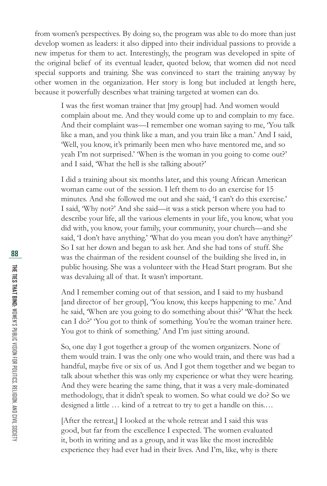from women's perspectives. By doing so, the program was able to do more than just develop women as leaders: it also dipped into their individual passions to provide a new impetus for them to act. Interestingly, the program was developed in spite of the original belief of its eventual leader, quoted below, that women did not need special supports and training. She was convinced to start the training anyway by other women in the organization. Her story is long but included at length here, because it powerfully describes what training targeted at women can do.

I was the first woman trainer that [my group] had. And women would complain about me. And they would come up to and complain to my face. And their complaint was—I remember one woman saying to me, 'You talk like a man, and you think like a man, and you train like a man.' And I said, 'Well, you know, it's primarily been men who have mentored me, and so yeah I'm not surprised.' 'When is the woman in you going to come out?' and I said, 'What the hell is she talking about?'

I did a training about six months later, and this young African American woman came out of the session. I left them to do an exercise for 15 minutes. And she followed me out and she said, 'I can't do this exercise.' I said, 'Why not?' And she said—it was a stick person where you had to describe your life, all the various elements in your life, you know, what you did with, you know, your family, your community, your church—and she said, 'I don't have anything.' 'What do you mean you don't have anything?' So I sat her down and began to ask her. And she had tons of stuff. She was the chairman of the resident counsel of the building she lived in, in public housing. She was a volunteer with the Head Start program. But she was devaluing all of that. It wasn't important.

And I remember coming out of that session, and I said to my husband [and director of her group], 'You know, this keeps happening to me.' And he said, 'When are you going to do something about this?' 'What the heck can I do?' 'You got to think of something. You're the woman trainer here. You got to think of something.' And I'm just sitting around.

So, one day I got together a group of the women organizers. None of them would train. I was the only one who would train, and there was had a handful, maybe five or six of us. And I got them together and we began to talk about whether this was only my experience or what they were hearing. And they were hearing the same thing, that it was a very male-dominated methodology, that it didn't speak to women. So what could we do? So we designed a little … kind of a retreat to try to get a handle on this.…

[After the retreat,] I looked at the whole retreat and I said this was good, but far from the excellence I expected. The women evaluated it, both in writing and as a group, and it was like the most incredible experience they had ever had in their lives. And I'm, like, why is there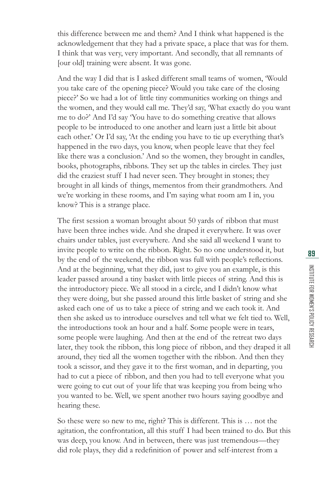this difference between me and them? And I think what happened is the acknowledgement that they had a private space, a place that was for them. I think that was very, very important. And secondly, that all remnants of [our old] training were absent. It was gone.

And the way I did that is I asked different small teams of women, 'Would you take care of the opening piece? Would you take care of the closing piece?' So we had a lot of little tiny communities working on things and the women, and they would call me. They'd say, 'What exactly do you want me to do?' And I'd say 'You have to do something creative that allows people to be introduced to one another and learn just a little bit about each other.' Or I'd say, 'At the ending you have to tie up everything that's happened in the two days, you know, when people leave that they feel like there was a conclusion.' And so the women, they brought in candles, books, photographs, ribbons. They set up the tables in circles. They just did the craziest stuff I had never seen. They brought in stones; they brought in all kinds of things, mementos from their grandmothers. And we're working in these rooms, and I'm saying what room am I in, you know? This is a strange place.

The first session a woman brought about 50 yards of ribbon that must have been three inches wide. And she draped it everywhere. It was over chairs under tables, just everywhere. And she said all weekend I want to invite people to write on the ribbon. Right. So no one understood it, but by the end of the weekend, the ribbon was full with people's reflections. And at the beginning, what they did, just to give you an example, is this leader passed around a tiny basket with little pieces of string. And this is the introductory piece. We all stood in a circle, and I didn't know what they were doing, but she passed around this little basket of string and she asked each one of us to take a piece of string and we each took it. And then she asked us to introduce ourselves and tell what we felt tied to. Well, the introductions took an hour and a half. Some people were in tears, some people were laughing. And then at the end of the retreat two days later, they took the ribbon, this long piece of ribbon, and they draped it all around, they tied all the women together with the ribbon. And then they took a scissor, and they gave it to the first woman, and in departing, you had to cut a piece of ribbon, and then you had to tell everyone what you were going to cut out of your life that was keeping you from being who you wanted to be. Well, we spent another two hours saying goodbye and hearing these.

So these were so new to me, right? This is different. This is … not the agitation, the confrontation, all this stuff I had been trained to do. But this was deep, you know. And in between, there was just tremendous—they did role plays, they did a redefinition of power and self-interest from a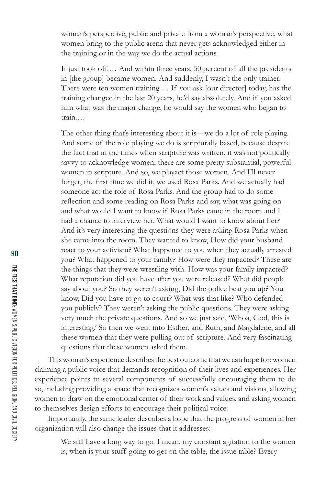woman's perspective, public and private from a woman's perspective, what women bring to the public arena that never gets acknowledged either in the training or in the way we do the actual actions.

It just took off.… And within three years, 50 percent of all the presidents in [the group] became women. And suddenly, I wasn't the only trainer. There were ten women training.… If you ask [our director] today, has the training changed in the last 20 years, he'd say absolutely. And if you asked him what was the major change, he would say the women who began to train.…

The other thing that's interesting about it is—we do a lot of role playing. And some of the role playing we do is scripturally based, because despite the fact that in the times when scripture was written, it was not politically savvy to acknowledge women, there are some pretty substantial, powerful women in scripture. And so, we playact those women. And I'll never forget, the first time we did it, we used Rosa Parks. And we actually had someone act the role of Rosa Parks. And the group had to do some reflection and some reading on Rosa Parks and say, what was going on and what would I want to know if Rosa Parks came in the room and I had a chance to interview her. What would I want to know about her? And it's very interesting the questions they were asking Rosa Parks when she came into the room. They wanted to know, How did your husband react to your activism? What happened to you when they actually arrested you? What happened to your family? How were they impacted? These are the things that they were wrestling with. How was your family impacted? What reputation did you have after you were released? What did people say about you? So they weren't asking, Did the police beat you up? You know, Did you have to go to court? What was that like? Who defended you publicly? They weren't asking the public questions. They were asking very much the private questions. And so we just said, 'Whoa, God, this is interesting.' So then we went into Esther, and Ruth, and Magdalene, and all these women that they were pulling out of scripture. And very fascinating questions that these women asked them.

This woman's experience describes the best outcome that we can hope for: women claiming a public voice that demands recognition of their lives and experiences. Her experience points to several components of successfully encouraging them to do so, including providing a space that recognizes women's values and visions, allowing women to draw on the emotional center of their work and values, and asking women to themselves design efforts to encourage their political voice.

Importantly, the same leader describes a hope that the progress of women in her organization will also change the issues that it addresses:

We still have a long way to go. I mean, my constant agitation to the women is, when is your stuff going to get on the table, the issue table? Every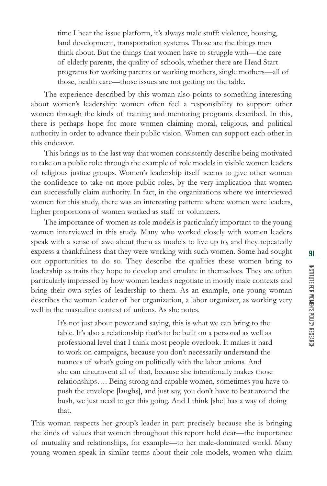time I hear the issue platform, it's always male stuff: violence, housing, land development, transportation systems. Those are the things men think about. But the things that women have to struggle with—the care of elderly parents, the quality of schools, whether there are Head Start programs for working parents or working mothers, single mothers—all of those, health care—those issues are not getting on the table.

The experience described by this woman also points to something interesting about women's leadership: women often feel a responsibility to support other women through the kinds of training and mentoring programs described. In this, there is perhaps hope for more women claiming moral, religious, and political authority in order to advance their public vision. Women can support each other in this endeavor.

This brings us to the last way that women consistently describe being motivated to take on a public role: through the example of role models in visible women leaders of religious justice groups. Women's leadership itself seems to give other women the confidence to take on more public roles, by the very implication that women can successfully claim authority. In fact, in the organizations where we interviewed women for this study, there was an interesting pattern: where women were leaders, higher proportions of women worked as staff or volunteers.

The importance of women as role models is particularly important to the young women interviewed in this study. Many who worked closely with women leaders speak with a sense of awe about them as models to live up to, and they repeatedly express a thankfulness that they were working with such women. Some had sought out opportunities to do so. They describe the qualities these women bring to leadership as traits they hope to develop and emulate in themselves. They are often particularly impressed by how women leaders negotiate in mostly male contexts and bring their own styles of leadership to them. As an example, one young woman describes the woman leader of her organization, a labor organizer, as working very well in the masculine context of unions. As she notes,

> It's not just about power and saying, this is what we can bring to the table. It's also a relationship that's to be built on a personal as well as professional level that I think most people overlook. It makes it hard to work on campaigns, because you don't necessarily understand the nuances of what's going on politically with the labor unions. And she can circumvent all of that, because she intentionally makes those relationships…. Being strong and capable women, sometimes you have to push the envelope [laughs], and just say, you don't have to beat around the bush, we just need to get this going. And I think [she] has a way of doing that.

This woman respects her group's leader in part precisely because she is bringing the kinds of values that women throughout this report hold dear—the importance of mutuality and relationships, for example—to her male-dominated world. Many young women speak in similar terms about their role models, women who claim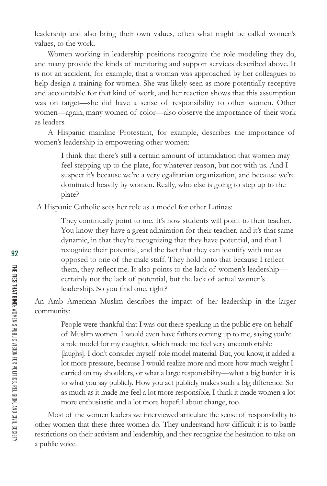leadership and also bring their own values, often what might be called women's values, to the work.

Women working in leadership positions recognize the role modeling they do, and many provide the kinds of mentoring and support services described above. It is not an accident, for example, that a woman was approached by her colleagues to help design a training for women. She was likely seen as more potentially receptive and accountable for that kind of work, and her reaction shows that this assumption was on target—she did have a sense of responsibility to other women. Other women—again, many women of color—also observe the importance of their work as leaders.

A Hispanic mainline Protestant, for example, describes the importance of women's leadership in empowering other women:

> I think that there's still a certain amount of intimidation that women may feel stepping up to the plate, for whatever reason, but not with us. And I suspect it's because we're a very egalitarian organization, and because we're dominated heavily by women. Really, who else is going to step up to the plate?

A Hispanic Catholic sees her role as a model for other Latinas:

They continually point to me. It's how students will point to their teacher. You know they have a great admiration for their teacher, and it's that same dynamic, in that they're recognizing that they have potential, and that I recognize their potential, and the fact that they can identify with me as opposed to one of the male staff. They hold onto that because I reflect them, they reflect me. It also points to the lack of women's leadership certainly not the lack of potential, but the lack of actual women's leadership. So you find one, right?

An Arab American Muslim describes the impact of her leadership in the larger community:

> People were thankful that I was out there speaking in the public eye on behalf of Muslim women. I would even have fathers coming up to me, saying you're a role model for my daughter, which made me feel very uncomfortable [laughs]. I don't consider myself role model material. But, you know, it added a lot more pressure, because I would realize more and more how much weight I carried on my shoulders, or what a large responsibility—what a big burden it is to what you say publicly. How you act publicly makes such a big difference. So as much as it made me feel a lot more responsible, I think it made women a lot more enthusiastic and a lot more hopeful about change, too.

Most of the women leaders we interviewed articulate the sense of responsibility to other women that these three women do. They understand how difficult it is to battle restrictions on their activism and leadership, and they recognize the hesitation to take on a public voice.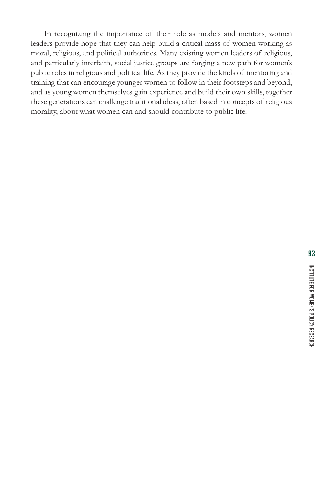In recognizing the importance of their role as models and mentors, women leaders provide hope that they can help build a critical mass of women working as moral, religious, and political authorities. Many existing women leaders of religious, and particularly interfaith, social justice groups are forging a new path for women's public roles in religious and political life. As they provide the kinds of mentoring and training that can encourage younger women to follow in their footsteps and beyond, and as young women themselves gain experience and build their own skills, together these generations can challenge traditional ideas, often based in concepts of religious morality, about what women can and should contribute to public life.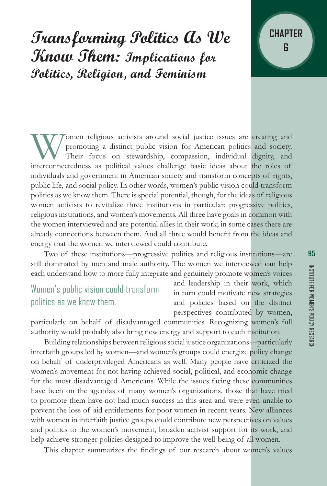# **Transforming Politics As We Know Them: Implications for Politics, Religion, and Feminism**

Women religious activists around social justice issues are creating and promoting a distinct public vision for American politics and society. Their focus on stewardship, compassion, individual dignity, and interconnectedne promoting a distinct public vision for American politics and society. Their focus on stewardship, compassion, individual dignity, and individuals and government in American society and transform concepts of rights, public life, and social policy. In other words, women's public vision could transform politics as we know them. There is special potential, though, for the ideas of religious women activists to revitalize three institutions in particular: progressive politics, religious institutions, and women's movements. All three have goals in common with the women interviewed and are potential allies in their work; in some cases there are already connections between them. And all three would benefit from the ideas and energy that the women we interviewed could contribute.

Two of these institutions—progressive politics and religious institutions—are still dominated by men and male authority. The women we interviewed can help each understand how to more fully integrate and genuinely promote women's voices

### Women's public vision could transform politics as we know them.

and leadership in their work, which in turn could motivate new strategies and policies based on the distinct perspectives contributed by women,

particularly on behalf of disadvantaged communities. Recognizing women's full authority would probably also bring new energy and support to each institution.

Building relationships between religious social justice organizations—particularly interfaith groups led by women—and women's groups could energize policy change on behalf of underprivileged Americans as well. Many people have criticized the women's movement for not having achieved social, political, and economic change for the most disadvantaged Americans. While the issues facing these communities have been on the agendas of many women's organizations, those that have tried to promote them have not had much success in this area and were even unable to prevent the loss of aid entitlements for poor women in recent years. New alliances with women in interfaith justice groups could contribute new perspectives on values and politics to the women's movement, broaden activist support for its work, and help achieve stronger policies designed to improve the well-being of all women.

This chapter summarizes the findings of our research about women's values

**CHAPTER**

**6**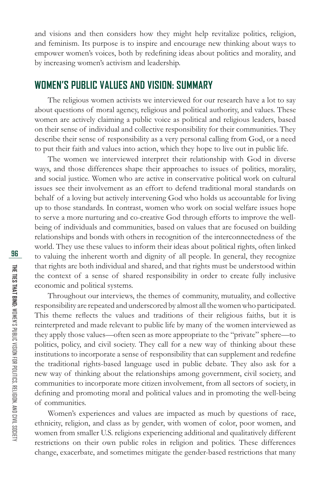and visions and then considers how they might help revitalize politics, religion, and feminism. Its purpose is to inspire and encourage new thinking about ways to empower women's voices, both by redefining ideas about politics and morality, and by increasing women's activism and leadership.

#### **WOMEN'S PUBLIC VALUES AND VISION: SUMMARY**

The religious women activists we interviewed for our research have a lot to say about questions of moral agency, religious and political authority, and values. These women are actively claiming a public voice as political and religious leaders, based on their sense of individual and collective responsibility for their communities. They describe their sense of responsibility as a very personal calling from God, or a need to put their faith and values into action, which they hope to live out in public life.

The women we interviewed interpret their relationship with God in diverse ways, and those differences shape their approaches to issues of politics, morality, and social justice. Women who are active in conservative political work on cultural issues see their involvement as an effort to defend traditional moral standards on behalf of a loving but actively intervening God who holds us accountable for living up to those standards. In contrast, women who work on social welfare issues hope to serve a more nurturing and co-creative God through efforts to improve the wellbeing of individuals and communities, based on values that are focused on building relationships and bonds with others in recognition of the interconnectedness of the world. They use these values to inform their ideas about political rights, often linked to valuing the inherent worth and dignity of all people. In general, they recognize that rights are both individual and shared, and that rights must be understood within the context of a sense of shared responsibility in order to create fully inclusive economic and political systems.

Throughout our interviews, the themes of community, mutuality, and collective responsibility are repeated and underscored by almost all the women who participated. This theme reflects the values and traditions of their religious faiths, but it is reinterpreted and made relevant to public life by many of the women interviewed as they apply those values—often seen as more appropriate to the "private" sphere—to politics, policy, and civil society. They call for a new way of thinking about these institutions to incorporate a sense of responsibility that can supplement and redefine the traditional rights-based language used in public debate. They also ask for a new way of thinking about the relationships among government, civil society, and communities to incorporate more citizen involvement, from all sectors of society, in defining and promoting moral and political values and in promoting the well-being of communities.

Women's experiences and values are impacted as much by questions of race, ethnicity, religion, and class as by gender, with women of color, poor women, and women from smaller U.S. religions experiencing additional and qualitatively different restrictions on their own public roles in religion and politics. These differences change, exacerbate, and sometimes mitigate the gender-based restrictions that many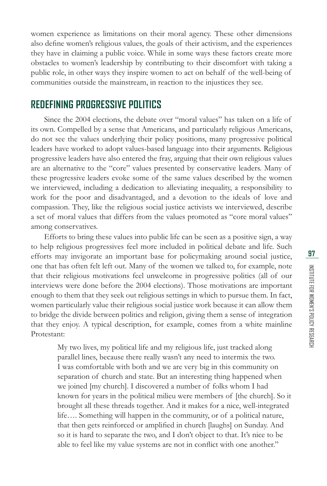women experience as limitations on their moral agency. These other dimensions also define women's religious values, the goals of their activism, and the experiences they have in claiming a public voice. While in some ways these factors create more obstacles to women's leadership by contributing to their discomfort with taking a public role, in other ways they inspire women to act on behalf of the well-being of communities outside the mainstream, in reaction to the injustices they see.

#### **REDEFINING PROGRESSIVE POLITICS**

Since the 2004 elections, the debate over "moral values" has taken on a life of its own. Compelled by a sense that Americans, and particularly religious Americans, do not see the values underlying their policy positions, many progressive political leaders have worked to adopt values-based language into their arguments. Religious progressive leaders have also entered the fray, arguing that their own religious values are an alternative to the "core" values presented by conservative leaders. Many of these progressive leaders evoke some of the same values described by the women we interviewed, including a dedication to alleviating inequality, a responsibility to work for the poor and disadvantaged, and a devotion to the ideals of love and compassion. They, like the religious social justice activists we interviewed, describe a set of moral values that differs from the values promoted as "core moral values" among conservatives.

Efforts to bring these values into public life can be seen as a positive sign, a way to help religious progressives feel more included in political debate and life. Such efforts may invigorate an important base for policymaking around social justice, one that has often felt left out. Many of the women we talked to, for example, note that their religious motivations feel unwelcome in progressive politics (all of our interviews were done before the 2004 elections). Those motivations are important enough to them that they seek out religious settings in which to pursue them. In fact, women particularly value their religious social justice work because it can allow them to bridge the divide between politics and religion, giving them a sense of integration that they enjoy. A typical description, for example, comes from a white mainline Protestant:

My two lives, my political life and my religious life, just tracked along parallel lines, because there really wasn't any need to intermix the two. I was comfortable with both and we are very big in this community on separation of church and state. But an interesting thing happened when we joined [my church]. I discovered a number of folks whom I had known for years in the political milieu were members of [the church]. So it brought all these threads together. And it makes for a nice, well-integrated life…. Something will happen in the community, or of a political nature, that then gets reinforced or amplified in church [laughs] on Sunday. And so it is hard to separate the two, and I don't object to that. It's nice to be able to feel like my value systems are not in conflict with one another."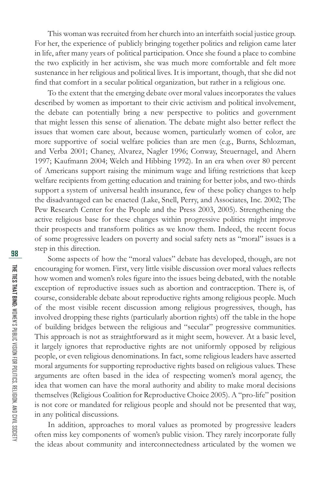This woman was recruited from her church into an interfaith social justice group. For her, the experience of publicly bringing together politics and religion came later in life, after many years of political participation. Once she found a place to combine the two explicitly in her activism, she was much more comfortable and felt more sustenance in her religious and political lives. It is important, though, that she did not find that comfort in a secular political organization, but rather in a religious one.

To the extent that the emerging debate over moral values incorporates the values described by women as important to their civic activism and political involvement, the debate can potentially bring a new perspective to politics and government that might lessen this sense of alienation. The debate might also better reflect the issues that women care about, because women, particularly women of color, are more supportive of social welfare policies than are men (e.g., Burns, Schlozman, and Verba 2001; Chaney, Alvarez, Nagler 1996; Conway, Steuernagel, and Ahern 1997; Kaufmann 2004; Welch and Hibbing 1992). In an era when over 80 percent of Americans support raising the minimum wage and lifting restrictions that keep welfare recipients from getting education and training for better jobs, and two-thirds support a system of universal health insurance, few of these policy changes to help the disadvantaged can be enacted (Lake, Snell, Perry, and Associates, Inc. 2002; The Pew Research Center for the People and the Press 2003, 2005). Strengthening the active religious base for these changes within progressive politics might improve their prospects and transform politics as we know them. Indeed, the recent focus of some progressive leaders on poverty and social safety nets as "moral" issues is a step in this direction.

Some aspects of how the "moral values" debate has developed, though, are not encouraging for women. First, very little visible discussion over moral values reflects how women and women's roles figure into the issues being debated, with the notable exception of reproductive issues such as abortion and contraception. There is, of course, considerable debate about reproductive rights among religious people. Much of the most visible recent discussion among religious progressives, though, has involved dropping these rights (particularly abortion rights) off the table in the hope of building bridges between the religious and "secular" progressive communities. This approach is not as straightforward as it might seem, however. At a basic level, it largely ignores that reproductive rights are not uniformly opposed by religious people, or even religious denominations. In fact, some religious leaders have asserted moral arguments for supporting reproductive rights based on religious values. These arguments are often based in the idea of respecting women's moral agency, the idea that women can have the moral authority and ability to make moral decisions themselves (Religious Coalition for Reproductive Choice 2005). A "pro-life" position is not core or mandated for religious people and should not be presented that way, in any political discussions.

In addition, approaches to moral values as promoted by progressive leaders often miss key components of women's public vision. They rarely incorporate fully the ideas about community and interconnectedness articulated by the women we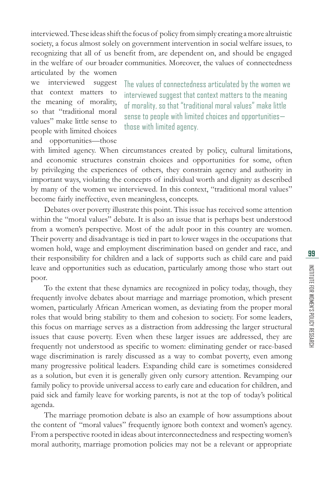interviewed. These ideas shift the focus of policy from simply creating a more altruistic society, a focus almost solely on government intervention in social welfare issues, to recognizing that all of us benefit from, are dependent on, and should be engaged in the welfare of our broader communities. Moreover, the values of connectedness articulated by the women

we interviewed suggest that context matters to the meaning of morality, so that "traditional moral values" make little sense to people with limited choices and opportunities—those

The values of connectedness articulated by the women we interviewed suggest that context matters to the meaning of morality, so that "traditional moral values" make little sense to people with limited choices and opportunities those with limited agency.

with limited agency. When circumstances created by policy, cultural limitations, and economic structures constrain choices and opportunities for some, often by privileging the experiences of others, they constrain agency and authority in important ways, violating the concepts of individual worth and dignity as described by many of the women we interviewed. In this context, "traditional moral values" become fairly ineffective, even meaningless, concepts.

Debates over poverty illustrate this point. This issue has received some attention within the "moral values" debate. It is also an issue that is perhaps best understood from a women's perspective. Most of the adult poor in this country are women. Their poverty and disadvantage is tied in part to lower wages in the occupations that women hold, wage and employment discrimination based on gender and race, and their responsibility for children and a lack of supports such as child care and paid leave and opportunities such as education, particularly among those who start out poor.

To the extent that these dynamics are recognized in policy today, though, they frequently involve debates about marriage and marriage promotion, which present women, particularly African American women, as deviating from the proper moral roles that would bring stability to them and cohesion to society. For some leaders, this focus on marriage serves as a distraction from addressing the larger structural issues that cause poverty. Even when these larger issues are addressed, they are frequently not understood as specific to women: eliminating gender or race-based wage discrimination is rarely discussed as a way to combat poverty, even among many progressive political leaders. Expanding child care is sometimes considered as a solution, but even it is generally given only cursory attention. Revamping our family policy to provide universal access to early care and education for children, and paid sick and family leave for working parents, is not at the top of today's political agenda.

The marriage promotion debate is also an example of how assumptions about the content of "moral values" frequently ignore both context and women's agency. From a perspective rooted in ideas about interconnectedness and respecting women's moral authority, marriage promotion policies may not be a relevant or appropriate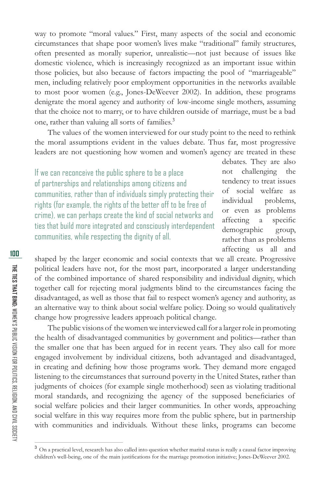way to promote "moral values." First, many aspects of the social and economic circumstances that shape poor women's lives make "traditional" family structures, often presented as morally superior, unrealistic—not just because of issues like domestic violence, which is increasingly recognized as an important issue within those policies, but also because of factors impacting the pool of "marriageable" men, including relatively poor employment opportunities in the networks available to most poor women (e.g., Jones-DeWeever 2002). In addition, these programs denigrate the moral agency and authority of low-income single mothers, assuming that the choice not to marry, or to have children outside of marriage, must be a bad one, rather than valuing all sorts of families.<sup>3</sup>

The values of the women interviewed for our study point to the need to rethink the moral assumptions evident in the values debate. Thus far, most progressive leaders are not questioning how women and women's agency are treated in these

If we can reconceive the public sphere to be a place of partnerships and relationships among citizens and communities, rather than of individuals simply protecting their rights (for example, the rights of the better off to be free of crime), we can perhaps create the kind of social networks and ties that build more integrated and consciously interdependent communities, while respecting the dignity of all.

debates. They are also not challenging the tendency to treat issues of social welfare as individual problems, or even as problems affecting a specific demographic group, rather than as problems affecting us all and

shaped by the larger economic and social contexts that we all create. Progressive political leaders have not, for the most part, incorporated a larger understanding of the combined importance of shared responsibility and individual dignity, which together call for rejecting moral judgments blind to the circumstances facing the disadvantaged, as well as those that fail to respect women's agency and authority, as an alternative way to think about social welfare policy. Doing so would qualitatively change how progressive leaders approach political change.

The public visions of the women we interviewed call for a larger role in promoting the health of disadvantaged communities by government and politics—rather than the smaller one that has been argued for in recent years. They also call for more engaged involvement by individual citizens, both advantaged and disadvantaged, in creating and defining how those programs work. They demand more engaged listening to the circumstances that surround poverty in the United States, rather than judgments of choices (for example single motherhood) seen as violating traditional moral standards, and recognizing the agency of the supposed beneficiaries of social welfare policies and their larger communities. In other words, approaching social welfare in this way requires more from the public sphere, but in partnership with communities and individuals. Without these links, programs can become

<sup>&</sup>lt;sup>3</sup> On a practical level, research has also called into question whether marital status is really a causal factor improving children's well-being, one of the main justifications for the marriage promotion initiative; Jones-DeWeever 2002.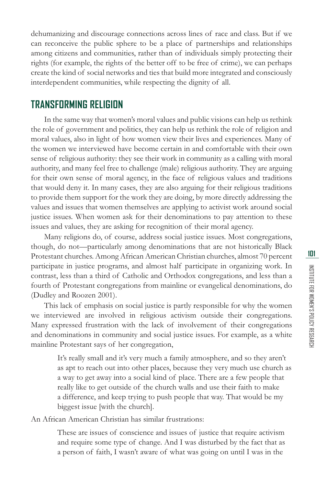dehumanizing and discourage connections across lines of race and class. But if we can reconceive the public sphere to be a place of partnerships and relationships among citizens and communities, rather than of individuals simply protecting their rights (for example, the rights of the better off to be free of crime), we can perhaps create the kind of social networks and ties that build more integrated and consciously interdependent communities, while respecting the dignity of all.

#### **TRANSFORMING RELIGION**

In the same way that women's moral values and public visions can help us rethink the role of government and politics, they can help us rethink the role of religion and moral values, also in light of how women view their lives and experiences. Many of the women we interviewed have become certain in and comfortable with their own sense of religious authority: they see their work in community as a calling with moral authority, and many feel free to challenge (male) religious authority. They are arguing for their own sense of moral agency, in the face of religious values and traditions that would deny it. In many cases, they are also arguing for their religious traditions to provide them support for the work they are doing, by more directly addressing the values and issues that women themselves are applying to activist work around social justice issues. When women ask for their denominations to pay attention to these issues and values, they are asking for recognition of their moral agency.

Many religions do, of course, address social justice issues. Most congregations, though, do not—particularly among denominations that are not historically Black Protestant churches. Among African American Christian churches, almost 70 percent participate in justice programs, and almost half participate in organizing work. In contrast, less than a third of Catholic and Orthodox congregations, and less than a fourth of Protestant congregations from mainline or evangelical denominations, do (Dudley and Roozen 2001).

This lack of emphasis on social justice is partly responsible for why the women we interviewed are involved in religious activism outside their congregations. Many expressed frustration with the lack of involvement of their congregations and denominations in community and social justice issues. For example, as a white mainline Protestant says of her congregation,

> It's really small and it's very much a family atmosphere, and so they aren't as apt to reach out into other places, because they very much use church as a way to get away into a social kind of place. There are a few people that really like to get outside of the church walls and use their faith to make a difference, and keep trying to push people that way. That would be my biggest issue [with the church].

An African American Christian has similar frustrations:

These are issues of conscience and issues of justice that require activism and require some type of change. And I was disturbed by the fact that as a person of faith, I wasn't aware of what was going on until I was in the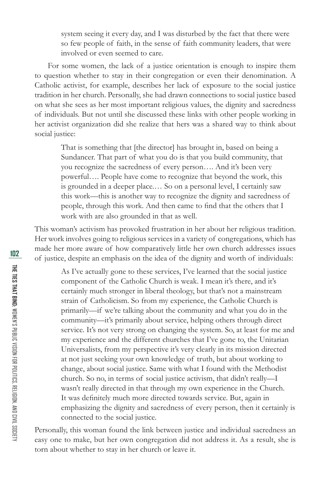system seeing it every day, and I was disturbed by the fact that there were so few people of faith, in the sense of faith community leaders, that were involved or even seemed to care.

For some women, the lack of a justice orientation is enough to inspire them to question whether to stay in their congregation or even their denomination. A Catholic activist, for example, describes her lack of exposure to the social justice tradition in her church. Personally, she had drawn connections to social justice based on what she sees as her most important religious values, the dignity and sacredness of individuals. But not until she discussed these links with other people working in her activist organization did she realize that hers was a shared way to think about social justice:

> That is something that [the director] has brought in, based on being a Sundancer. That part of what you do is that you build community, that you recognize the sacredness of every person…. And it's been very powerful…. People have come to recognize that beyond the work, this is grounded in a deeper place.… So on a personal level, I certainly saw this work—this is another way to recognize the dignity and sacredness of people, through this work. And then came to find that the others that I work with are also grounded in that as well.

This woman's activism has provoked frustration in her about her religious tradition. Her work involves going to religious services in a variety of congregations, which has made her more aware of how comparatively little her own church addresses issues of justice, despite an emphasis on the idea of the dignity and worth of individuals:

As I've actually gone to these services, I've learned that the social justice component of the Catholic Church is weak. I mean it's there, and it's certainly much stronger in liberal theology, but that's not a mainstream strain of Catholicism. So from my experience, the Catholic Church is primarily—if we're talking about the community and what you do in the community—it's primarily about service, helping others through direct service. It's not very strong on changing the system. So, at least for me and my experience and the different churches that I've gone to, the Unitarian Universalists, from my perspective it's very clearly in its mission directed at not just seeking your own knowledge of truth, but about working to change, about social justice. Same with what I found with the Methodist church. So no, in terms of social justice activism, that didn't really—I wasn't really directed in that through my own experience in the Church. It was definitely much more directed towards service. But, again in emphasizing the dignity and sacredness of every person, then it certainly is connected to the social justice.

Personally, this woman found the link between justice and individual sacredness an easy one to make, but her own congregation did not address it. As a result, she is torn about whether to stay in her church or leave it.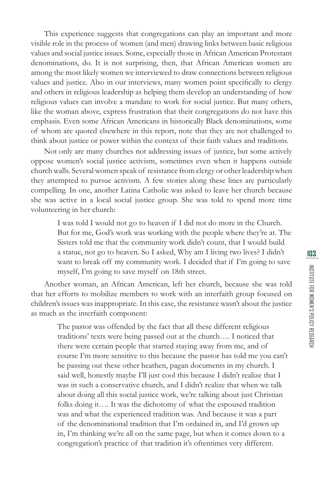This experience suggests that congregations can play an important and more visible role in the process of women (and men) drawing links between basic religious values and social justice issues. Some, especially those in African American Protestant denominations, do. It is not surprising, then, that African American women are among the most likely women we interviewed to draw connections between religious values and justice. Also in our interviews, many women point specifically to clergy and others in religious leadership as helping them develop an understanding of how religious values can involve a mandate to work for social justice. But many others, like the woman above, express frustration that their congregations do not have this emphasis. Even some African Americans in historically Black denominations, some of whom are quoted elsewhere in this report, note that they are not challenged to think about justice or power within the context of their faith values and traditions.

Not only are many churches not addressing issues of justice, but some actively oppose women's social justice activism, sometimes even when it happens outside church walls. Several women speak of resistance from clergy or other leadership when they attempted to pursue activism. A few stories along these lines are particularly compelling. In one, another Latina Catholic was asked to leave her church because she was active in a local social justice group. She was told to spend more time volunteering in her church:

> I was told I would not go to heaven if I did not do more in the Church. But for me, God's work was working with the people where they're at. The Sisters told me that the community work didn't count, that I would build a statue, not go to heaven. So I asked, Why am I living two lives? I didn't want to break off my community work. I decided that if I'm going to save myself, I'm going to save myself on 18th street.

Another woman, an African American, left her church, because she was told that her efforts to mobilize members to work with an interfaith group focused on children's issues was inappropriate. In this case, the resistance wasn't about the justice as much as the interfaith component:

> The pastor was offended by the fact that all these different religious traditions' texts were being passed out at the church…. I noticed that there were certain people that started staying away from me, and of course I'm more sensitive to this because the pastor has told me you can't be passing out these other heathen, pagan documents in my church. I said well, honestly maybe I'll just cool this because I didn't realize that I was in such a conservative church, and I didn't realize that when we talk about doing all this social justice work, we're talking about just Christian folks doing it…. It was the dichotomy of what the espoused tradition was and what the experienced tradition was. And because it was a part of the denominational tradition that I'm ordained in, and I'd grown up in, I'm thinking we're all on the same page, but when it comes down to a congregation's practice of that tradition it's oftentimes very different.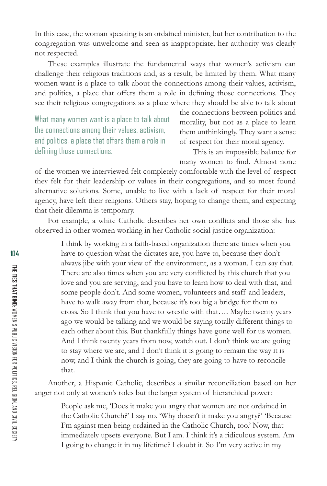In this case, the woman speaking is an ordained minister, but her contribution to the congregation was unwelcome and seen as inappropriate; her authority was clearly not respected.

These examples illustrate the fundamental ways that women's activism can challenge their religious traditions and, as a result, be limited by them. What many women want is a place to talk about the connections among their values, activism, and politics, a place that offers them a role in defining those connections. They see their religious congregations as a place where they should be able to talk about

What many women want is a place to talk about the connections among their values, activism, and politics, a place that offers them a role in defining those connections.

the connections between politics and morality, but not as a place to learn them unthinkingly. They want a sense of respect for their moral agency.

This is an impossible balance for many women to find. Almost none

of the women we interviewed felt completely comfortable with the level of respect they felt for their leadership or values in their congregations, and so most found alternative solutions. Some, unable to live with a lack of respect for their moral agency, have left their religions. Others stay, hoping to change them, and expecting that their dilemma is temporary.

For example, a white Catholic describes her own conflicts and those she has observed in other women working in her Catholic social justice organization:

I think by working in a faith-based organization there are times when you have to question what the dictates are, you have to, because they don't always jibe with your view of the environment, as a woman. I can say that. There are also times when you are very conflicted by this church that you love and you are serving, and you have to learn how to deal with that, and some people don't. And some women, volunteers and staff and leaders, have to walk away from that, because it's too big a bridge for them to cross. So I think that you have to wrestle with that…. Maybe twenty years ago we would be talking and we would be saying totally different things to each other about this. But thankfully things have gone well for us women. And I think twenty years from now, watch out. I don't think we are going to stay where we are, and I don't think it is going to remain the way it is now, and I think the church is going, they are going to have to reconcile that.

Another, a Hispanic Catholic, describes a similar reconciliation based on her anger not only at women's roles but the larger system of hierarchical power:

> People ask me, 'Does it make you angry that women are not ordained in the Catholic Church?' I say no. 'Why doesn't it make you angry?' 'Because I'm against men being ordained in the Catholic Church, too.' Now, that immediately upsets everyone. But I am. I think it's a ridiculous system. Am I going to change it in my lifetime? I doubt it. So I'm very active in my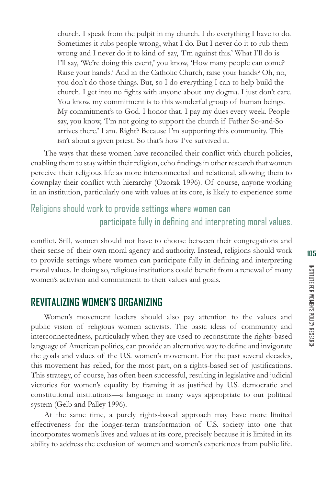church. I speak from the pulpit in my church. I do everything I have to do. Sometimes it rubs people wrong, what I do. But I never do it to rub them wrong and I never do it to kind of say, 'I'm against this.' What I'll do is I'll say, 'We're doing this event,' you know, 'How many people can come? Raise your hands.' And in the Catholic Church, raise your hands? Oh, no, you don't do those things. But, so I do everything I can to help build the church. I get into no fights with anyone about any dogma. I just don't care. You know, my commitment is to this wonderful group of human beings. My commitment's to God. I honor that. I pay my dues every week. People say, you know, 'I'm not going to support the church if Father So-and-So arrives there.' I am. Right? Because I'm supporting this community. This isn't about a given priest. So that's how I've survived it.

The ways that these women have reconciled their conflict with church policies, enabling them to stay within their religion, echo findings in other research that women perceive their religious life as more interconnected and relational, allowing them to downplay their conflict with hierarchy (Ozorak 1996). Of course, anyone working in an institution, particularly one with values at its core, is likely to experience some

#### Religions should work to provide settings where women can participate fully in defining and interpreting moral values.

conflict. Still, women should not have to choose between their congregations and their sense of their own moral agency and authority. Instead, religions should work to provide settings where women can participate fully in defining and interpreting moral values. In doing so, religious institutions could benefit from a renewal of many women's activism and commitment to their values and goals.

#### **REVITALIZING WOMEN'S ORGANIZING**

Women's movement leaders should also pay attention to the values and public vision of religious women activists. The basic ideas of community and interconnectedness, particularly when they are used to reconstitute the rights-based language of American politics, can provide an alternative way to define and invigorate the goals and values of the U.S. women's movement. For the past several decades, this movement has relied, for the most part, on a rights-based set of justifications. This strategy, of course, has often been successful, resulting in legislative and judicial victories for women's equality by framing it as justified by U.S. democratic and constitutional institutions—a language in many ways appropriate to our political system (Gelb and Palley 1996).

At the same time, a purely rights-based approach may have more limited effectiveness for the longer-term transformation of U.S. society into one that incorporates women's lives and values at its core, precisely because it is limited in its ability to address the exclusion of women and women's experiences from public life.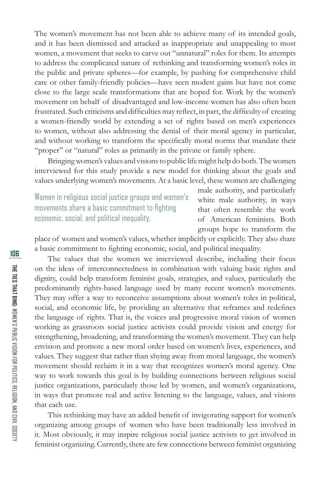The women's movement has not been able to achieve many of its intended goals, and it has been dismissed and attacked as inappropriate and unappealing to most women, a movement that seeks to carve out "unnatural" roles for them. Its attempts to address the complicated nature of rethinking and transforming women's roles in the public and private spheres—for example, by pushing for comprehensive child care or other family-friendly policies—have seen modest gains but have not come close to the large scale transformations that are hoped for. Work by the women's movement on behalf of disadvantaged and low-income women has also often been frustrated. Such criticisms and difficulties may reflect, in part, the difficulty of creating a women-friendly world by extending a set of rights based on men's experiences to women, without also addressing the denial of their moral agency in particular, and without working to transform the specifically moral norms that mandate their "proper" or "natural" roles as primarily in the private or family sphere.

Bringing women's values and visions to public life might help do both. The women interviewed for this study provide a new model for thinking about the goals and values underlying women's movements. At a basic level, these women are challenging

Women in religious social justice groups and women's movements share a basic commitment to fighting economic, social, and political inequality.

male authority, and particularly white male authority, in ways that often resemble the work of American feminists. Both groups hope to transform the

place of women and women's values, whether implicitly or explicitly. They also share a basic commitment to fighting economic, social, and political inequality.

The values that the women we interviewed describe, including their focus on the ideas of interconnectedness in combination with valuing basic rights and dignity, could help transform feminist goals, strategies, and values, particularly the predominantly rights-based language used by many recent women's movements. They may offer a way to reconceive assumptions about women's roles in political, social, and economic life, by providing an alternative that reframes and redefines the language of rights. That is, the voices and progressive moral vision of women working as grassroots social justice activists could provide vision and energy for strengthening, broadening, and transforming the women's movement. They can help envision and promote a new moral order based on women's lives, experiences, and values. They suggest that rather than shying away from moral language, the women's movement should reclaim it in a way that recognizes women's moral agency. One way to work towards this goal is by building connections between religious social justice organizations, particularly those led by women, and women's organizations, in ways that promote real and active listening to the language, values, and visions that each use.

This rethinking may have an added benefit of invigorating support for women's organizing among groups of women who have been traditionally less involved in it. Most obviously, it may inspire religious social justice activists to get involved in feminist organizing. Currently, there are few connections between feminist organizing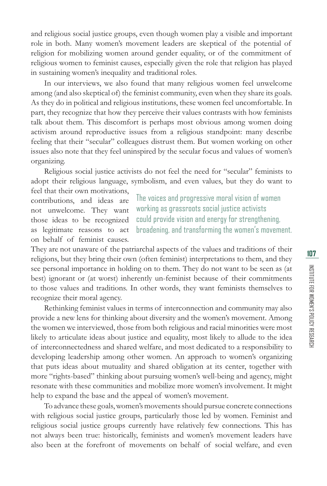and religious social justice groups, even though women play a visible and important role in both. Many women's movement leaders are skeptical of the potential of religion for mobilizing women around gender equality, or of the commitment of religious women to feminist causes, especially given the role that religion has played in sustaining women's inequality and traditional roles.

In our interviews, we also found that many religious women feel unwelcome among (and also skeptical of) the feminist community, even when they share its goals. As they do in political and religious institutions, these women feel uncomfortable. In part, they recognize that how they perceive their values contrasts with how feminists talk about them. This discomfort is perhaps most obvious among women doing activism around reproductive issues from a religious standpoint: many describe feeling that their "secular" colleagues distrust them. But women working on other issues also note that they feel uninspired by the secular focus and values of women's organizing.

Religious social justice activists do not feel the need for "secular" feminists to adopt their religious language, symbolism, and even values, but they do want to

feel that their own motivations, contributions, and ideas are not unwelcome. They want those ideas to be recognized as legitimate reasons to act on behalf of feminist causes.

The voices and progressive moral vision of women working as grassroots social justice activists could provide vision and energy for strengthening, broadening, and transforming the women's movement.

They are not unaware of the patriarchal aspects of the values and traditions of their religions, but they bring their own (often feminist) interpretations to them, and they see personal importance in holding on to them. They do not want to be seen as (at best) ignorant or (at worst) inherently un-feminist because of their commitments to those values and traditions. In other words, they want feminists themselves to recognize their moral agency.

Rethinking feminist values in terms of interconnection and community may also provide a new lens for thinking about diversity and the women's movement. Among the women we interviewed, those from both religious and racial minorities were most likely to articulate ideas about justice and equality, most likely to allude to the idea of interconnectedness and shared welfare, and most dedicated to a responsibility to developing leadership among other women. An approach to women's organizing that puts ideas about mutuality and shared obligation at its center, together with more "rights-based" thinking about pursuing women's well-being and agency, might resonate with these communities and mobilize more women's involvement. It might help to expand the base and the appeal of women's movement.

To advance these goals, women's movements should pursue concrete connections with religious social justice groups, particularly those led by women. Feminist and religious social justice groups currently have relatively few connections. This has not always been true: historically, feminists and women's movement leaders have also been at the forefront of movements on behalf of social welfare, and even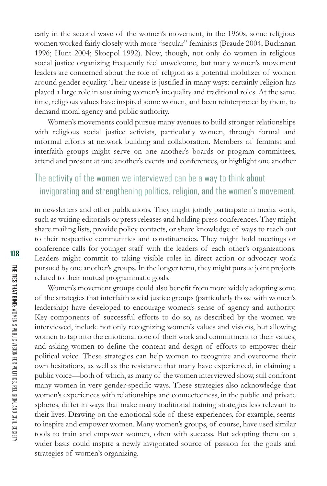early in the second wave of the women's movement, in the 1960s, some religious women worked fairly closely with more "secular" feminists (Braude 2004; Buchanan 1996; Hunt 2004; Skocpol 1992). Now, though, not only do women in religious social justice organizing frequently feel unwelcome, but many women's movement leaders are concerned about the role of religion as a potential mobilizer of women around gender equality. Their unease is justified in many ways: certainly religion has played a large role in sustaining women's inequality and traditional roles. At the same time, religious values have inspired some women, and been reinterpreted by them, to demand moral agency and public authority.

Women's movements could pursue many avenues to build stronger relationships with religious social justice activists, particularly women, through formal and informal efforts at network building and collaboration. Members of feminist and interfaith groups might serve on one another's boards or program committees, attend and present at one another's events and conferences, or highlight one another

#### The activity of the women we interviewed can be a way to think about invigorating and strengthening politics, religion, and the women's movement.

in newsletters and other publications. They might jointly participate in media work, such as writing editorials or press releases and holding press conferences. They might share mailing lists, provide policy contacts, or share knowledge of ways to reach out to their respective communities and constituencies. They might hold meetings or conference calls for younger staff with the leaders of each other's organizations. Leaders might commit to taking visible roles in direct action or advocacy work pursued by one another's groups. In the longer term, they might pursue joint projects related to their mutual programmatic goals.

Women's movement groups could also benefit from more widely adopting some of the strategies that interfaith social justice groups (particularly those with women's leadership) have developed to encourage women's sense of agency and authority. Key components of successful efforts to do so, as described by the women we interviewed, include not only recognizing women's values and visions, but allowing women to tap into the emotional core of their work and commitment to their values, and asking women to define the content and design of efforts to empower their political voice. These strategies can help women to recognize and overcome their own hesitations, as well as the resistance that many have experienced, in claiming a public voice—both of which, as many of the women interviewed show, still confront many women in very gender-specific ways. These strategies also acknowledge that women's experiences with relationships and connectedness, in the public and private spheres, differ in ways that make many traditional training strategies less relevant to their lives. Drawing on the emotional side of these experiences, for example, seems to inspire and empower women. Many women's groups, of course, have used similar tools to train and empower women, often with success. But adopting them on a wider basis could inspire a newly invigorated source of passion for the goals and strategies of women's organizing.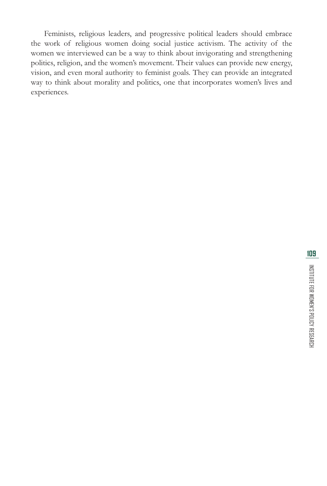Feminists, religious leaders, and progressive political leaders should embrace the work of religious women doing social justice activism. The activity of the women we interviewed can be a way to think about invigorating and strengthening politics, religion, and the women's movement. Their values can provide new energy, vision, and even moral authority to feminist goals. They can provide an integrated way to think about morality and politics, one that incorporates women's lives and experiences.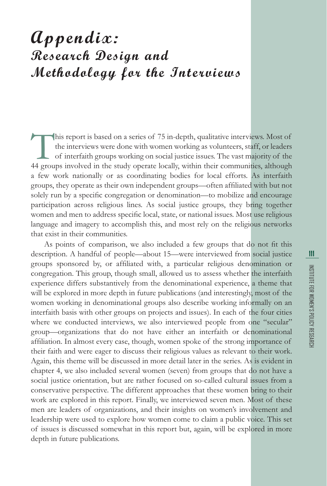## **Appendix: Research Design and Methodology for the Interviews**

This report is based on a series of 75 in-depth, qualitative interviews. Most of the interviews were done with women working as volunteers, staff, or leaders of interfaith groups working on social justice issues. The vast the interviews were done with women working as volunteers, staff, or leaders of interfaith groups working on social justice issues. The vast majority of the a few work nationally or as coordinating bodies for local efforts. As interfaith groups, they operate as their own independent groups—often affiliated with but not solely run by a specific congregation or denomination—to mobilize and encourage participation across religious lines. As social justice groups, they bring together women and men to address specific local, state, or national issues. Most use religious language and imagery to accomplish this, and most rely on the religious networks that exist in their communities.

As points of comparison, we also included a few groups that do not fit this description. A handful of people—about 15—were interviewed from social justice groups sponsored by, or affiliated with, a particular religious denomination or congregation. This group, though small, allowed us to assess whether the interfaith experience differs substantively from the denominational experience, a theme that will be explored in more depth in future publications (and interestingly, most of the women working in denominational groups also describe working informally on an interfaith basis with other groups on projects and issues). In each of the four cities where we conducted interviews, we also interviewed people from one "secular" group—organizations that do not have either an interfaith or denominational affiliation. In almost every case, though, women spoke of the strong importance of their faith and were eager to discuss their religious values as relevant to their work. Again, this theme will be discussed in more detail later in the series. As is evident in chapter 4, we also included several women (seven) from groups that do not have a social justice orientation, but are rather focused on so-called cultural issues from a conservative perspective. The different approaches that these women bring to their work are explored in this report. Finally, we interviewed seven men. Most of these men are leaders of organizations, and their insights on women's involvement and leadership were used to explore how women come to claim a public voice. This set of issues is discussed somewhat in this report but, again, will be explored in more depth in future publications.

INSTITUTE FOR WOMEN'S POLICY RESEARCH

INSTITUTE FOR WOMEN'S POLICY RESEARCH

**111**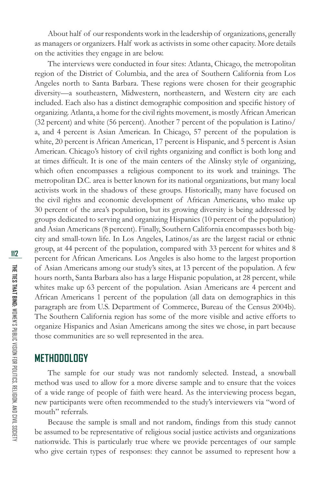About half of our respondents work in the leadership of organizations, generally as managers or organizers. Half work as activists in some other capacity. More details on the activities they engage in are below.

The interviews were conducted in four sites: Atlanta, Chicago, the metropolitan region of the District of Columbia, and the area of Southern California from Los Angeles north to Santa Barbara. These regions were chosen for their geographic diversity—a southeastern, Midwestern, northeastern, and Western city are each included. Each also has a distinct demographic composition and specific history of organizing. Atlanta, a home for the civil rights movement, is mostly African American (32 percent) and white (56 percent). Another 7 percent of the population is Latino/ a, and 4 percent is Asian American. In Chicago, 57 percent of the population is white, 20 percent is African American, 17 percent is Hispanic, and 5 percent is Asian American. Chicago's history of civil rights organizing and conflict is both long and at times difficult. It is one of the main centers of the Alinsky style of organizing, which often encompasses a religious component to its work and trainings. The metropolitan D.C. area is better known for its national organizations, but many local activists work in the shadows of these groups. Historically, many have focused on the civil rights and economic development of African Americans, who make up 30 percent of the area's population, but its growing diversity is being addressed by groups dedicated to serving and organizing Hispanics (10 percent of the population) and Asian Americans (8 percent). Finally, Southern California encompasses both bigcity and small-town life. In Los Angeles, Latinos/as are the largest racial or ethnic group, at 44 percent of the population, compared with 33 percent for whites and 8 percent for African Americans. Los Angeles is also home to the largest proportion of Asian Americans among our study's sites, at 13 percent of the population. A few hours north, Santa Barbara also has a large Hispanic population, at 28 percent, while whites make up 63 percent of the population. Asian Americans are 4 percent and African Americans 1 percent of the population (all data on demographics in this paragraph are from U.S. Department of Commerce, Bureau of the Census 2004b). The Southern California region has some of the more visible and active efforts to organize Hispanics and Asian Americans among the sites we chose, in part because those communities are so well represented in the area.

#### **METHODOLOGY**

The sample for our study was not randomly selected. Instead, a snowball method was used to allow for a more diverse sample and to ensure that the voices of a wide range of people of faith were heard. As the interviewing process began, new participants were often recommended to the study's interviewers via "word of mouth" referrals.

Because the sample is small and not random, findings from this study cannot be assumed to be representative of religious social justice activists and organizations nationwide. This is particularly true where we provide percentages of our sample who give certain types of responses: they cannot be assumed to represent how a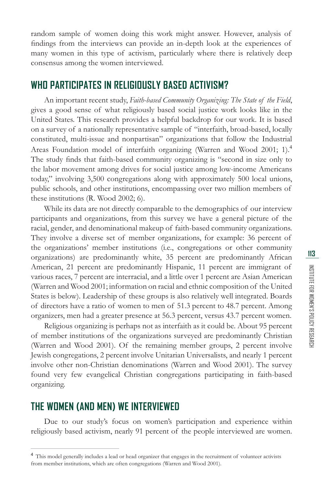random sample of women doing this work might answer. However, analysis of findings from the interviews can provide an in-depth look at the experiences of many women in this type of activism, particularly where there is relatively deep consensus among the women interviewed.

#### **WHO PARTICIPATES IN RELIGIOUSLY BASED ACTIVISM?**

An important recent study, *Faith-based Community Organizing: The State of the Field*, gives a good sense of what religiously based social justice work looks like in the United States. This research provides a helpful backdrop for our work. It is based on a survey of a nationally representative sample of "interfaith, broad-based, locally constituted, multi-issue and nonpartisan" organizations that follow the Industrial Areas Foundation model of interfaith organizing (Warren and Wood 2001; 1).<sup>4</sup> The study finds that faith-based community organizing is "second in size only to the labor movement among drives for social justice among low-income Americans today," involving 3,500 congregations along with approximately 500 local unions, public schools, and other institutions, encompassing over two million members of these institutions (R. Wood 2002; 6).

While its data are not directly comparable to the demographics of our interview participants and organizations, from this survey we have a general picture of the racial, gender, and denominational makeup of faith-based community organizations. They involve a diverse set of member organizations, for example: 36 percent of the organizations' member institutions (i.e., congregations or other community organizations) are predominantly white, 35 percent are predominantly African American, 21 percent are predominantly Hispanic, 11 percent are immigrant of various races, 7 percent are interracial, and a little over 1 percent are Asian American (Warren and Wood 2001; information on racial and ethnic composition of the United States is below). Leadership of these groups is also relatively well integrated. Boards of directors have a ratio of women to men of 51.3 percent to 48.7 percent. Among organizers, men had a greater presence at 56.3 percent, versus 43.7 percent women.

Religious organizing is perhaps not as interfaith as it could be. About 95 percent of member institutions of the organizations surveyed are predominantly Christian (Warren and Wood 2001). Of the remaining member groups, 2 percent involve Jewish congregations, 2 percent involve Unitarian Universalists, and nearly 1 percent involve other non-Christian denominations (Warren and Wood 2001). The survey found very few evangelical Christian congregations participating in faith-based organizing.

#### **THE WOMEN (AND MEN) WE INTERVIEWED**

Due to our study's focus on women's participation and experience within religiously based activism, nearly 91 percent of the people interviewed are women.

<sup>&</sup>lt;sup>4</sup> This model generally includes a lead or head organizer that engages in the recruitment of volunteer activists from member institutions, which are often congregations (Warren and Wood 2001).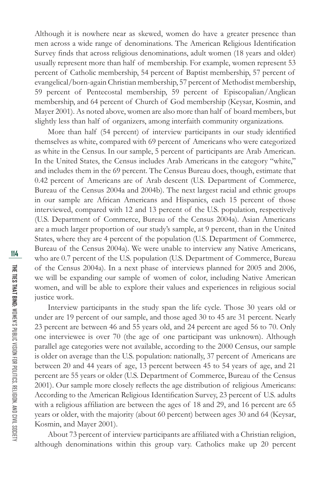Although it is nowhere near as skewed, women do have a greater presence than men across a wide range of denominations. The American Religious Identification Survey finds that across religious denominations, adult women (18 years and older) usually represent more than half of membership. For example, women represent 53 percent of Catholic membership, 54 percent of Baptist membership, 57 percent of evangelical/born-again Christian membership, 57 percent of Methodist membership, 59 percent of Pentecostal membership, 59 percent of Episcopalian/Anglican membership, and 64 percent of Church of God membership (Keysar, Kosmin, and Mayer 2001). As noted above, women are also more than half of board members, but slightly less than half of organizers, among interfaith community organizations.

More than half (54 percent) of interview participants in our study identified themselves as white, compared with 69 percent of Americans who were categorized as white in the Census. In our sample, 5 percent of participants are Arab American. In the United States, the Census includes Arab Americans in the category "white," and includes them in the 69 percent. The Census Bureau does, though, estimate that 0.42 percent of Americans are of Arab descent (U.S. Department of Commerce, Bureau of the Census 2004a and 2004b). The next largest racial and ethnic groups in our sample are African Americans and Hispanics, each 15 percent of those interviewed, compared with 12 and 13 percent of the U.S. population, respectively (U.S. Department of Commerce, Bureau of the Census 2004a). Asian Americans are a much larger proportion of our study's sample, at 9 percent, than in the United States, where they are 4 percent of the population (U.S. Department of Commerce, Bureau of the Census 2004a). We were unable to interview any Native Americans, who are 0.7 percent of the U.S. population (U.S. Department of Commerce, Bureau of the Census 2004a). In a next phase of interviews planned for 2005 and 2006, we will be expanding our sample of women of color, including Native American women, and will be able to explore their values and experiences in religious social justice work.

Interview participants in the study span the life cycle. Those 30 years old or under are 19 percent of our sample, and those aged 30 to 45 are 31 percent. Nearly 23 percent are between 46 and 55 years old, and 24 percent are aged 56 to 70. Only one interviewee is over 70 (the age of one participant was unknown). Although parallel age categories were not available, according to the 2000 Census, our sample is older on average than the U.S. population: nationally, 37 percent of Americans are between 20 and 44 years of age, 13 percent between 45 to 54 years of age, and 21 percent are 55 years or older (U.S. Department of Commerce, Bureau of the Census 2001). Our sample more closely reflects the age distribution of religious Americans: According to the American Religious Identification Survey, 23 percent of U.S. adults with a religious affiliation are between the ages of  $18$  and  $29$ , and  $16$  percent are  $65$ years or older, with the majority (about 60 percent) between ages 30 and 64 (Keysar, Kosmin, and Mayer 2001).

About 73 percent of interview participants are affiliated with a Christian religion, although denominations within this group vary. Catholics make up 20 percent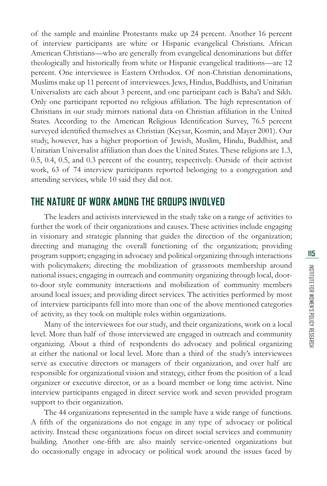of the sample and mainline Protestants make up 24 percent. Another 16 percent of interview participants are white or Hispanic evangelical Christians. African American Christians—who are generally from evangelical denominations but differ theologically and historically from white or Hispanic evangelical traditions—are 12 percent. One interviewee is Eastern Orthodox. Of non-Christian denominations, Muslims make up 11 percent of interviewees. Jews, Hindus, Buddhists, and Unitarian Universalists are each about 3 percent, and one participant each is Baha'i and Sikh. Only one participant reported no religious affiliation. The high representation of Christians in our study mirrors national data on Christian affiliation in the United States. According to the American Religious Identification Survey, 76.5 percent surveyed identified themselves as Christian (Keysar, Kosmin, and Mayer 2001). Our study, however, has a higher proportion of Jewish, Muslim, Hindu, Buddhist, and Unitarian Universalist affiliation than does the United States. These religions are 1.3, 0.5, 0.4, 0.5, and 0.3 percent of the country, respectively. Outside of their activist work, 63 of 74 interview participants reported belonging to a congregation and attending services, while 10 said they did not.

#### **THE NATURE OF WORK AMONG THE GROUPS INVOLVED**

The leaders and activists interviewed in the study take on a range of activities to further the work of their organizations and causes. These activities include engaging in visionary and strategic planning that guides the direction of the organization; directing and managing the overall functioning of the organization; providing program support; engaging in advocacy and political organizing through interactions with policymakers; directing the mobilization of grassroots membership around national issues; engaging in outreach and community organizing through local, doorto-door style community interactions and mobilization of community members around local issues; and providing direct services. The activities performed by most of interview participants fell into more than one of the above mentioned categories of activity, as they took on multiple roles within organizations.

Many of the interviewees for our study, and their organizations, work on a local level. More than half of those interviewed are engaged in outreach and community organizing. About a third of respondents do advocacy and political organizing at either the national or local level. More than a third of the study's interviewees serve as executive directors or managers of their organization, and over half are responsible for organizational vision and strategy, either from the position of a lead organizer or executive director, or as a board member or long time activist. Nine interview participants engaged in direct service work and seven provided program support to their organization.

The 44 organizations represented in the sample have a wide range of functions. A fifth of the organizations do not engage in any type of advocacy or political activity. Instead these organizations focus on direct social services and community building. Another one-fifth are also mainly service-oriented organizations but do occasionally engage in advocacy or political work around the issues faced by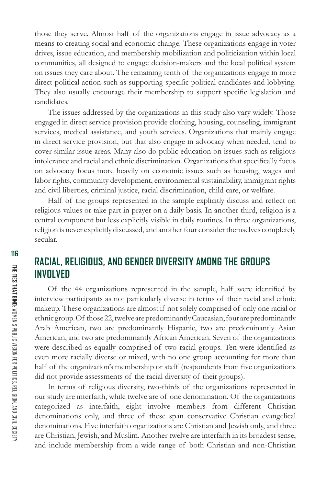those they serve. Almost half of the organizations engage in issue advocacy as a means to creating social and economic change. These organizations engage in voter drives, issue education, and membership mobilization and politicization within local communities, all designed to engage decision-makers and the local political system on issues they care about. The remaining tenth of the organizations engage in more direct political action such as supporting specific political candidates and lobbying. They also usually encourage their membership to support specific legislation and candidates.

The issues addressed by the organizations in this study also vary widely. Those engaged in direct service provision provide clothing, housing, counseling, immigrant services, medical assistance, and youth services. Organizations that mainly engage in direct service provision, but that also engage in advocacy when needed, tend to cover similar issue areas. Many also do public education on issues such as religious intolerance and racial and ethnic discrimination. Organizations that specifically focus on advocacy focus more heavily on economic issues such as housing, wages and labor rights, community development, environmental sustainability, immigrant rights and civil liberties, criminal justice, racial discrimination, child care, or welfare.

Half of the groups represented in the sample explicitly discuss and reflect on religious values or take part in prayer on a daily basis. In another third, religion is a central component but less explicitly visible in daily routines. In three organizations, religion is never explicitly discussed, and another four consider themselves completely secular.

#### **RACIAL, RELIGIOUS, AND GENDER DIVERSITY AMONG THE GROUPS INVOLVED**

Of the 44 organizations represented in the sample, half were identified by interview participants as not particularly diverse in terms of their racial and ethnic makeup. These organizations are almost if not solely comprised of only one racial or ethnic group. Of those 22, twelve are predominantly Caucasian, four are predominantly Arab American, two are predominantly Hispanic, two are predominantly Asian American, and two are predominantly African American. Seven of the organizations were described as equally comprised of two racial groups. Ten were identified as even more racially diverse or mixed, with no one group accounting for more than half of the organization's membership or staff (respondents from five organizations did not provide assessments of the racial diversity of their groups).

In terms of religious diversity, two-thirds of the organizations represented in our study are interfaith, while twelve are of one denomination. Of the organizations categorized as interfaith, eight involve members from different Christian denominations only, and three of these span conservative Christian evangelical denominations. Five interfaith organizations are Christian and Jewish only, and three are Christian, Jewish, and Muslim. Another twelve are interfaith in its broadest sense, and include membership from a wide range of both Christian and non-Christian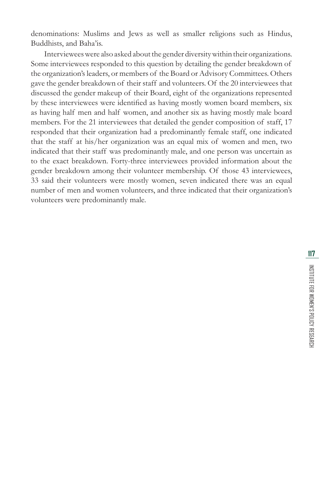denominations: Muslims and Jews as well as smaller religions such as Hindus, Buddhists, and Baha'is.

Interviewees were also asked about the gender diversity within their organizations. Some interviewees responded to this question by detailing the gender breakdown of the organization's leaders, or members of the Board or Advisory Committees. Others gave the gender breakdown of their staff and volunteers. Of the 20 interviewees that discussed the gender makeup of their Board, eight of the organizations represented by these interviewees were identified as having mostly women board members, six as having half men and half women, and another six as having mostly male board members. For the 21 interviewees that detailed the gender composition of staff, 17 responded that their organization had a predominantly female staff, one indicated that the staff at his/her organization was an equal mix of women and men, two indicated that their staff was predominantly male, and one person was uncertain as to the exact breakdown. Forty-three interviewees provided information about the gender breakdown among their volunteer membership. Of those 43 interviewees, 33 said their volunteers were mostly women, seven indicated there was an equal number of men and women volunteers, and three indicated that their organization's volunteers were predominantly male.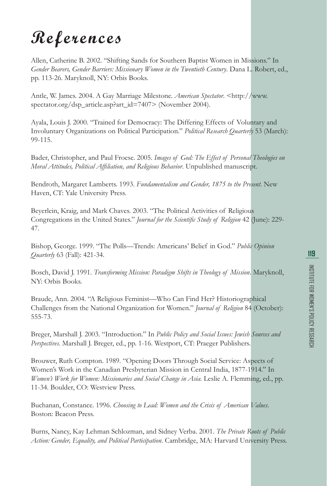# **References**

Allen, Catherine B. 2002. "Shifting Sands for Southern Baptist Women in Missions." In *Gender Bearers, Gender Barriers: Missionary Women in the Twentieth Century*. Dana L. Robert, ed., pp. 113-26. Maryknoll, NY: Orbis Books.

Antle, W. James. 2004. A Gay Marriage Milestone. *American Spectator*. <http://www. spectator.org/dsp\_article.asp?art\_id=7407> (November 2004).

Ayala, Louis J. 2000*.* "Trained for Democracy: The Differing Effects of Voluntary and Involuntary Organizations on Political Participation." *Political Research Quarterly* 53 (March): 99-115.

Bader, Christopher, and Paul Froese. 2005. *Images of God: The Effect of Personal Theologies on Moral Attitudes, Political Affiliation, and Religious Behavior*. Unpublished manuscript.

Bendroth, Margaret Lamberts. 1993. *Fundamentalism and Gender, 1875 to the Present*. New Haven, CT: Yale University Press.

Beyerlein, Kraig, and Mark Chaves. 2003. "The Political Activities of Religious Congregations in the United States." *Journal for the Scientific Study of Religion* 42 (June): 229-47.

Bishop, George. 1999. "The Polls—Trends: Americans' Belief in God." *Public Opinion Quarterly* 63 (Fall): 421-34.

Bosch, David J. 1991. *Transforming Mission: Paradigm Shifts in Theology of Mission*. Maryknoll, NY: Orbis Books.

Braude, Ann. 2004. "A Religious Feminist—Who Can Find Her? Historiographical Challenges from the National Organization for Women." *Journal of Religion* 84 (October): 555-73.

Breger, Marshall J. 2003. "Introduction." In *Public Policy and Social Issues: Jewish Sources and Perspectives*. Marshall J. Breger, ed., pp. 1-16. Westport, CT: Praeger Publishers.

Brouwer, Ruth Compton. 1989. "Opening Doors Through Social Service: Aspects of Women's Work in the Canadian Presbyterian Mission in Central India, 1877-1914." In *Women's Work for Women: Missionaries and Social Change in Asia.* Leslie A. Flemming, ed., pp. 11-34. Boulder, CO: Westview Press.

Buchanan, Constance. 1996. *Choosing to Lead: Women and the Crisis of American Values*. Boston: Beacon Press.

Burns, Nancy, Kay Lehman Schlozman, and Sidney Verba. 2001. *The Private Roots of Public Action: Gender, Equality, and Political Participation*. Cambridge, MA: Harvard University Press.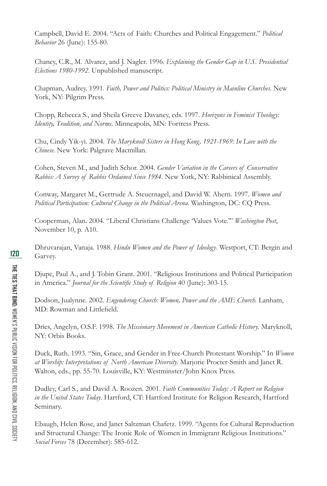Campbell, David E. 2004. "Acts of Faith: Churches and Political Engagement." *Political Behavior* 26 (June): 155-80.

Chaney, C.R., M. Alvarez, and J. Nagler. 1996. *Explaining the Gender Gap in U.S. Presidential Elections 1980-1992*. Unpublished manuscript.

Chapman, Audrey. 1991. *Faith, Power and Politics: Political Ministry in Mainline Churches*. New York, NY: Pilgrim Press.

Chopp, Rebecca S., and Sheila Greeve Davaney, eds. 1997. *Horizons in Feminist Theology: Identity, Tradition, and Norms*. Minneapolis, MN: Fortress Press.

Chu, Cindy Yik-yi. 2004. *The Maryknoll Sisters in Hong Kong, 1921-1969: In Love with the Chinese*. New York: Palgrave Macmillan.

Cohen, Steven M., and Judith Schor. 2004. *Gender Variation in the Careers of Conservative Rabbis: A Survey of Rabbis Ordained Since 1984*. New York, NY: Rabbinical Assembly.

Conway, Margaret M., Gertrude A. Steuernagel, and David W. Ahern. 1997. *Women and Political Participation: Cultural Change in the Political Arena*. Washington, DC: CQ Press.

Cooperman, Alan. 2004. "Liberal Christians Challenge 'Values Vote.'" *Washington Post*, November 10, p. A10.

Dhruvarajan, Vanaja. 1988. *Hindu Women and the Power of Ideology*. Westport, CT: Bergin and Garvey.

Djupe, Paul A., and J. Tobin Grant. 2001. "Religious Institutions and Political Participation in America." *Journal for the Scientific Study of Religion* 40 (June): 303-15.

Dodson, Jualynne. 2002. *Engendering Church: Women, Power and the AME Church.* Lanham, MD: Rowman and Littlefield.

Dries, Angelyn, O.S.F. 1998. *The Missionary Movement in American Catholic History*. Maryknoll, NY: Orbis Books.

Duck, Ruth. 1993. "Sin, Grace, and Gender in Free-Church Protestant Worship." In *Women at Worship: Interpretations of North American Diversity*. Marjorie Procter-Smith and Janet R. Walton, eds., pp. 55-70. Louisville, KY: Westminster/John Knox Press.

Dudley, Carl S., and David A. Roozen. 2001. *Faith Communities Today: A Report on Religion in the United States Today*. Hartford, CT: Hartford Institute for Religion Research, Hartford Seminary.

Ebaugh, Helen Rose, and Janet Saltzman Chafetz. 1999. "Agents for Cultural Reproduction and Structural Change: The Ironic Role of Women in Immigrant Religious Institutions." *Social Forces* 78 (December): 585-612.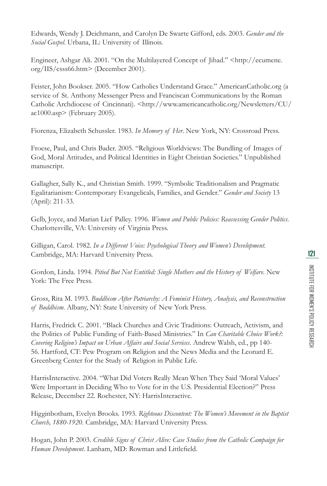Edwards, Wendy J. Deichmann, and Carolyn De Swarte Gifford, eds. 2003. *Gender and the Social Gospel*. Urbana, IL: University of Illinois.

Engineer, Ashgar Ali. 2001. "On the Multilayered Concept of Jihad." <http://ecumene. org/IIS/csss66.htm> (December 2001).

Feister, John Bookser. 2005. "How Catholics Understand Grace." AmericanCatholic.org (a service of St. Anthony Messenger Press and Franciscan Communications by the Roman Catholic Archdiocese of Cincinnati). <http://www.americancatholic.org/Newsletters/CU/ ac1000.asp> (February 2005).

Fiorenza, Elizabeth Schussler. 1983. *In Memory of Her*. New York, NY: Crossroad Press.

Froese, Paul, and Chris Bader. 2005. "Religious Worldviews: The Bundling of Images of God, Moral Attitudes, and Political Identities in Eight Christian Societies." Unpublished manuscript.

Gallagher, Sally K., and Christian Smith. 1999. "Symbolic Traditionalism and Pragmatic Egalitarianism: Contemporary Evangelicals, Families, and Gender." *Gender and Society* 13 (April): 211-33.

Gelb, Joyce, and Marian Lief Palley. 1996. *Women and Public Policies: Reassessing Gender Politics*. Charlottesville, VA: University of Virginia Press.

Gilligan, Carol. 1982. *In a Different Voice: Psychological Theory and Women's Development*. Cambridge, MA: Harvard University Press.

Gordon, Linda. 1994. *Pitied But Not Entitled: Single Mothers and the History of Welfare*. New York: The Free Press.

Gross, Rita M. 1993. *Buddhism After Patriarchy: A Feminist History, Analysis, and Reconstruction of Buddhism*. Albany, NY: State University of New York Press.

Harris, Fredrick C. 2001. "Black Churches and Civic Traditions: Outreach, Activism, and the Politics of Public Funding of Faith-Based Ministries." In *Can Charitable Choice Work?: Covering Religion's Impact on Urban Affairs and Social Services*. Andrew Walsh, ed., pp 140- 56. Hartford, CT: Pew Program on Religion and the News Media and the Leonard E. Greenberg Center for the Study of Religion in Public Life.

HarrisInteractive. 2004. "What Did Voters Really Mean When They Said 'Moral Values' Were Important in Deciding Who to Vote for in the U.S. Presidential Election?" Press Release, December 22. Rochester, NY: HarrisInteractive.

Higginbotham, Evelyn Brooks. 1993. *Righteous Discontent: The Women's Movement in the Baptist Church, 1880-1920*. Cambridge, MA: Harvard University Press.

Hogan, John P. 2003. *Credible Signs of Christ Alive: Case Studies from the Catholic Campaign for*  Human Development. Lanham, MD: Rowman and Littlefield.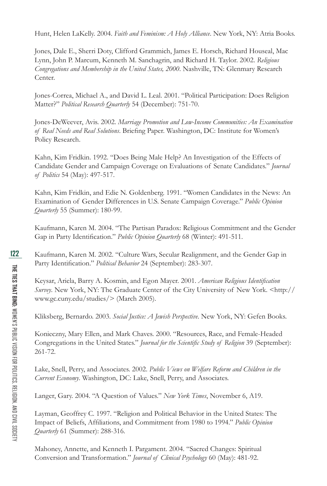Hunt, Helen LaKelly. 2004. *Faith and Feminism: A Holy Alliance*. New York, NY: Atria Books.

Jones, Dale E., Sherri Doty, Clifford Grammich, James E. Horsch, Richard Houseal, Mac Lynn, John P. Marcum, Kenneth M. Sanchagrin, and Richard H. Taylor. 2002. *Religious Congregations and Membership in the United States, 2000*. Nashville, TN: Glenmary Research Center.

Jones-Correa, Michael A., and David L. Leal. 2001. "Political Participation: Does Religion Matter?" *Political Research Quarterly* 54 (December): 751-70.

Jones-DeWeever, Avis. 2002. *Marriage Promotion and Low-Income Communities: An Examination*  of Real Needs and Real Solutions. Briefing Paper. Washington, DC: Institute for Women's Policy Research.

Kahn, Kim Fridkin. 1992. "Does Being Male Help? An Investigation of the Effects of Candidate Gender and Campaign Coverage on Evaluations of Senate Candidates." *Journal of Politics* 54 (May): 497-517.

Kahn, Kim Fridkin, and Edie N. Goldenberg. 1991. "Women Candidates in the News: An Examination of Gender Differences in U.S. Senate Campaign Coverage." *Public Opinion Quarterly* 55 (Summer): 180-99.

Kaufmann, Karen M. 2004. "The Partisan Paradox: Religious Commitment and the Gender Gap in Party Identification." *Public Opinion Quarterly* 68 (Winter): 491-511.

Kaufmann, Karen M. 2002. "Culture Wars, Secular Realignment, and the Gender Gap in Party Identification." *Political Behavior* 24 (September): 283-307.

Keysar, Ariela, Barry A. Kosmin, and Egon Mayer. 2001. *American Religious Identification Survey*. New York, NY: The Graduate Center of the City University of New York. <http:// www.gc.cuny.edu/studies/> (March 2005).

Kliksberg, Bernardo. 2003. *Social Justice: A Jewish Perspective*. New York, NY: Gefen Books.

Konieczny, Mary Ellen, and Mark Chaves. 2000. "Resources, Race, and Female-Headed Congregations in the United States." *Journal for the Scientific Study of Religion* 39 (September): 261-72.

Lake, Snell, Perry, and Associates. 2002. *Public Views on Welfare Reform and Children in the Current Economy*. Washington, DC: Lake, Snell, Perry, and Associates.

Langer, Gary. 2004. "A Question of Values." *New York Times*, November 6, A19.

Layman, Geoffrey C. 1997. "Religion and Political Behavior in the United States: The Impact of Beliefs, Affiliations, and Commitment from 1980 to 1994." *Public Opinion Quarterly* 61 (Summer): 288-316.

Mahoney, Annette, and Kenneth I. Pargament. 2004. "Sacred Changes: Spiritual Conversion and Transformation." *Journal of Clinical Psychology* 60 (May): 481-92.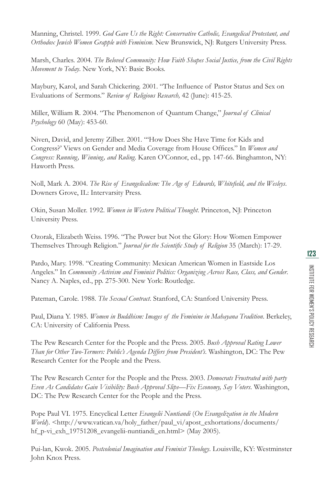Manning, Christel. 1999. *God Gave Us the Right: Conservative Catholic, Evangelical Protestant, and Orthodox Jewish Women Grapple with Feminism*. New Brunswick, NJ: Rutgers University Press.

Marsh, Charles. 2004. *The Beloved Community: How Faith Shapes Social Justice, from the Civil Rights Movement to Today*. New York, NY: Basic Books.

Maybury, Karol, and Sarah Chickering. 2001. "The Influence of Pastor Status and Sex on Evaluations of Sermons." *Review of Religious Research,* 42 (June): 415-25.

Miller, William R. 2004. "The Phenomenon of Quantum Change," *Journal of Clinical Psychology* 60 (May): 453-60.

Niven, David, and Jeremy Zilber. 2001. "'How Does She Have Time for Kids and Congress?' Views on Gender and Media Coverage from House Offices." In *Women and Congress: Running, Winning, and Ruling*. Karen O'Connor, ed., pp. 147-66. Binghamton, NY: Haworth Press.

Noll, Mark A. 2004. *The Rise of Evangelicalism: The Age of Edwards, Whitefield, and the Wesleys*. Downers Grove, IL: Intervarsity Press.

Okin, Susan Moller. 1992. *Women in Western Political Thought*. Princeton, NJ: Princeton University Press.

Ozorak, Elizabeth Weiss. 1996. "The Power but Not the Glory: How Women Empower Themselves Through Religion." *Journal for the Scientific Study of Religion* 35 (March): 17-29.

Pardo, Mary. 1998. "Creating Community: Mexican American Women in Eastside Los Angeles." In *Community Activism and Feminist Politics: Organizing Across Race, Class, and Gender*. Nancy A. Naples, ed., pp. 275-300. New York: Routledge.

Pateman, Carole. 1988. *The Sexual Contract*. Stanford, CA: Stanford University Press.

Paul, Diana Y. 1985. *Women in Buddhism: Images of the Feminine in Mahayana Tradition*. Berkeley, CA: University of California Press.

The Pew Research Center for the People and the Press. 2005. *Bush Approval Rating Lower Than for Other Two-Termers: Public's Agenda Differs from President's*. Washington, DC: The Pew Research Center for the People and the Press.

The Pew Research Center for the People and the Press. 2003. *Democrats Frustrated with party Even As Candidates Gain Visibility: Bush Approval Slips—Fix Economy, Say Voters*. Washington, DC: The Pew Research Center for the People and the Press.

Pope Paul VI. 1975. Encyclical Letter *Evangelii Nuntiandi* (*On Evangelization in the Modern World*). <http://www.vatican.va/holy\_father/paul\_vi/apost\_exhortations/documents/ hf\_p-vi\_exh\_19751208\_evangelii-nuntiandi\_en.html> (May 2005).

Pui-lan, Kwok. 2005. *Postcolonial Imagination and Feminist Theology*. Louisville, KY: Westminster John Knox Press.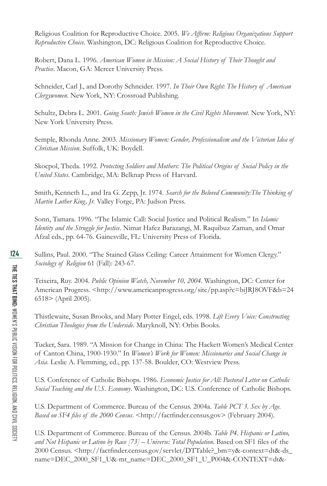Religious Coalition for Reproductive Choice. 2005. *We Affirm: Religious Organizations Support Reproductive Choice*. Washington, DC: Religious Coalition for Reproductive Choice.

Robert, Dana L. 1996. *American Women in Mission: A Social History of Their Thought and Practice*. Macon, GA: Mercer University Press.

Schneider, Carl J., and Dorothy Schneider. 1997. *In Their Own Right: The History of American Clergywomen*. New York, NY: Crossroad Publishing.

Schultz, Debra L. 2001. *Going South: Jewish Women in the Civil Rights Movement*. New York, NY: New York University Press.

Semple, Rhonda Anne. 2003. *Missionary Women: Gender, Professionalism and the Victorian Idea of Christian Mission*. Suffolk, UK: Boydell.

Skocpol, Theda. 1992. *Protecting Soldiers and Mothers: The Political Origins of Social Policy in the United States*. Cambridge, MA: Belknap Press of Harvard.

Smith, Kenneth L., and Ira G. Zepp, Jr. 1974. *Search for the Beloved Community:The Thinking of Martin Luther King, Jr.* Valley Forge, PA: Judson Press.

Sonn, Tamara. 1996. "The Islamic Call: Social Justice and Political Realism." In *Islamic Identity and the Struggle for Justice*. Nimat Hafez Barazangi, M. Raquibuz Zaman, and Omar Afzal eds., pp. 64-76. Gainesville, FL: University Press of Florida.

Sullins, Paul. 2000. "The Stained Glass Ceiling: Career Attainment for Women Clergy." *Sociology of Religion* 61 (Fall): 243-67.

Teixeira, Ruy. 2004. *Public Opinion Watch, November 10, 2004*. Washington, DC: Center for American Progress. <http://www.americanprogress.org/site/pp.asp?c=biJRJ8OVF&b=24 6518> (April 2005).

Thistlewaite, Susan Brooks, and Mary Potter Engel, eds. 1998. *Lift Every Voice: Constructing Christian Theologies from the Underside*. Maryknoll, NY: Orbis Books.

Tucker, Sara. 1989. "A Mission for Change in China: The Hackett Women's Medical Center of Canton China, 1900-1930." In *Women's Work for Women: Missionaries and Social Change in Asia*. Leslie A. Flemming, ed., pp. 137-58. Boulder, CO: Westview Press.

U.S. Conference of Catholic Bishops. 1986. *Economic Justice for All: Pastoral Letter on Catholic Social Teaching and the U.S. Economy*. Washington, DC: U.S. Conference of Catholic Bishops.

U.S. Department of Commerce. Bureau of the Census. 2004a. *Table PCT 3. Sex by Age.*  Based on SF4 files of the 2000 Census. < http://factfinder.census.gov> (February 2004).

U.S. Department of Commerce. Bureau of the Census. 2004b. *Table P4. Hispanic or Latino,*  and Not Hispanic or Latino by Race [73] – Universe: Total Population. Based on SF1 files of the 2000 Census. <http://factfi nder.census.gov/servlet/DTTable?\_bm=y&-context=dt&-ds\_ name=DEC\_2000\_SF1\_U&-mt\_name=DEC\_2000\_SF1\_U\_P004&-CONTEXT=dt&-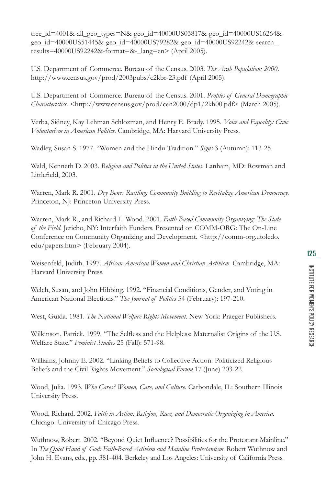tree\_id=4001&-all\_geo\_types=N&-geo\_id=40000US03817&-geo\_id=40000US16264& geo\_id=40000US51445&-geo\_id=40000US79282&-geo\_id=40000US92242&-search\_ results=40000US92242&-format=&-\_lang=en> (April 2005).

U.S. Department of Commerce. Bureau of the Census. 2003. *The Arab Population: 2000*. http://www.census.gov/prod/2003pubs/c2kbr-23.pdf (April 2005).

U.S. Department of Commerce. Bureau of the Census. 2001. *Profiles of General Demographic Characteristics*. <http://www.census.gov/prod/cen2000/dp1/2kh00.pdf> (March 2005).

Verba, Sidney, Kay Lehman Schlozman, and Henry E. Brady. 1995. *Voice and Equality: Civic Voluntarism in American Politics*. Cambridge, MA: Harvard University Press.

Wadley, Susan S. 1977. "Women and the Hindu Tradition." *Signs* 3 (Autumn): 113-25.

Wald, Kenneth D. 2003. *Religion and Politics in the United States*. Lanham, MD: Rowman and Littlefield, 2003.

Warren, Mark R. 2001. *Dry Bones Rattling: Community Building to Revitalize American Democracy.*  Princeton, NJ: Princeton University Press.

Warren, Mark R., and Richard L. Wood. 2001*. Faith-Based Community Organizing: The State of the Field.* Jericho, NY: Interfaith Funders. Presented on COMM-ORG: The On-Line Conference on Community Organizing and Development. <http://comm-org.utoledo. edu/papers.htm> (February 2004).

Weisenfeld, Judith. 1997. *African American Women and Christian Activism*. Cambridge, MA: Harvard University Press.

Welch, Susan, and John Hibbing. 1992. "Financial Conditions, Gender, and Voting in American National Elections." *The Journal of Politics* 54 (February): 197-210.

West, Guida. 1981. *The National Welfare Rights Movement*. New York: Praeger Publishers.

Wilkinson, Patrick. 1999. "The Selfless and the Helpless: Maternalist Origins of the U.S. Welfare State." *Feminist Studies* 25 (Fall): 571-98.

Williams, Johnny E. 2002. "Linking Beliefs to Collective Action: Politicized Religious Beliefs and the Civil Rights Movement." *Sociological Forum* 17 (June) 203-22.

Wood, Julia. 1993. *Who Cares? Women, Care, and Culture*. Carbondale, IL: Southern Illinois University Press.

Wood, Richard. 2002. *Faith in Action: Religion, Race, and Democratic Organizing in America*. Chicago: University of Chicago Press.

Wuthnow, Robert. 2002. "Beyond Quiet Influence? Possibilities for the Protestant Mainline." In *The Quiet Hand of God: Faith-Based Activism and Mainline Protestantism*. Robert Wuthnow and John H. Evans, eds., pp. 381-404. Berkeley and Los Angeles: University of California Press.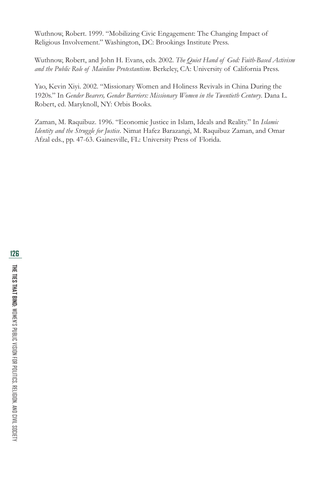Wuthnow, Robert. 1999. "Mobilizing Civic Engagement: The Changing Impact of Religious Involvement." Washington, DC: Brookings Institute Press.

Wuthnow, Robert, and John H. Evans, eds. 2002. *The Quiet Hand of God: Faith-Based Activism and the Public Role of Mainline Protestantism*. Berkeley, CA: University of California Press.

Yao, Kevin Xiyi. 2002. "Missionary Women and Holiness Revivals in China During the 1920s." In *Gender Bearers, Gender Barriers: Missionary Women in the Twentieth Century*. Dana L. Robert, ed. Maryknoll, NY: Orbis Books.

Zaman, M. Raquibuz. 1996. "Economic Justice in Islam, Ideals and Reality." In *Islamic Identity and the Struggle for Justice*. Nimat Hafez Barazangi, M. Raquibuz Zaman, and Omar Afzal eds., pp. 47-63. Gainesville, FL: University Press of Florida.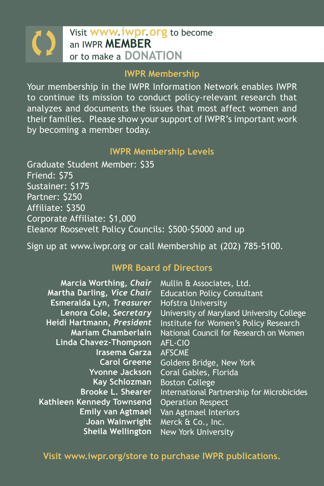# Visit **WWW.iWPr.org** to become<br>
an IWPR **MEMBER**<br>
or to make a DONATION

#### **IWPR Membership**

Your membership in the IWPR Information Network enables IWPR to continue its mission to conduct policy-relevant research that analyzes and documents the issues that most affect women and their families. Please show your support of IWPR's important work by becoming a member today.

#### **IWPR Membership Levels**

Graduate Student Member: \$35 Friend: \$75 Sustainer: \$175 Partner: \$250 Affiliate: \$350 Corporate Affiliate: \$1,000 Eleanor Roosevelt Policy Councils: \$500-\$5000 and up

Sign up at www.iwpr.org or call Membership at (202) 785-5100.

#### **IWPR Board of Directors**

| Marcia Worthing, Chair<br>Martha Darling, Vice Chair<br>Esmeralda Lyn, Treasurer<br>Lenora Cole, Secretary<br>Heidi Hartmann, President<br><b>Mariam Chamberlain</b><br><b>Linda Chavez-Thompson</b><br>Irasema Garza<br><b>Carol Greene</b><br><b>Yvonne Jackson</b><br><b>Kay Schlozman</b><br><b>Brooke L. Shearer</b><br>Kathleen Kennedy Townsend<br><b>Emily van Agtmael</b><br>Joan Wainwright | Mullin & Associates, Ltd.<br><b>Education Policy Consultant</b><br><b>Hofstra University</b><br>University of Maryland University College<br>Institute for Women's Policy Research<br>National Council for Research on Women<br>AFL-CIO<br><b>AFSCME</b><br>Goldens Bridge, New York<br>Coral Gables, Florida<br><b>Boston College</b><br><b>International Partnership for Microbicides</b><br><b>Operation Respect</b><br>Van Agtmael Interiors<br>Merck & Co., Inc. |
|-------------------------------------------------------------------------------------------------------------------------------------------------------------------------------------------------------------------------------------------------------------------------------------------------------------------------------------------------------------------------------------------------------|-----------------------------------------------------------------------------------------------------------------------------------------------------------------------------------------------------------------------------------------------------------------------------------------------------------------------------------------------------------------------------------------------------------------------------------------------------------------------|
| <b>Sheila Wellington</b>                                                                                                                                                                                                                                                                                                                                                                              | <b>New York University</b>                                                                                                                                                                                                                                                                                                                                                                                                                                            |
|                                                                                                                                                                                                                                                                                                                                                                                                       |                                                                                                                                                                                                                                                                                                                                                                                                                                                                       |

**Visit www.iwpr.org/store to purchase IWPR publications.**